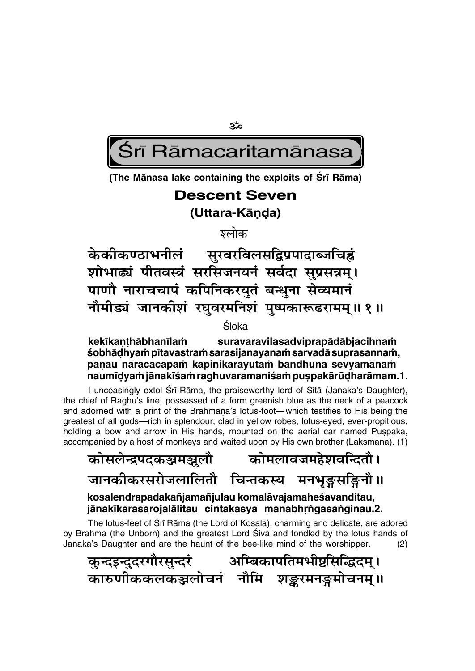ضح

# Srī Rāmacaritamānasa

(The Mānasa lake containing the exploits of Srī Rāma)

### **Descent Seven**

(Uttara-Kānda)

श्लोक

केकीकण्ठाभनीलं सुरवरविलसद्विप्रपादाब्जचिह्नं शोभाढ्यं पीतवस्त्रं सरसिजनयनं सर्वदा सुप्रसन्नम्। पाणौ नाराचचापं कपिनिकरयुतं बन्धुना सेव्यमानं नौमीड्यं जानकीशं रघुवरमनिशं पुष्पकारूढरामम् ॥ १॥

Śloka

kekīkanthābhanīlam suravaravilasadviprapādābjacihnam śobhādhyam pītavastram sarasijanayanam sarvadā suprasannam, pānau nārācacāpam kapinikarayutam bandhunā sevyamānam naumīdyam jānakīśam raghuvaramaniśam puspakārūdharāmam.1.

I unceasingly extol Srī Rāma, the praiseworthy lord of Sītā (Janaka's Daughter), the chief of Raghu's line, possessed of a form greenish blue as the neck of a peacock and adorned with a print of the Brāhmana's lotus-foot-which testifies to His being the greatest of all gods-rich in splendour, clad in yellow robes, lotus-eyed, ever-propitious, holding a bow and arrow in His hands, mounted on the aerial car named Puspaka, accompanied by a host of monkeys and waited upon by His own brother (Laksmana). (1)



by Brahma (the Unborn) and the greatest Lord Siva and fondled by the lotus hands of Janaka's Daughter and are the haunt of the bee-like mind of the worshipper.  $(2)$ 

कुन्दइन्दुदरगौरसुन्दरं अम्बिकापतिमभीष्टसिद्धिदम् । कारुणीककलकञ्जलोचनं नौमि शङ्करमनङ्गमोचनम्॥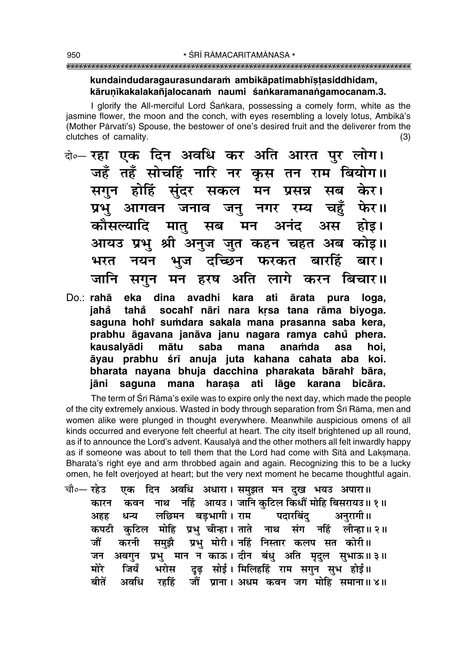### kundaindudaragaurasundaram ambikāpatimabhīstasiddhidam, kārunīkakalakañjalocanam naumi śankaramanangamocanam.3.

I glorify the All-merciful Lord Śankara, possessing a comely form, white as the jasmine flower, the moon and the conch, with eyes resembling a lovely lotus, Ambika's (Mother Pārvatī's) Spouse, the bestower of one's desired fruit and the deliverer from the clutches of carnality.  $(3)$ 

- के- रहा एक दिन अवधि कर अति आरत पुर लोग। जहँ तहँ सोचहिं नारि नर कृस तन राम बियोग॥ सगन होहिं सुंदर सकल केर। मन प्रसन्न सब जनाव जनु नगर चहँ फेर॥ प्रभ आगवन रम्य कौसल्यादि मातु सब मन अस होड़। अनंद आयउ प्रभु श्री अनुज जुत कहन चहत अब कोइ।। भरत नयन भज दच्छिन फरकत बारहिं बार। जानि सगुन मन हरष अति लागे करन बिचार॥
- Do.: rahā eka dina avadhi kara ati ārata pura loga, tahå socahi nāri nara krsa tana rāma biyoga. iahắ saguna hohi sumdara sakala mana prasanna saba kera, prabhu āgavana janāva janu nagara ramya cahů phera. kausalyādi mātu saba mana anamda asa hoi. āyau prabhu śrī anuja juta kahana cahata aba koi. bharata nayana bhuja dacchina pharakata bārahi bāra, jāni saguna mana harasa ati lāge karana bicāra.

The term of Srī Rāma's exile was to expire only the next day, which made the people of the city extremely anxious. Wasted in body through separation from Srī Rāma, men and women alike were plunged in thought everywhere. Meanwhile auspicious omens of all kinds occurred and everyone felt cheerful at heart. The city itself brightened up all round, as if to announce the Lord's advent. Kausalyā and the other mothers all felt inwardly happy as if someone was about to tell them that the Lord had come with Sita and Laksmana. Bharata's right eye and arm throbbed again and again. Recognizing this to be a lucky omen, he felt overjoyed at heart; but the very next moment he became thoughtful again.

|      | चौ०— रहेउ   एक  दिन  अवधि  अधारा । समुझत  मन  दुख  भयउ  अपारा॥ |  |  |  |                                                           |  |
|------|----------------------------------------------------------------|--|--|--|-----------------------------------------------------------|--|
| कारन |                                                                |  |  |  | कवन नाथ नहिं आयउ। जानि कुटिल किधौं मोहि बिसरायउ॥१॥        |  |
| अहह  |                                                                |  |  |  | धन्य लछिमन बड़भागी। राम  पदारबिंदु  अनुरागी॥              |  |
|      |                                                                |  |  |  | कपटी कुटिल मोहि प्रभु चीन्हा। ताते नाथ संग नहिं लीन्हा॥२॥ |  |
|      | जौं करनी समुझै प्रभु मोरी।नहिं निस्तार कलप सत कोरी॥            |  |  |  |                                                           |  |
| जन   |                                                                |  |  |  | अवगुन प्रभु मान न काऊ। दीन बंधु अति मृदुल सुभाऊ॥३॥        |  |
| मोरे |                                                                |  |  |  | जियँ भरोस दृढ़ सोई। मिलिहर्हि राम सगुन सुभ होई॥           |  |
|      |                                                                |  |  |  | बीतें अवधि रहहिं जौं प्राना। अधम कवन जग मोहि समाना॥४॥     |  |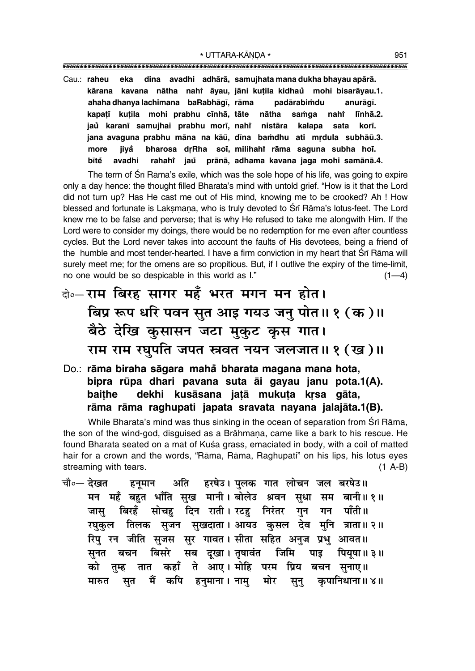\* UTTARA-KĀNDA \* 1951

"""""""""""""""""""""""""""""""""""""""""""""""""""""""""""""""""""""""""""""""""""

Cau.: **raheu eka dina avadhi adhårå, samujhata mana dukha bhayau apårå. kårana kavana nåtha nahiÚ åyau, jåni ku¢ila kidhau° mohi bisaråyau.1. ahaha dhanya lachimana baRabhåg∂, råma padårabi≈du anuråg∂.** kapaṭī kuṭila mohi prabhu cīnhā, tāte nātha samga nahi  **l∂nhå.2.** jaů karanī samujhai prabhu morī, nahť nistāra kalapa sata korī. jana avaguna prabhu māna na kāū, dīna bamdhu ati mrdula subhāū.3. more jiyå bharosa dṛRha soī, milihahi rāma saguna subha hoī. **b∂te avadhi rahahi ° Ú jau° prånå, adhama kavana jaga mohi samånå.4.**

The term of Srī Rāma's exile, which was the sole hope of his life, was going to expire only a day hence: the thought filled Bharata's mind with untold grief. "How is it that the Lord did not turn up? Has He cast me out of His mind, knowing me to be crooked? Ah ! How blessed and fortunate is Laksmana, who is truly devoted to Srī Rāma's lotus-feet. The Lord knew me to be false and perverse; that is why He refused to take me alongwith Him. If the Lord were to consider my doings, there would be no redemption for me even after countless cycles. But the Lord never takes into account the faults of His devotees, being a friend of the humble and most tender-hearted. I have a firm conviction in my heart that Srī Rāma will surely meet me; for the omens are so propitious. But, if I outlive the expiry of the time-limit, no one would be so despicable in this world as  $I$ .  $\sim$  (1–4)

- दो**०– राम बिरह सागर महँ भरत मगन मन होत।** बिप्र रूप धरि पवन सुत आइ गयउ जनु पोत॥ १ (क)॥ **'Ò∆U ŒÁπ ∑ȧ'Ê'Ÿ ¡≈UÊ ◊È∑ȧ≈U ∑Χ' ªÊÖ**  $\overline{\mathbf{v}}$ सम रघुपति जपत स्त्रवत नयन जलजात॥ १ (ख)॥
- Do.: **råma biraha sågara maha bharata magana mana hota, °** bipra rūpa dhari pavana suta āi gayau janu pota.1(A). **bai¢he dekhi kusåsana ja¢å muku¢a kæsa gåta, råma råma raghupati japata sravata nayana jalajåta.1(B).**

While Bharata's mind was thus sinking in the ocean of separation from Śrī Rāma, the son of the wind-god, disguised as a Brāhmaṇa, came like a bark to his rescue. He found Bharata seated on a mat of Kusa grass, emaciated in body, with a coil of matted hair for a crown and the words, "Rāma, Rāma, Raghupati" on his lips, his lotus eyes streaming with tears. (1 A-B)

चौ०— <mark>देखत हनूमान अति हरषेउ । पुलक गात लोचन जल बरषेउ ॥</mark> **मन महँ बहुत भाँति सुख मानी। बोलेउ श्रवन सुधा सम बानी॥१॥** ँजासु बिरहँ सोचहु दिन राती।**रटहु निरंतर गुन गन पाँती**॥ **⁄ घुकुल तिलक सुजन सुखदाता । आयउ कुसल देव मुनि त्राता ॥ २ ॥** रिपु रन जीति सुजस सुर गावत। सीता सहित अनुज प्रभु आवत॥ सुनत बचन बिसरे सब दूखा।**तृषावंत जिमि पाइ पियूषा॥३॥** <u>को तुम्ह तात कहाँ ते आए। मोहि परम प्रिय बचन सुनाए॥</u> <u>मारुत सुत मैं कपि हुनुमाना। नामु मोर सुनु</u> कुपानिधाना॥४॥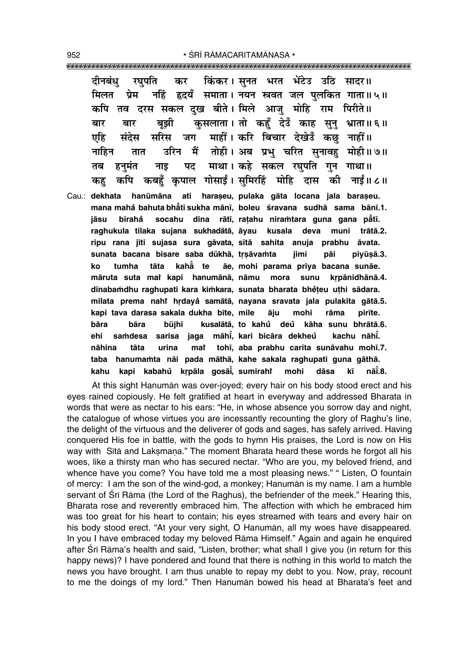किंकर। सुनत भरत भेंटेउ उठि सादर॥ दीनबंध रघपति कर नहिं हृदयँ समाता। नयन स्त्रवत जल पुलकित गाता॥५॥ मिलत प्रेम कपि तव दरस सकल दख बीते। मिले आज मोहि राम पिरीते॥ कसलाता। तो कहूँ देउँ काह सून् भ्राता॥६॥ बृझी बार बार माहीं। करि बिचार देखेउँ कछ नाहीं॥ एहि संदेस सरिस जग उरिन मैं तोही। अब प्रभु चरित सुनावह मोही॥७॥ नाहिन तात पद माथा। कहे सकल रघपति गन गाथा॥ नाड हनमंत तब कपि कबहँ कपाल गोसाईं। समिरहिं मोहि दास की नाईं॥८॥ कह Cau.: dekhata hanūmāna ati haraseu, pulaka gāta locana jala baraseu. mana mahå bahuta bhåti sukha mānī, boleu śravana sudhā sama bānī.1. birahå socahu dina rātī, ratahu niramtara guna gana pātī. iāsu raghukula tilaka sujana sukhadātā, āyau kusala deva muni trātā.2. ripu rana jīti sujasa sura gāvata, sītā sahita anuja prabhu āvata. sunata bacana bisare saba dūkhā, trsāvamta jimi pāi pivūsā.3. ko tumha tāta kahå te ãe, mohi parama priya bacana sunãe. māruta suta mai kapi hanumānā, nāmu mora sunu krpānidhānā.4. dīnabamdhu raghupati kara kimkara, sunata bharata bheteu uthi sādara. milata prema nahi hrdayå samātā, nayana sravata jala pulakita gātā.5. kapi tava darasa sakala dukha bīte, mile āju mohi rāma pirīte. kusalātā, to kahů deů kāha sunu bhrātā.6. bāra bāra būihī samdesa sarisa jaga ehi māhi, kari bicāra dekheů kachu nāhī. nāhina tāta urina mat tohī, aba prabhu carita sunāvahu mohī.7. taba hanumamta nāi pada māthā, kahe sakala raghupati guna gāthā. kahu kapi kabahů krpāla gosāi, sumiraht mohi dāsa kī nāi̇̃.8.

At this sight Hanuman was over-joyed; every hair on his body stood erect and his eyes rained copiously. He felt gratified at heart in everyway and addressed Bharata in words that were as nectar to his ears: "He, in whose absence you sorrow day and night, the catalogue of whose virtues you are incessantly recounting the glory of Raghu's line, the delight of the virtuous and the deliverer of gods and sages, has safely arrived. Having conquered His foe in battle, with the gods to hymn His praises, the Lord is now on His way with Sita and Laksmana." The moment Bharata heard these words he forgot all his woes, like a thirsty man who has secured nectar. "Who are you, my beloved friend, and whence have you come? You have told me a most pleasing news." " Listen, O fountain of mercy: I am the son of the wind-god, a monkey; Hanuman is my name. I am a humble servant of Sri Rama (the Lord of the Raghus), the befriender of the meek." Hearing this, Bharata rose and reverently embraced him. The affection with which he embraced him was too great for his heart to contain; his eyes streamed with tears and every hair on his body stood erect. "At your very sight, O Hanuman, all my woes have disappeared. In you I have embraced today my beloved Rama Himself." Again and again he enguired after Śrī Rāma's health and said, "Listen, brother; what shall I give you (in return for this happy news)? I have pondered and found that there is nothing in this world to match the news you have brought. I am thus unable to repay my debt to you. Now, pray, recount to me the doings of my lord." Then Hanuman bowed his head at Bharata's feet and

952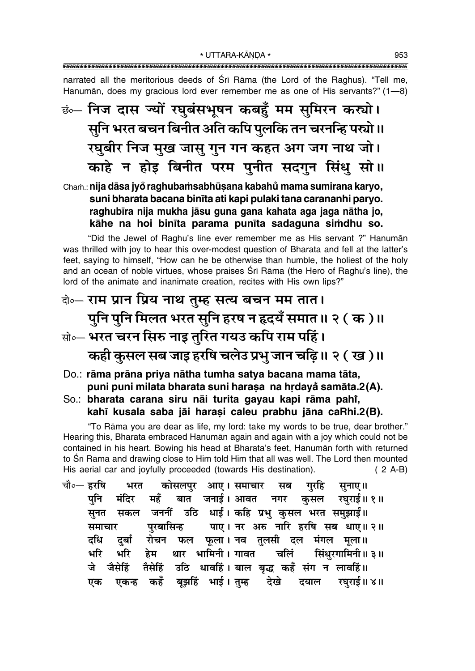narrated all the meritorious deeds of Srī Rāma (the Lord of the Raghus). "Tell me, Hanuman, does my gracious lord ever remember me as one of His servants?" (1–8)

<u>ं :-</u> निज दास ज्यों रघुबंसभूषन कबहँ मम सुमिरन कर्चा। सुनि भरत बचन बिनीत अति कपि पुलकि तन चरनन्हि पर्त्यो ॥ रघुबीर निज मुख जासु गुन गन कहत अग जग नाथ जो। काहे न होड़ बिनीत परम पुनीत सदगुन सिंधु सो।।

Cham.: nija dāsa jyo raghubamsabhūsana kabahu mama sumirana karyo, suni bharata bacana binīta ati kapi pulaki tana carananhi paryo. raghubīra nija mukha jāsu guna gana kahata aga jaga nātha jo, kāhe na hoi binīta parama punīta sadaguna simdhu so.

"Did the Jewel of Raghu's line ever remember me as His servant ?" Hanuman was thrilled with joy to hear this over-modest question of Bharata and fell at the latter's feet, saying to himself, "How can he be otherwise than humble, the holiest of the holy and an ocean of noble virtues, whose praises Srī Rāma (the Hero of Raghu's line), the lord of the animate and inanimate creation, recites with His own lips?"

## वे⊶ राम प्रान प्रिय नाथ तुम्ह सत्य बचन मम तात। पुनि पुनि मिलत भरत सुनि हरष न हृदयँ समात॥ २ ( क )॥ को०- भरत चरन सिरु नाइ तुरित गयउ कपि राम पहिं। कही कसल सब जाइ हरषि चलेउ प्रभु जान चढ़ि॥ २ ( ख )॥

Do.: rāma prāna priva nātha tumha satva bacana mama tāta, puni puni milata bharata suni harasa na hrdayă samāta.2(A).

So.: bharata carana siru nāi turita gayau kapi rāma pahi, kahī kusala saba jāi harasi caleu prabhu jāna caRhi.2(B).

"To Rāma you are dear as life, my lord: take my words to be true, dear brother." Hearing this, Bharata embraced Hanuman again and again with a joy which could not be contained in his heart. Bowing his head at Bharata's feet, Hanuman forth with returned to Sri Rama and drawing close to Him told Him that all was well. The Lord then mounted His aerial car and joyfully proceeded (towards His destination).  $(2 A-B)$ 

|        |  |  |  |  | चौ०— हरषि भरत कोसलपुर आए। समाचार सब गुरहि सुनाए॥           |  |
|--------|--|--|--|--|------------------------------------------------------------|--|
| पनि    |  |  |  |  | मंदिर महँ बात जनाई।अावत नगर कुसल रघुराई॥१॥                 |  |
|        |  |  |  |  | सुनत सकल जननीं उठि धाईं। कहि प्रभु कुसल भरत समुझाईं॥       |  |
| समाचार |  |  |  |  | पुरबासिन्ह     पाए । नर अरु नारि हरषि सब धाए॥२॥            |  |
| दधि    |  |  |  |  | दुर्बा रोचन फल फूला।नव तुलसी दल मंगल मूला॥                 |  |
|        |  |  |  |  | भरि भरि हेम थार भामिनी।गावत चलिं सिंधुरगामिनी॥३॥           |  |
|        |  |  |  |  | जे जैसेहिं तैसेहिं उठि धावहिं। बाल बृद्ध कहँ संग न लावहिं॥ |  |
| एक     |  |  |  |  | एकन्ह कहँ बूझहिं भाई।तुम्ह देखे दयाल रघुराई॥४॥             |  |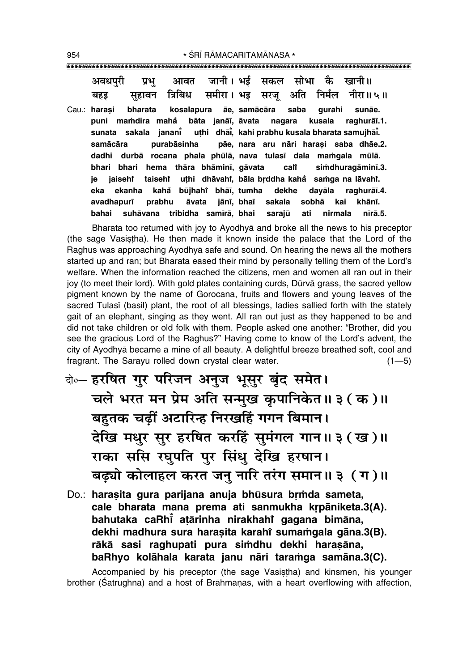सोभा कै आवत जानी । भई सकल खानी॥ अवधपरी प्रभ समीरा। भइ त्रिबिध अति निर्मल नीरा॥५॥ बहड सहावन सरज Cau.: harasi bharata kosalapura āe. samācāra saba qurahi sunāe. puni mamdira mahå bāta janāī, āvata kusala raghurāī.1. nagara sunata sakala ianani̇̃ uthi dhāi, kahi prabhu kusala bharata samujhāi. pāe, nara aru nāri harasi saba dhāe.2. samācāra purabāsinha dadhi durbā rocana phala phūlā, nava tulasī dala mamgala mūlā. bhari bhari hema thāra bhāminī, gāvata cali simdhuragāminī.3. ie iaiseht taiseht uthi dhāvahi, bāla brddha kahå samqa na lāvahi. būjhahi bhāī, tumha dekhe davāla eka ekanha kahå raghurāī.4. jānī, bhaī khānī. avadhapurī prabhu āvata sakala sobhā kai

suhāvana tribidha samīrā, bhai

Bharata too returned with joy to Ayodhya and broke all the news to his preceptor (the sage Vasistha). He then made it known inside the palace that the Lord of the Raghus was approaching Ayodhya safe and sound. On hearing the news all the mothers started up and ran; but Bharata eased their mind by personally telling them of the Lord's welfare. When the information reached the citizens, men and women all ran out in their joy (to meet their lord). With gold plates containing curds, Dūrvā grass, the sacred yellow pigment known by the name of Gorocana, fruits and flowers and young leaves of the sacred Tulasi (basil) plant, the root of all blessings, ladies sallied forth with the stately gait of an elephant, singing as they went. All ran out just as they happened to be and did not take children or old folk with them. People asked one another: "Brother, did you see the gracious Lord of the Raghus?" Having come to know of the Lord's advent, the city of Ayodhya became a mine of all beauty. A delightful breeze breathed soft, cool and fragrant. The Sarayū rolled down crystal clear water.  $(1 - 5)$ 

sarajū

ati

nirmala

nīrā.5.

- बेञ्- हरषित गुर परिजन अनुज भूसुर बृंद समेत। चले भरत मन प्रेम अति सन्मुख कृपानिकेत॥३ ( क )॥ बहुतक चढ़ीं अटारिन्ह निरखहिं गगन बिमान। देखि मधुर सुर हरषित करहिं सुमंगल गान॥३ (ख)॥ राका ससि रघुपति पुर सिंधु देखि हरषान। बढ्यो कोलाहल करत जनु नारि तरंग समान॥३ (ग)॥
- Do.: harasita qura parijana anuja bhūsura brmda sameta, cale bharata mana prema ati sanmukha krpāniketa.3(A). bahutaka caRhi atārinha nirakhahi gagana bimāna, dekhi madhura sura harasita karahi sumamgala gāna.3(B). rākā sasi raghupati pura simdhu dekhi harasāna, baRhyo kolāhala karata janu nāri taramga samāna.3(C).

Accompanied by his preceptor (the sage Vasistha) and kinsmen, his younger brother (Satrughna) and a host of Brāhmanas, with a heart overflowing with affection,

bahai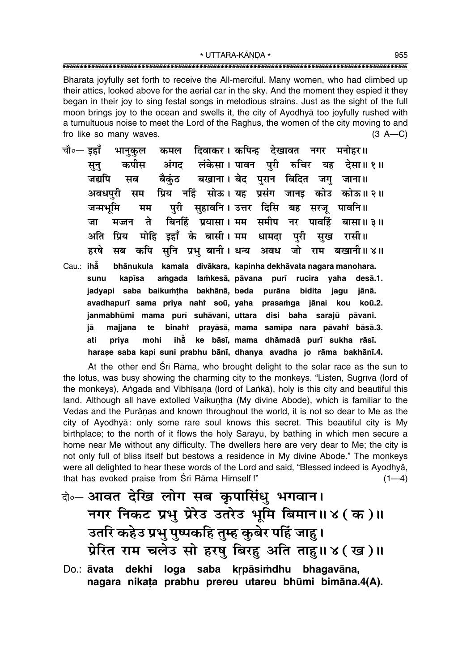\* UTTARA-KĀNDA \* 

Bharata joyfully set forth to receive the All-merciful. Many women, who had climbed up their attics, looked above for the aerial car in the sky. And the moment they espied it they began in their joy to sing festal songs in melodious strains. Just as the sight of the full moon brings joy to the ocean and swells it, the city of Ayodhya too joyfully rushed with a tumultuous noise to meet the Lord of the Raghus, the women of the city moving to and fro like so many waves.  $(3 A - C)$ 

- चौ०— इहाँ कमल दिवाकर। कपिन्ह देखावत नगर मनोहर॥ भानकल लंकेसा। पावन पुरी रुचिर यह देसा॥१॥ अंगद कपीस सन बखाना। बेद परान बिदित जग जाना॥ जद्यपि बैकंठ सब प्रिय नहिं सोऊ। यह प्रसंग जानड कोउ कोऊ॥२॥ अवधपरी सम सहावनि । उत्तर दिसि बह सरजू पावनि॥ जन्मभमि मम परी ते बिनहिं प्रयासा। मम समीप मजन नर पावहिं बासा॥ ३॥ जा मोहि इहाँ के बासी। मम अति प्रिय धामदा परी सख रासी॥ सब कपि सनि प्रभ बानी। धन्य अवध जो राम बखानी॥४॥ हरषे
- Cau.: iha bhānukula kamala divākara, kapinha dekhāvata nagara manohara. amgada lamkesā, pāvana purī rucira yaha sunu kapīsa desā.1. jadyapi saba baikumtha bakhānā, beda purāna bidita jagu iānā. avadhapurī sama priya nahi soū, yaha prasamga jānai kou koū.2. janmabhūmi mama purī suhāvani, uttara disi baha sarajū pāvani. majjana binahi prayāsā, mama samīpa nara pāvahi bāsā.3. jā te ihå ke bāsī, mama dhāmadā purī sukha rāsī. ati priva mohi harașe saba kapi suni prabhu bānī, dhanya avadha jo rāma bakhānī.4.

At the other end Sri Rama, who brought delight to the solar race as the sun to the lotus, was busy showing the charming city to the monkeys. "Listen, Sugriva (lord of the monkeys), Angada and Vibhisana (lord of Lanka), holy is this city and beautiful this land. Although all have extolled Vaikuntha (My divine Abode), which is familiar to the Vedas and the Purānas and known throughout the world, it is not so dear to Me as the city of Ayodhyā: only some rare soul knows this secret. This beautiful city is My birthplace; to the north of it flows the holy Sarayū, by bathing in which men secure a home near Me without any difficulty. The dwellers here are very dear to Me; the city is not only full of bliss itself but bestows a residence in My divine Abode." The monkeys were all delighted to hear these words of the Lord and said, "Blessed indeed is Ayodhya, that has evoked praise from Srī Rāma Himself!"  $(1-4)$ 

- बे॰– आवत देखि लोग सब कृपासिंधु भगवान। नगर निकट प्रभु प्रेरेड उतरेड भूमि बिमान॥४ (क)॥ उतरि कहेउ प्रभु पुष्पकहि तुम्ह कुबेर पहिं जाहु। प्रेरित राम चलेउ सो हरषु बिरहु अति ताहु॥४ (ख)॥
- dekhi loga saba krpāsimdhu Do.: **āvata** bhagavāna, nagara nikata prabhu prereu utareu bhūmi bimāna.4(A).

955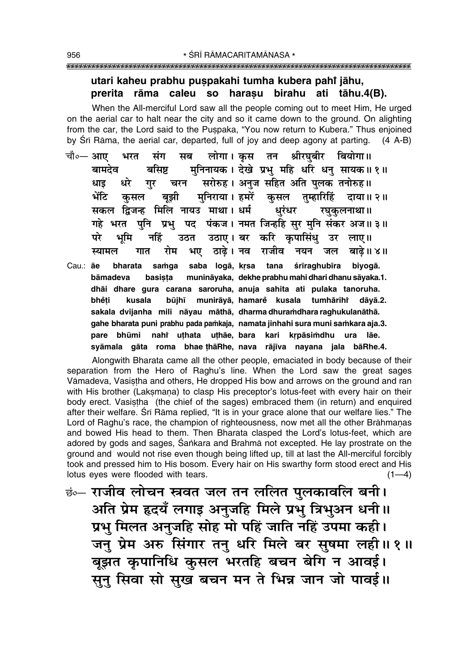### utari kaheu prabhu puspakahi tumha kubera pahi jāhu, prerita rāma caleu so harasu birahu ati tāhu.4(B).

When the All-merciful Lord saw all the people coming out to meet Him, He urged on the aerial car to halt near the city and so it came down to the ground. On alighting from the car, the Lord said to the Puspaka, "You now return to Kubera." Thus enjoined by Srī Rāma, the aerial car, departed, full of joy and deep agony at parting.  $(4 \text{ A-B})$ 

- चौ०— आए भरत संग मब लोगा। कस तन श्रीरघबीर बियोगा॥ मुनिनायक। देखे प्रभु महि धरि धनु सायक॥१॥ बसिष्ट बामदेव सरोरुह। अनुज सहित अति पुलक तनोरुह।। धाड गर चरन धरे बूझी मुनिराया। हमरें कुसल तुम्हारिहिं दाया॥२॥ भेंटि कसल सकल द्विजन्ह मिलि नायउ माथा। धर्म धरंधर रघुकुलनाथा ॥ गहे भरत पुनि प्रभु पद पंकज। नमत जिन्हहि सुर मुनि संकर अज॥३॥ परे भमि उठत उठाए। बर करि कपासिंध उर लाए॥ नहिं भए ठाढे।नव राजीव नयन जल बाढे॥ ४॥ स्यामल गात रोम saba logā, krsa tana śrīraghubīra Cau.: ae bharata samqa bivogā.
- munināyaka, dekhe prabhu mahi dhari dhanu sāyaka.1. bāmadeva basista dhāi dhare gura carana saroruha, anuja sahita ati pulaka tanoruha. būjhī munirāyā, hamarė kusala tumhārihi dāvā.2. bhěti kusala sakala dvijanha mili nāyau māthā, dharma dhuramdhara raghukulanāthā. gahe bharata puni prabhu pada pamkaja, namata jinhahi sura muni samkara aja.3. pare bhūmi nahi uthata uthāe bara kari krpāsimdhu ura lãe. syāmala gāta roma bhae-thāRhe, nava rājīva navana jala bāRhe.4.

Alongwith Bharata came all the other people, emaciated in body because of their separation from the Hero of Raghu's line. When the Lord saw the great sages Vāmadeva, Vasistha and others, He dropped His bow and arrows on the ground and ran with His brother (Laksmana) to clasp His preceptor's lotus-feet with every hair on their body erect. Vasistha (the chief of the sages) embraced them (in return) and enguired after their welfare. Srī Rāma replied, "It is in your grace alone that our welfare lies." The Lord of Raghu's race, the champion of righteousness, now met all the other Brāhmanas and bowed His head to them. Then Bharata clasped the Lord's lotus-feet, which are adored by gods and sages, Sankara and Brahma not excepted. He lay prostrate on the ground and would not rise even though being lifted up, till at last the All-merciful forcibly took and pressed him to His bosom. Every hair on His swarthy form stood erect and His lotus eves were flooded with tears.  $(1-4)$ 

छं— राजीव लोचन स्त्रवत जल तन ललित पुलकावलि बनी। अति प्रेम हृदयँ लगाइ अनुजहि मिले प्रभु त्रिभुअन धनी ।। प्रभु मिलत अनुजहि सोह मो पहिं जाति नहिं उपमा कही। जनु प्रेम अरु सिंगार तनु धरि मिले बर सुषमा लही ॥ १ ॥ बूझत कृपानिधि कुसल भरतहि बचन बेगि न आवई। सुनु सिवा सो सुख बचन मन ते भिन्न जान जो पावई॥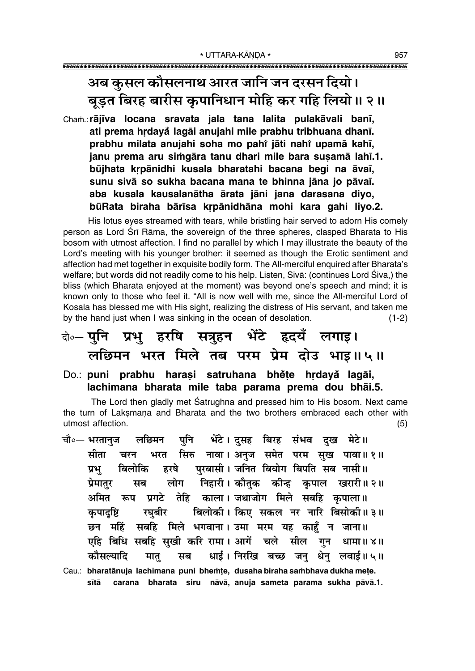## अब कुसल कौसलनाथ आरत जानि जन दरसन दियो। बुड़त बिरह बारीस कुपानिधान मोहि कर गहि लियो।। २॥

Cham.: rājīva locana sravata jala tana lalita pulakāvali banī, ati prema hrdayå lagāi anujahi mile prabhu tribhuana dhanī. prabhu milata anujahi soha mo pahi jāti nahi upamā kahī, janu prema aru simgāra tanu dhari mile bara susamā lahī.1. būjhata krpānidhi kusala bharatahi bacana begi na āvaī, sunu sivā so sukha bacana mana te bhinna jāna jo pāvaī. aba kusala kausalanātha ārata jāni jana darasana divo, būRata biraha bārīsa krpānidhāna mohi kara gahi liyo.2.

His lotus eyes streamed with tears, while bristling hair served to adorn His comely person as Lord Śrī Rāma, the sovereign of the three spheres, clasped Bharata to His bosom with utmost affection. I find no parallel by which I may illustrate the beauty of the Lord's meeting with his younger brother: it seemed as though the Erotic sentiment and affection had met together in exquisite bodily form. The All-merciful enquired after Bharata's welfare; but words did not readily come to his help. Listen, Siva: (continues Lord Śiva,) the bliss (which Bharata enjoyed at the moment) was beyond one's speech and mind; it is known only to those who feel it. "All is now well with me, since the All-merciful Lord of Kosala has blessed me with His sight, realizing the distress of His servant, and taken me by the hand just when I was sinking in the ocean of desolation.  $(1-2)$ 

### प्रभु हरषि सत्रुहन भेंटे हृदयँ लगाइ। दो∘— **पनि** लछिमन भरत मिले तब परम प्रेम दोउ भाइ॥५॥

Do.: puni prabhu harasi satruhana bhěte hrdayå lagāi, lachimana bharata mile taba parama prema dou bhāi.5.

The Lord then gladly met Satrughna and pressed him to His bosom. Next came the turn of Laksmana and Bharata and the two brothers embraced each other with utmost affection.  $(5)$ 

- पुनि भेंटे। दुसह बिरह संभव दुख मेटे॥ चौ०— भरतानुज लछिमन ्<br> चरन भरत सिरु नावा । अनुज समेत परम सुख पावा ॥ १ ॥ सीता हरषे पुरबासी। जनित बियोग बिपति सब नासी॥ प्रभ बिलोकि लोग निहारी। कौतुक कीन्ह कृपाल खरारी॥२॥ प्रेमातर सब अमित रूप प्रगटे तेहि काला।जथाजोग मिले सबहि कृपाला॥ विलोकी। किए सकल नर नारि बिसोकी॥३॥ कपादष्टि रघबीर छन महिं सबहि मिले भगवाना। उमा मरम यह काहँ न जाना॥ एहि बिधि सबहि सुखी करि रामा। आगें चले सील गुन धामा॥४॥ कौसल्यादि धाई। निरखि बच्छ जन् धेन् लवाई॥५॥ मात सब
- Cau.: bharatānuja lachimana puni bhemțe, dusaha biraha sambhava dukha mețe. carana bharata siru nāvā, anuja sameta parama sukha pāvā.1. sītā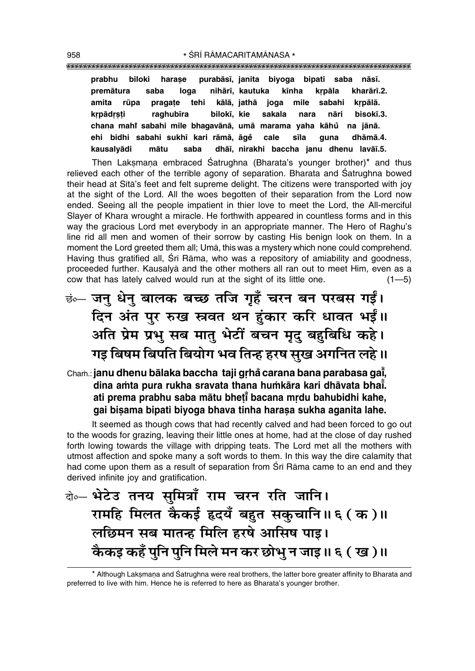"""""""""""""""""""""""""""""""""""""""""""""""""""""""""""""""""""""""""""""""""""

**prabhu biloki hara¶e purabås∂, janita biyoga bipati saba nås∂. premåtura saba loga nihår∂, kautuka k∂nha kæpåla kharår∂.2. amita rµupa praga¢e tehi kålå, jathå joga mile sabahi kæpålå. kæpådæ¶¢i raghub∂ra bilok∂, kie sakala nara nåri bisok∂.3. chana mahiÚ sabahi mile bhagavånå, umå marama yaha kåhu na jånå. ° ehi bidhi sabahi sukh∂ kari råmå, åge cale s∂la guna dhåmå.4. ° kausalyådi måtu saba dhå∂, nirakhi baccha janu dhenu lavå∂.5.**

Then Laksmana embraced Satrughna (Bharata's younger brother)<sup>\*</sup> and thus relieved each other of the terrible agony of separation. Bharata and Satrughna bowed their head at Sītā's feet and felt supreme delight. The citizens were transported with joy at the sight of the Lord. All the woes begotten of their separation from the Lord now ended. Seeing all the people impatient in thier love to meet the Lord, the All-merciful Slayer of Khara wrought a miracle. He forthwith appeared in countless forms and in this way the gracious Lord met everybody in an appropriate manner. The Hero of Raghuís line rid all men and women of their sorrow by casting His benign look on them. In a moment the Lord greeted them all; Umå, this was a mystery which none could comprehend. Having thus gratified all, Śrī Rāma, who was a repository of amiability and goodness, proceeded further. Kausalyå and the other mothers all ran out to meet Him, even as a cow that has lately calved would run at the sight of its little one.  $(1-5)$ 

 $\vec{v}$ <sub>0</sub>— जनु धेनु बालक बच्छ तजि गृहँ चरन बन परबस गईं। दिन अंत पुर रुख स्त्रवत थन हुंकार करि धावत भईं ।। <u>अति प्रेम प्रभु</u> सब मातु भेटीं बचन मृदु बहुबिधि कहे। **गड़ बिषम बिपति बियोग भव तिन्ह हरष सुख अगनित लहे।।** 

Chaṁ.: **janu dhenu bālaka baccha taji gṛhẳ carana bana parabasa gai̇̃, dina a≈ta pura rukha sravata thana hu≈kåra kari dhåvata bha∂° . ati prema prabhu saba måtu bhe¢∂° bacana mædu bahubidhi kahe,** gai bisama bipati biyoga bhava tinha harasa sukha aganita lahe.

It seemed as though cows that had recently calved and had been forced to go out to the woods for grazing, leaving their little ones at home, had at the close of day rushed forth lowing towards the village with dripping teats. The Lord met all the mothers with utmost affection and spoke many a soft words to them. In this way the dire calamity that had come upon them as a result of separation from Srī Rāma came to an end and they derived infinite joy and gratification.

# दो**०– भेटेउ तनय सुमित्राँ राम चरन रति जानि।**  $\overline{x}$ समहि मिलत कैकई हृदयँ बहुत सकुचानि॥६ (क)॥ **लछिमन सब मातन्ह मिलि हरषे आसिष पाइ।** े कैकइ कहँ पुनि पुनि मिले मन कर छोभु न जाइ॥ ६ ( ख )॥

\* Although Laksmana and Śatrughna were real brothers, the latter bore greater affinity to Bharata and preferred to live with him. Hence he is referred to here as Bharata's younger brother.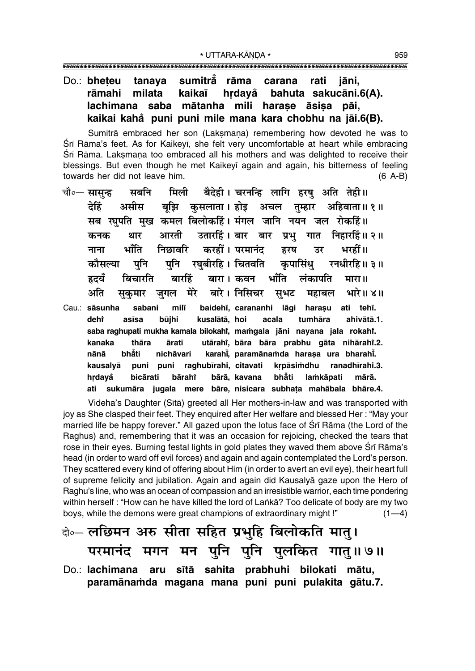#### sumitrå Do.: bheteu tanaya rāma carana rati iāni. milata kaikaī hrdayå bahuta sakucāni.6(A). rāmahi lachimana saba mātanha mili harase āsisa pāi, kaikai kahå puni puni mile mana kara chobhu na jāi.6(B).

Sumitrā embraced her son (Laksmana) remembering how devoted he was to Śrī Rāma's feet. As for Kaikeyī, she felt very uncomfortable at heart while embracing Śrī Rāma. Laksmana too embraced all his mothers and was delighted to receive their blessings. But even though he met Kaikeyī again and again, his bitterness of feeling towards her did not leave him.  $(6 A-B)$ 

- बैदेही। चरनन्हि लागि हरषु अति तेही॥ मिली चौ०— सासन्ह सबनि बझि कसलाता । होड़ अचल तम्हार अहिवाता॥१॥ देहिं असीस सब खपति मख कमल बिलोकहिं। मंगल जानि नयन जल रोकहिं॥ उतारहिं। बार बार प्रभ आरती निहारहिं ॥ २ ॥ थार गात कनक भाँति निछावरि करहीं। परमानंद हरष भरहीं ॥ नाना उर कौसल्या पनि पनि रघबीरहि । चितवति कपासिंध रनधीरहि॥ ३॥ हृदयँ बिचारति बारहिं बारा। कवन भाँति लंकापति मारा ॥ अति सुकुमार जुगल मेरे बारे । निसिचर सुभट महाबल भारे॥ ४॥
- Cau.: sāsunha sabani milī baidehī, carananhi lāgi harasu ati tehī. deht asīsa būjhi kusalātā, hoi acala tumhāra ahivātā.1. saba raghupati mukha kamala bilokahi, mamgala jāni nayana jala rokahi. utārahi, bāra bāra prabhu gāta nihārahi.2. kanaka thāra āratī bhẳti nānā nichāvari karahi, paramānamda harasa ura bharahi. puni puni raghubīrahi, citavati krpāsimdhu ranadhīrahi.3. kausalvā bhẳti hrdavå bicārati bārahi bārā, kavana lamkāpati mārā. sukumāra jugala mere bāre, nisicara subhata mahābala bhāre.4. ati

Videha's Daughter (Sītā) greeted all Her mothers-in-law and was transported with joy as She clasped their feet. They enquired after Her welfare and blessed Her: "May your married life be happy forever." All gazed upon the lotus face of Sri Rama (the Lord of the Raghus) and, remembering that it was an occasion for rejoicing, checked the tears that rose in their eyes. Burning festal lights in gold plates they waved them above Srī Rāma's head (in order to ward off evil forces) and again and again contemplated the Lord's person. They scattered every kind of offering about Him (in order to avert an evil eye), their heart full of supreme felicity and jubilation. Again and again did Kausalya gaze upon the Hero of Raghu's line, who was an ocean of compassion and an irresistible warrior, each time pondering within herself: "How can he have killed the lord of Lanka? Too delicate of body are my two boys, while the demons were great champions of extraordinary might!"  $(1-4)$ 

वेञ्-लछिमन अरु सीता सहित प्रभुहि बिलोकति मातु। परमानंद मगन मन पुनि पुनि पुलकित गातु॥७॥ Do.: lachimana aru sītā sahita prabhuhi bilokati mātu, paramānamda magana mana puni puni pulakita gātu.7.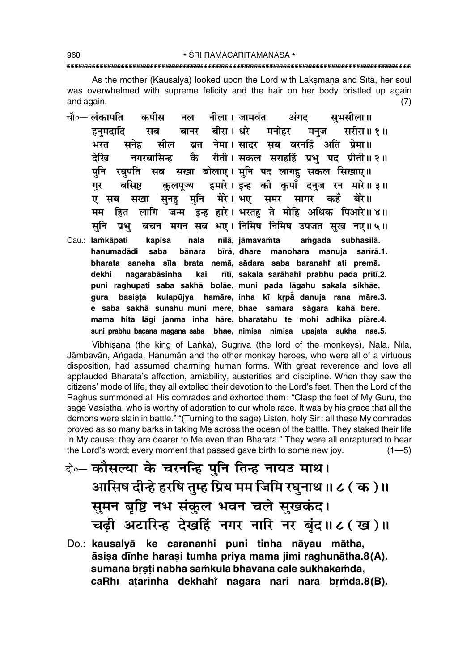As the mother (Kausalya) looked upon the Lord with Laksmana and Sītā, her soul was overwhelmed with supreme felicity and the hair on her body bristled up again and again.  $(7)$ 

- चौ०— **लंकापति** नीला । जामवंत कपीस नल अंगत सभसीला॥ बानर बीरा। धरे हनमदादि मब मनोहर सरीरा॥ १॥ मनुज सनेह ब्रत नेमा।सादर सब बरनहिं अति प्रेमा॥ भरत मील देखि कै रीती। सकल सराहहिं प्रभु पद प्रीती॥२॥ नगरबासिन्ह पनि सखा बोलाए। मनि पद लागह सकल सिखाए॥ रघपति सब बसिष्ट हमारे। इन्ह की कपाँ दनज रन मारे॥३॥ गर कलपज्य मेरे । भए समर सागर कहँ बेरे ॥ सूनह मुनि ए सब सखा इन्ह हारे। भरतह ते मोहि अधिक पिआरे॥४॥ ਸਸ हित लागि जन्म भए। निमिष निमिष उपजत सुख नए॥५॥ सनि प्रभ मगन सब बचन
- Cau.: lamkāpati nīlā, jāmavamta amgada kapīsa nala subhasīlā. saba bīrā, dhare manohara manuja hanumadādi bānara sarīrā.1. bharata saneha sīla brata nemā, sādara saba baranahi ati premā. dekhi nagarabāsinha kai rītī, sakala sarāhahi prabhu pada prītī.2. puni raghupati saba sakhā bolāe, muni pada lāgahu sakala sikhāe. basista kulapūjya hamāre, inha kī krpā danuja rana māre.3. qura e saba sakhā sunahu muni mere, bhae samara sāgara kahå bere. mama hita lāgi janma inha hāre, bharatahu te mohi adhika piāre.4. suni prabhu bacana magana saba bhae, nimisa nimisa upajata sukha nae.5.

Vibhīsana (the king of Lanka), Sugrīva (the lord of the monkeys), Nala, Nīla, Jāmbavān, Angada, Hanumān and the other monkey heroes, who were all of a virtuous disposition, had assumed charming human forms. With great reverence and love all applauded Bharata's affection, amiability, austerities and discipline. When they saw the citizens' mode of life, they all extolled their devotion to the Lord's feet. Then the Lord of the Raghus summoned all His comrades and exhorted them: "Clasp the feet of My Guru, the sage Vasistha, who is worthy of adoration to our whole race. It was by his grace that all the demons were slain in battle." "(Turning to the sage) Listen, holy Sir: all these My comrades proved as so many barks in taking Me across the ocean of the battle. They staked their life in My cause: they are dearer to Me even than Bharata." They were all enraptured to hear the Lord's word; every moment that passed gave birth to some new joy.  $(1 - 5)$ 

- बेन कौसल्या के चरनन्हि पुनि तिन्ह नायउ माथ। आसिष दीन्हे हरषि तुम्ह प्रिय मम जिमि रघुनाथ॥८ ( क )॥ सूमन बृष्टि नभ संकुल भवन चले सुखकंद। चढ़ी अटारिन्ह देखहिं नगर नारि नर बुंद॥८ (ख)॥
- Do.: kausalyā ke carananhi puni tinha nāyau mātha, āsisa dīnhe harasi tumha priya mama jimi raghunātha.8(A). sumana brsti nabha samkula bhavana cale sukhakamda, caRhī aṭārinha dekhahi nagara nāri nara brmda.8(B).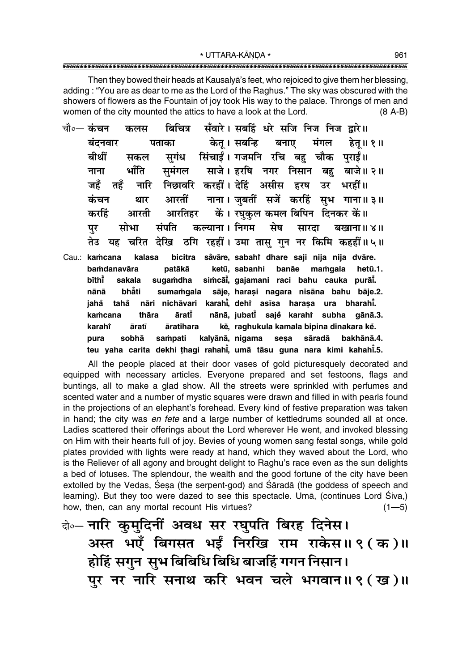\* UTTARA-KĀNDA \* 

Then they bowed their heads at Kausalya's feet, who rejoiced to give them her blessing, adding: "You are as dear to me as the Lord of the Raghus." The sky was obscured with the showers of flowers as the Fountain of joy took His way to the palace. Throngs of men and women of the city mounted the attics to have a look at the Lord.  $(8 A-B)$ 

- सँवारे। सबहिं धरे सजि निज निज द्वारे॥ चौ०— कंचन बिचित्र कलस केत । सबन्धि बनाए मंगल बंदनवार हेत॥ १ ॥ पताका बीथीं सिंचाईं। गजमनि रचि बहु चौक पुराईं॥ सुगंध सकल समंगल साजे। हरषि नगर निसान बह बाजे॥ २॥ भाँति नाना नारि निछावरि करहीं। देहिं असीस हरष जहँ तहँ उर भरहीं॥ नाना। जुबतीं सजें करहिं सुभ गाना॥३॥ आरतीं कंचन थार कें। रघुकुल कमल बिपिन दिनकर कें॥ करहिं आरती आरतिहर पर मोभा संपति कल्याना । निगम सेष सारदा बखाना ॥ ४॥ चरित देखि ठगि रहहीं। उमा तास गन नर किमि कहहीं॥५॥ तेउ यह
- såvāre, sabaht dhare saji nija nija dvāre. Cau.: kamcana kalasa bicitra bamdanavāra patākā ketū, sabanhi banāe mamqala hetū.1. bīthī simcāi, gajamani raci bahu cauka purāi. sakala sugamdha bhẳti sāje, harasi nagara nisāna bahu bāje.2. nānā sumamgala nāri nichāvari karahi, dehr asīsa harasa ura bharahi. jahå tahå nānā, jubatī saje karahi subha kamcana thāra āratī gānā.3. karaht āratī āratihara kė, raghukula kamala bipina dinakara kė. pura sampati kalyānā, nigama sobhā sesa sāradā bakhānā.4. teu yaha carita dekhi thagi rahahi, umā tāsu guna nara kimi kahahi.5.

All the people placed at their door vases of gold picturesquely decorated and equipped with necessary articles. Everyone prepared and set festoons, flags and buntings, all to make a glad show. All the streets were sprinkled with perfumes and scented water and a number of mystic squares were drawn and filled in with pearls found in the projections of an elephant's forehead. Every kind of festive preparation was taken in hand; the city was en fete and a large number of kettledrums sounded all at once. Ladies scattered their offerings about the Lord wherever He went, and invoked blessing on Him with their hearts full of joy. Bevies of young women sang festal songs, while gold plates provided with lights were ready at hand, which they waved about the Lord, who is the Reliever of all agony and brought delight to Raghu's race even as the sun delights a bed of lotuses. The splendour, the wealth and the good fortune of the city have been extolled by the Vedas, Sesa (the serpent-god) and Sarada (the goddess of speech and learning). But they too were dazed to see this spectacle. Uma, (continues Lord Śiva,) how, then, can any mortal recount His virtues?  $(1 - 5)$ 

बेञ्- नारि कुमुदिनीं अवध सर रघुपति बिरह दिनेस। अस्त भएँ बिगसत भईं निरखि राम राकेस॥९(क)॥ होहिं सगुन सुभ बिबिधि बिधि बाजहिं गगन निसान। पुर नर नारि सनाथ करि भवन चले भगवान॥९ (ख)॥

961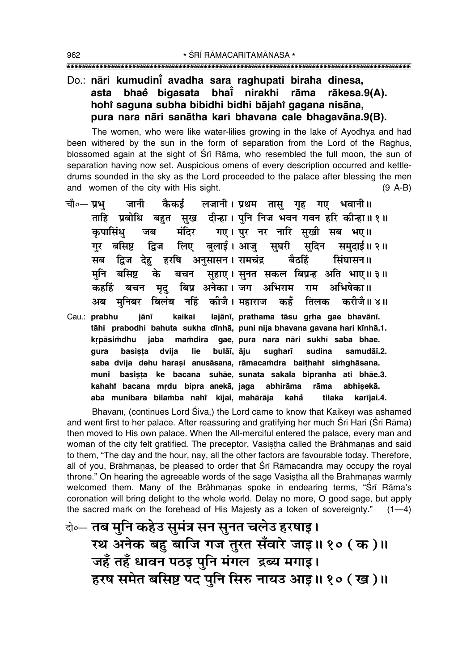### Do.: nāri kumudini avadha sara raghupati biraha dinesa, bhaě bigasata bhat nirakhi asta rāma rākesa.9(A). hohi saguna subha bibidhi bidhi bājahi gagana nisāna, pura nara nāri sanātha kari bhavana cale bhagavāna.9(B).

The women, who were like water-lilies growing in the lake of Ayodhya and had been withered by the sun in the form of separation from the Lord of the Raghus, blossomed again at the sight of Sri Rama, who resembled the full moon, the sun of separation having now set. Auspicious omens of every description occurred and kettledrums sounded in the sky as the Lord proceeded to the palace after blessing the men and women of the city with His sight.  $(9 A-B)$ 

- कैकर्द गए भवानी॥ चौ०— **प्रभ** जानी लजानी। प्रथम तास गह ताहि प्रबोधि बहुत सुख दीन्हा। पुनि निज भवन गवन हरि कीन्हा॥ १॥ कपासिंध मंदिर गए। पुर नर नारि सुखी सब भए॥ जब लिए बलाई। आज संघरी संदिन समदाई॥ २॥ गर बसिष्ट द्विज सब द्विज देहु हरषि अनुसासन। रामचंद्र बैठहिं सिंघासन॥ मनि बसिष्ट सुहाए। सुनत सकल बिप्रन्ह अति भाए॥३॥ के बचन कहहिं बचन मृद् बिप्र अनेका। जग अभिराम राम अभिषेका॥ बिलंब नहिं कीजै। महाराज कहँ करीजै॥४॥ अब मनिबर तिलक kaikaī lajānī, prathama tāsu grha gae bhavānī. Cau.: prabhu jānī
- tāhi prabodhi bahuta sukha dīnhā, puni nija bhavana gavana hari kīnhā.1. krpāsimdhu jaba mamdira gae, pura nara nāri sukhī saba bhae. basista lie bulāī, āju sugharī sudina qura dvija samudāī.2. saba dvija dehu harasi anusāsana, rāmacamdra baithahi simghāsana. basista ke bacana suhāe, sunata sakala bipranha ati bhāe.3. muni kahahi bacana mrdu bipra anekā, jaga abhirāma rāma abhisekā. aba munibara bilamba nahi kījai, mahārāja kahå tilaka karījai.4.

Bhavānī, (continues Lord Śiva,) the Lord came to know that Kaikeyī was ashamed and went first to her palace. After reassuring and gratifying her much Sri Hari (Sri Rāma) then moved to His own palace. When the All-merciful entered the palace, every man and woman of the city felt gratified. The preceptor, Vasistha called the Brāhmanas and said to them, "The day and the hour, nay, all the other factors are favourable today. Therefore, all of you, Brāhmaṇas, be pleased to order that Srī Rāmacandra may occupy the royal throne." On hearing the agreeable words of the sage Vasistha all the Brāhmanas warmly welcomed them. Many of the Brāhmanas spoke in endearing terms, "Srī Rāma's coronation will bring delight to the whole world. Delay no more, O good sage, but apply the sacred mark on the forehead of His Majesty as a token of sovereignty."  $(1-4)$ 

केन्ट तब मुनि कहेउ सुमंत्र सन सुनत चलेउ हरषाइ। रथ अनेक बहु बाजि गज तुरत सँवारे जाइ॥१० (क)॥ जहँ तहँ धावन पठइ पुनि मंगल द्रब्य मगाइ। हरष समेत बसिष्ट पद पुनि सिरु नायउ आइ॥ १० (ख)॥

962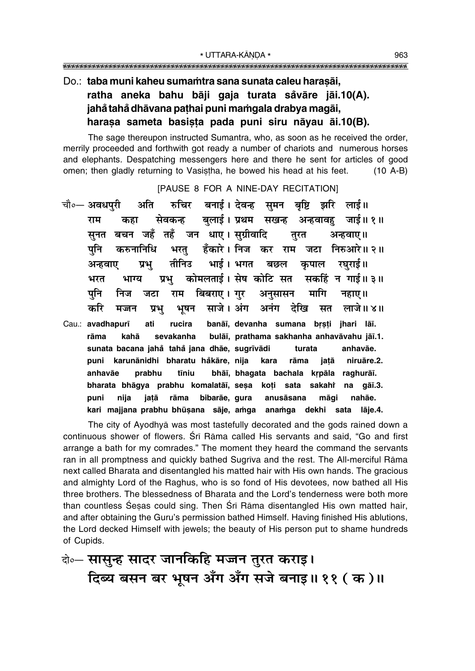### 

### Do.: taba muni kaheu sumamtra sana sunata caleu harasāi, ratha aneka bahu bāji gaja turata såvāre jāi.10(A). jahå tahå dhāvana pathai puni mamqala drabva maqāj. harasa sameta basista pada puni siru nāyau āi.10(B).

The sage thereupon instructed Sumantra, who, as soon as he received the order, merrily proceeded and forthwith got ready a number of chariots and numerous horses and elephants. Despatching messengers here and there he sent for articles of good omen; then gladly returning to Vasistha, he bowed his head at his feet.  $(10 A-B)$ 

[PAUSE 8 FOR A NINE-DAY RECITATION]

|         | चौ∘— अवधपुरी अति रुचिर बनाई। देवन्ह सुमन बृष्टि झरि लाई॥           |                                                          |  |  |          |  |  |
|---------|--------------------------------------------------------------------|----------------------------------------------------------|--|--|----------|--|--|
| राम     | कहा सेवकन्ह बुलाई।प्रथम सखन्ह अन्हवावहु जाई॥१॥                     |                                                          |  |  |          |  |  |
|         | सुनत बचन जहँ तहँ जन धाए । सुग्रीवादि  तुरत  अन्हवाए ॥              |                                                          |  |  |          |  |  |
|         | पुनि करुनानिधि भरतु हँकारे।निज कर राम जटा निरुआरे॥२॥               |                                                          |  |  |          |  |  |
|         | अन्हवाए प्रभु तीनिउ भाई। भगत बछल कृपाल रघुराई॥                     |                                                          |  |  |          |  |  |
|         | भरत भाग्य प्रभु कोमलताई।सेष कोटिसत सकहिं न गाई॥३॥                  |                                                          |  |  |          |  |  |
|         | पुनि निज जटा राम बिबराए।गुर अनुसासन मागि नहाए॥                     |                                                          |  |  |          |  |  |
|         | करि मज्जन प्रभु भूषन साजे।अंग अनंग देखि सत लाजे॥४॥                 |                                                          |  |  |          |  |  |
|         | Cau.: avadhapurī ati rucira banāī, devanha sumana brsti jhari lāī. |                                                          |  |  |          |  |  |
| rāma    | kahā sevakanha bulāi, prathama sakhanha anhavāvahu jāi.1.          |                                                          |  |  |          |  |  |
|         | sunata bacana jahå tahå jana dhāe, sugrīvādi burata                |                                                          |  |  | anhavāe. |  |  |
|         | puni karunānidhi bharatu håkāre, nija kara rāma jatā niruāre.2.    |                                                          |  |  |          |  |  |
| anhavāe | prabhu tīniu bhāī, bhagata bachala krpāla raghurāī.                |                                                          |  |  |          |  |  |
|         | bharata bhāgya prabhu komalatāī, seṣa koṭi sata sakahi na gāī.3.   |                                                          |  |  |          |  |  |
| puni    |                                                                    | nija jaṭā rāma bibarāe, gura anusāsana<br>māgi<br>nahāe. |  |  |          |  |  |
|         | kari majjana prabhu bhūṣana sāje, amga anamga dekhi sata lāje.4.   |                                                          |  |  |          |  |  |

The city of Ayodhya was most tastefully decorated and the gods rained down a continuous shower of flowers. Srī Rāma called His servants and said, "Go and first arrange a bath for my comrades." The moment they heard the command the servants ran in all promptness and quickly bathed Sugriva and the rest. The All-merciful Rāma next called Bharata and disentangled his matted hair with His own hands. The gracious and almighty Lord of the Raghus, who is so fond of His devotees, now bathed all His three brothers. The blessedness of Bharata and the Lord's tenderness were both more than countless Sesas could sing. Then Sri Rama disentangled His own matted hair, and after obtaining the Guru's permission bathed Himself. Having finished His ablutions, the Lord decked Himself with jewels; the beauty of His person put to shame hundreds of Cupids.

बे॰- सासुन्ह सादर जानकिहि मज्जन तुरत कराइ। दिब्य बसन बर भूषन अँग अँग सजे बनाइ॥११ (क)॥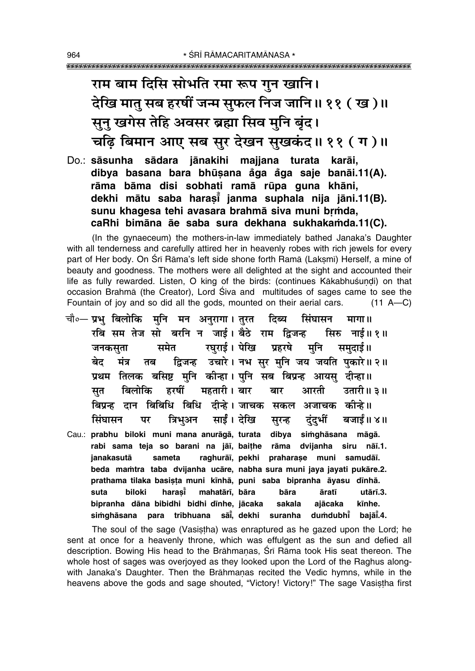# राम बाम दिसि सोभति रमा रूप गुन खानि। देखि मातु सब हरषीं जन्म सुफल निज जानि॥ ११ ( ख )॥ सूनु खगेस तेहि अवसर ब्रह्मा सिव मुनि बृंद। चढ़ि बिमान आए सब सुर देखन सुखकंद।। ११ ( ग )।।

Do.: sāsunha sādara iānakihi maijana turata karāj. dibva basana bara bhūsana ăga ăga saje banāi.11(A). rāma bāma disi sobhati ramā rūpa guna khāni. dekhi mātu saba harasi janma suphala nija jāni.11(B). sunu khaqesa tehi avasara brahmā siva muni brmda, caRhi bimāna āe saba sura dekhana sukhakamda.11(C).

(In the gynaeceum) the mothers-in-law immediately bathed Janaka's Daughter with all tenderness and carefully attired her in heavenly robes with rich jewels for every part of Her body. On Śrī Rāma's left side shone forth Ramā (Laksmī) Herself, a mine of beauty and goodness. The mothers were all delighted at the sight and accounted their life as fully rewarded. Listen, O king of the birds: (continues Kākabhuśundi) on that occasion Brahma (the Creator), Lord Śiva and multitudes of sages came to see the Fountain of joy and so did all the gods, mounted on their aerial cars.  $(11 A - C)$ 

| चौ०— प्रभु बिलोकि  मुनि  मन अनुरागा। तुरत  दिब्य  सिंघासन  मागा॥       |  |
|------------------------------------------------------------------------|--|
| रबि सम तेज सो बरनि न जाई। बैठे राम द्विजन्ह सिरु नाई॥१॥                |  |
| जनकसुता समेत रघुराई। पेखि प्रहरषे मुनि समुदाई॥                         |  |
| मंत्र तब द्विजन्ह उचारे। नभ सुर मुनि जय जयति पुकारे॥२॥<br>बेद          |  |
| प्रथम तिलक बसिष्ट मुनि कीन्हा। पुनि सब बिप्रन्ह आयसु दीन्हा॥           |  |
| बिलोकि हरषीं महतारी।बार बार आरती उतारी॥३॥<br>सुत                       |  |
| बिप्रन्ह दान बिबिधि बिधि दीन्हे।जाचक सकल अजाचक कीन्हे॥                 |  |
| सिंघासन पर त्रिभुअन साईं। देखि सुरन्ह दुंदुभीं बजाईं॥ ४॥               |  |
| Cau.: prabhu biloki muni mana anurāgā, turata dibya simghāsana māgā.   |  |
| rabi sama teja so barani na jāi, baithe rāma dvijanha siru nāi.1.      |  |
| sameta raghurāi, pekhi praharașe muni samudāi.<br>janakasutā           |  |
| beda mamtra taba dvijanha ucāre, nabha sura muni jaya jayati pukāre.2. |  |
| prathama tilaka basista muni kīnhā, puni saba bipranha āyasu dīnhā.    |  |
| harasi̇̃ mahatārī, bāra bāra<br>biloki<br>utārī.3.<br>suta<br>āratī    |  |
| bipranha dāna bibidhi bidhi dīnhe, jācaka sakala ajācaka<br>kīnhe.     |  |
| simghāsana para tribhuana sāi, dekhi suranha<br>dumdubhi<br>bajāī.4.   |  |

The soul of the sage (Vasistha) was enraptured as he gazed upon the Lord; he sent at once for a heavenly throne, which was effulgent as the sun and defied all description. Bowing His head to the Brāhmanas, Śrī Rāma took His seat thereon. The whole host of sages was overjoyed as they looked upon the Lord of the Raghus alongwith Janaka's Daughter. Then the Brāhmanas recited the Vedic hymns, while in the heavens above the gods and sage shouted, "Victory! Victory!" The sage Vasistha first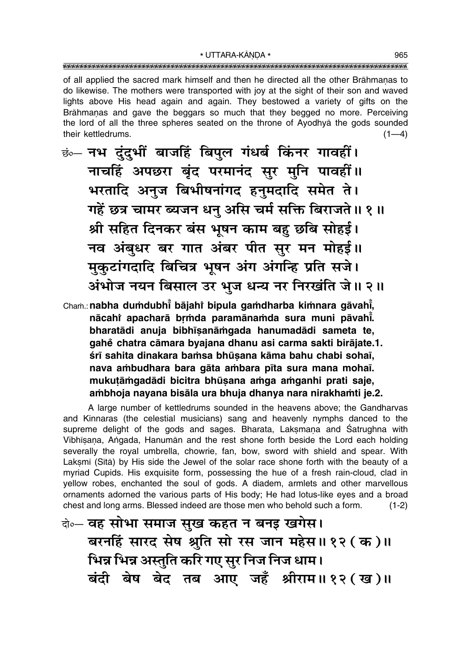\* UTTARA-KĀNDA \* 

of all applied the sacred mark himself and then he directed all the other Brāhmaṇas to do likewise. The mothers were transported with joy at the sight of their son and waved lights above His head again and again. They bestowed a variety of gifts on the Brāhmanas and gave the beggars so much that they begged no more. Perceiving the lord of all the three spheres seated on the throne of Ayodhya the gods sounded their kettledrums.  $(1-4)$ 

छं… नभ दुंदुभीं बाजहिं बिपुल गंधर्ब किंनर गावहीं। नाचहिं अपछरा बृंद परमानंद सुर मुनि पावहीं॥ भरतादि अनुज बिभीषनांगद हनुमदादि समेत ते। गहें छत्र चामर ब्यजन धनु असि चर्म सक्ति बिराजते ॥ १ ॥ श्री सहित दिनकर बंस भूषन काम बहु छबि सोहई। नव अंबुधर बर गात अंबर पीत सुर मन मोहई।। मुकुटांगदादि बिचित्र भूषन अंग अंगन्हि प्रति सजे। अंभोज नयन बिसाल उर भुज धन्य नर निरखंति जे ॥ २ ॥

Cham.: nabha dumdubhi bājahi bipula qamdharba kimnara qāvahi, nācahi apacharā brmda paramānamda sura muni pāvahī. bharatādi anuja bibhīsanāmgada hanumadādi sameta te, gahe chatra cāmara byajana dhanu asi carma sakti birājate.1. śrī sahita dinakara bamsa bhūsana kāma bahu chabi sohaī, nava ambudhara bara gāta ambara pīta sura mana mohaī. mukutāmgadādi bicitra bhūsana amga amganhi prati saje, ambhoja nayana bisāla ura bhuja dhanya nara nirakhamti je.2.

A large number of kettledrums sounded in the heavens above; the Gandharvas and Kinnaras (the celestial musicians) sang and heavenly nymphs danced to the supreme delight of the gods and sages. Bharata, Laksmana and Satrughna with Vibhisana, Angada, Hanumān and the rest shone forth beside the Lord each holding severally the royal umbrella, chowrie, fan, bow, sword with shield and spear. With Laksmi (Sita) by His side the Jewel of the solar race shone forth with the beauty of a myriad Cupids. His exquisite form, possessing the hue of a fresh rain-cloud, clad in yellow robes, enchanted the soul of gods. A diadem, armlets and other marvellous ornaments adorned the various parts of His body; He had lotus-like eyes and a broad chest and long arms. Blessed indeed are those men who behold such a form.  $(1-2)$ 

बेन्ट वह सोभा समाज सुख कहत न बनइ खगेस। बरनहिं सारद सेष श्रुति सो रस जान महेस ॥ १२ ( क ) ॥ भिन्न भिन्न अस्तुति करि गए सुर निज निज धाम। बंदी बेष बेद तब आए जहँ श्रीराम॥१२ (ख)॥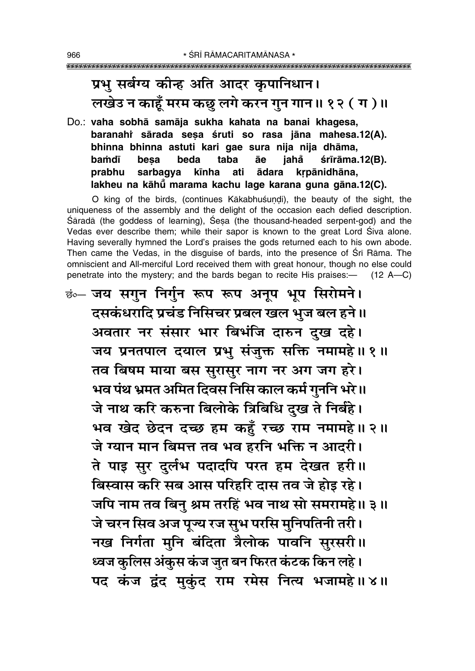# प्रभ सर्बग्य कीन्ह अति आदर कृपानिधान। लखेड न काहूँ मरम कछु लगे करन गुन गान॥ १२ ( ग )॥

Do.: vaha sobhā samāja sukha kahata na banai khagesa, baranahi sārada sesa śruti so rasa jāna mahesa.12(A). bhinna bhinna astuti kari gae sura nija nija dhāma, bamdī beda taba āe iahå śrīrāma.12(B). besa prabhu sarbagya kīnha ati ādara krpānidhāna, lakheu na kāhū marama kachu lage karana guna gāna.12(C).

O king of the birds, (continues Kākabhuśundi), the beauty of the sight, the uniqueness of the assembly and the delight of the occasion each defied description. Śāradā (the goddess of learning), Śesa (the thousand-headed serpent-god) and the Vedas ever describe them; while their sapor is known to the great Lord Siva alone. Having severally hymned the Lord's praises the gods returned each to his own abode. Then came the Vedas, in the disguise of bards, into the presence of Sri Rama. The omniscient and All-merciful Lord received them with great honour, though no else could penetrate into the mystery; and the bards began to recite His praises:-(12 A—C)

<u>ं क</u>र्— जय सगुन निर्गुन रूप रूप अनूप भूप सिरोमने। दसकंधरादि प्रचंड निसिचर प्रबल खल भुज बल हने॥ अवतार नर संसार भार बिभंजि दारुन दुख दहे। जय प्रनतपाल दयाल प्रभु संजुक्त सक्ति नमामहे।। १॥ तव बिषम माया बस सुरासुर नाग नर अग जग हरे। भव पंथ भ्रमत अमित दिवस निसि काल कर्म गुननि भरे॥ जे नाथ करि करुना बिलोके त्रिबिधि दुख ते निर्बहे। भव खेद छेदन दच्छ हम कहँ रच्छ राम नमामहे।। २॥ जे ग्यान मान बिमत्त तव भव हरनि भक्ति न आदरी। ते पाइ सुर दुर्लभ पदादपि परत हम देखत हरी।। बिस्वास करि सब आस परिहरि दास तव जे होड़ रहे। जपि नाम तव बिन् श्रम तरहिं भव नाथ सो समरामहे॥ ३॥ जे चरन सिव अज पूज्य रज सुभ परसि मुनिपतिनी तरी। नख निर्गता मुनि बंदिता त्रैलोक पावनि सुरसरी ।। ध्वज कुलिस अंकुस कंज जुत बन फिरत कंटक किन लहे। पद कंज द्वंद मुकुंद राम रमेस नित्य भजामहे ॥ ४॥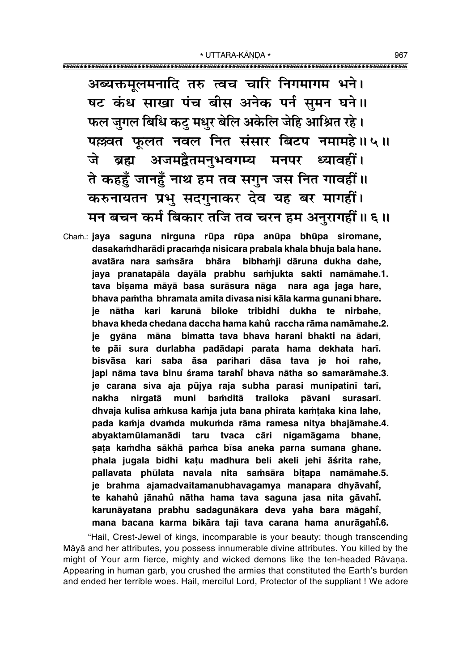\* UTTARA-KĀNDA \* 

अब्यक्तमूलमनादि तरु त्वच चारि निगमागम भने। षट कंध साखा पंच बीस अनेक पर्न सुमन घने।। फल जुगल बिधि कटु मधुर बेलि अकेलि जेहि आश्रित रहे। पल्लवत फूलत नवल नित संसार बिटप नमामहे॥५॥ जे ब्रह्म अजमद्वैतमनुभवगम्य मनपर ध्यावहीं। ते कहहुँ जानहुँ नाथ हम तव सगुन जस नित गावहीं॥ करुनायतन प्रभु सदगुनाकर देव यह बर मागहीं। मन बचन कर्म बिकार तजि तव चरन हम अनुरागहीं॥६॥

Cham.: jaya saguna nirguna rūpa rūpa anūpa bhūpa siromane, dasakamdharādi pracamda nisicara prabala khala bhuja bala hane. avatāra nara samsāra bhāra bibhamii dāruna dukha dahe, jaya pranatapāla dayāla prabhu samjukta sakti namāmahe.1. tava bisama māyā basa surāsura nāga nara aga jaga hare, bhava pamtha bhramata amita divasa nisi kāla karma gunani bhare. je nātha kari karunā biloke tribidhi dukha te nirbahe. bhava kheda chedana daccha hama kahů raccha rāma namāmahe.2. je gyāna māna bimatta tava bhava harani bhakti na ādarī, te pāi sura durlabha padādapi parata hama dekhata harī. bisvāsa kari saba āsa parihari dāsa tava je hoi rahe, japi nāma tava binu śrama tarahī bhava nātha so samarāmahe.3. je carana siva aja pūjya raja subha parasi munipatinī tarī, muni bamditā trailoka nakha nirgatā pāvani surasarī. dhvaja kulisa amkusa kamja juta bana phirata kamtaka kina lahe, pada kamja dvamda mukumda rāma ramesa nitya bhajāmahe.4. tvaca cāri nigamāgama bhane, abvaktamūlamanādi taru sata kamdha sākhā pamca bīsa aneka parna sumana ghane. phala jugala bidhi katu madhura beli akeli jehi āśrita rahe, pallavata phūlata navala nita samsāra bitapa namāmahe.5. je brahma ajamadvaitamanubhavagamya manapara dhyāvahi, te kahahů jānahů nātha hama tava saguna jasa nita gāvahi. karunāyatana prabhu sadagunākara deva yaha bara māgahī, mana bacana karma bikāra taji tava carana hama anurāgahi.6.

"Hail, Crest-Jewel of kings, incomparable is your beauty; though transcending Māyā and her attributes, you possess innumerable divine attributes. You killed by the might of Your arm fierce, mighty and wicked demons like the ten-headed Rāvana. Appearing in human garb, you crushed the armies that constituted the Earth's burden and ended her terrible woes. Hail, merciful Lord, Protector of the suppliant ! We adore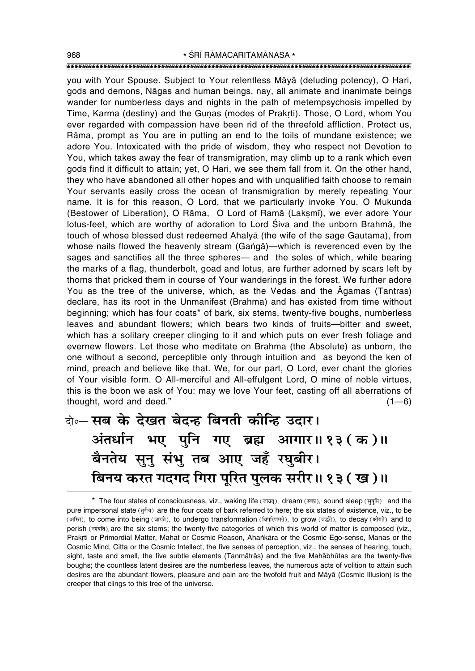### """"""""""""""""""""""""""""""""""""""""""""""""""""""""""""""""""""""""""""""""""" 968 \* SRĪ RĀMACARITAMĀNASA \*

you with Your Spouse. Subject to Your relentless Måyå (deluding potency), O Hari, gods and demons, Någas and human beings, nay, all animate and inanimate beings wander for numberless days and nights in the path of metempsychosis impelled by Time, Karma (destiny) and the Gunas (modes of Prakrti). Those, O Lord, whom You ever regarded with compassion have been rid of the threefold affliction. Protect us, Råma, prompt as You are in putting an end to the toils of mundane existence; we adore You. Intoxicated with the pride of wisdom, they who respect not Devotion to You, which takes away the fear of transmigration, may climb up to a rank which even gods find it difficult to attain; yet, O Hari, we see them fall from it. On the other hand, they who have abandoned all other hopes and with unqualified faith choose to remain Your servants easily cross the ocean of transmigration by merely repeating Your name. It is for this reason, O Lord, that we particularly invoke You. O Mukunda (Bestower of Liberation), O Råma, O Lord of Ramå (Lak¶m∂), we ever adore Your lotus-feet, which are worthy of adoration to Lord Siva and the unborn Brahma, the touch of whose blessed dust redeemed Ahalyå (the wife of the sage Gautama), from whose nails flowed the heavenly stream (Ganga)—which is reverenced even by the sages and sanctifies all the three spheres— and the soles of which, while bearing the marks of a flag, thunderbolt, goad and lotus, are further adorned by scars left by thorns that pricked them in course of Your wanderings in the forest. We further adore You as the tree of the universe, which, as the Vedas and the Ågamas (Tantras) declare, has its root in the Unmanifest (Brahma) and has existed from time without beginning; which has four coats\* of bark, six stems, twenty-five boughs, numberless leaves and abundant flowers; which bears two kinds of fruits—bitter and sweet, which has a solitary creeper clinging to it and which puts on ever fresh foliage and evernew flowers. Let those who meditate on Brahma (the Absolute) as unborn, the one without a second, perceptible only through intuition and as beyond the ken of mind, preach and believe like that. We, for our part, O Lord, ever chant the glories of Your visible form. O All-merciful and All-effulgent Lord, O mine of noble virtues, this is the boon we ask of You: may we love Your feet, casting off all aberrations of thought, word and deed."  $(1-6)$ 

# दो**० सब के देखत बेदन्ह बिनती कीन्हि उदार। अंतर्धान भए पुनि गए ब्रह्म आगार॥१३ (क)॥** <u>बैनतेय सून संभु</u> तब आए जहँ रघुबीर। **बिनय करत गदगद गिरा पूरित पुलक सरीर॥ १३ ( ख)॥**

<sup>\*</sup> The four states of consciousness, viz., waking life (जाग्रत्), dream (स्वप्न), sound sleep (सुपुप्ति) and the pure impersonal state (तूरीय) are the four coats of bark referred to here; the six states of existence, viz., to be (अस्ति), to come into being (जायते), to undergo transformation (विपरिणमते), to grow (बर्द्धते), to decay (क्षीयते) and to perish (नश्यति), are the six stems; the twenty-five categories of which this world of matter is composed (viz., Prakrti or Primordial Matter, Mahat or Cosmic Reason, Ahankāra or the Cosmic Ego-sense, Manas or the Cosmic Mind, Citta or the Cosmic Intellect, the five senses of perception, viz., the senses of hearing, touch, sight, taste and smell, the five subtle elements (Tanmātrās) and the five Mahābhūtas are the twenty-five boughs; the countless latent desires are the numberless leaves, the numerous acts of volition to attain such desires are the abundant flowers, pleasure and pain are the twofold fruit and Måyå (Cosmic Illusion) is the creeper that clings to this tree of the universe.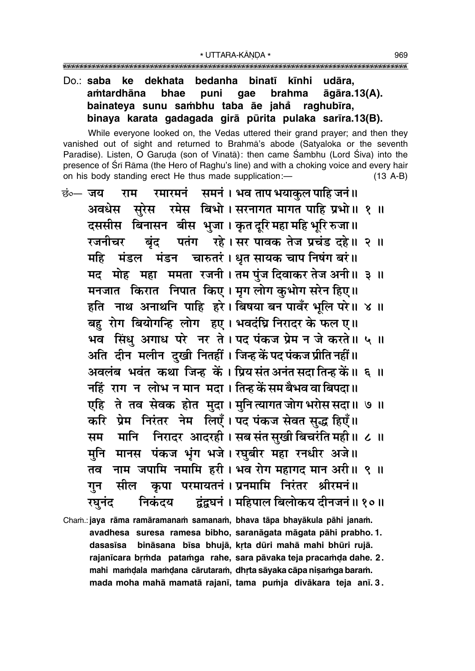#### Do.:  $saba$ ke dekhata bedanha binatī kīnhi udāra, amtardhāna qae **brahma** bhae puni  $\bar{a}$ gāra.13 $(A)$ . bainateya sunu sambhu taba āe jahå raghubīra, binaya karata gadagada girā pūrita pulaka sarīra.13(B).

While everyone looked on, the Vedas uttered their grand prayer; and then they vanished out of sight and returned to Brahma's abode (Satyaloka or the seventh Paradise). Listen, O Garuda (son of Vinatā): then came Śambhu (Lord Śiva) into the presence of Srī Rāma (the Hero of Raghu's line) and with a choking voice and every hair on his body standing erect He thus made supplication:- $(13 A-B)$ 

रमारमनं समनं । भव ताप भयाकल पाहि जनं॥ छं $-$  जय राम सुरेस रमेस बिभो। सरनागत मागत पाहि प्रभो॥ १ ॥ अवधेस दससीस बिनासन बीस भुजा। कृत दूरि महा महि भूरि रुजा॥ रजनीचर बृंद पतंग रहे। सर पावक तेज प्रचंड दहे॥ २ ॥ महि मंडल मंडन चारुतरं। धृत सायक चाप निषंग बरं॥ मद मोह महा ममता रजनी। तम पुंज दिवाकर तेज अनी॥ ३ ॥ मनजात किरात निपात किए। मूग लोग कुभोग सरेन हिए॥ हति नाथ अनाथनि पाहि हरे। बिषया बन पावँर भूलि परे॥ ४ ॥ बह रोग बियोगन्हि लोग हुए। भवदंघ्नि निरादर के फल ए॥ भव सिंधु अगाध परे नर ते। पद पंकज प्रेम न जे करते॥ ५ ॥ अति दीन मलीन दुखी नितहीं। जिन्ह कें पद पंकज प्रीति नहीं॥ अवलंब भवंत कथा जिन्ह कें। प्रिय संत अनंत सदा तिन्ह कें।। ६ ॥ नहिं राग न लोभ न मान मदा। तिन्ह कें सम बैभव वा बिपदा॥ एहिं ते तव सेवक होत मुदा। मुनित्यागतजोग भरोस सदा॥ ७॥ करि प्रेम निरंतर नेम लिएँ। पद पंकज सेवत सुद्ध हिएँ॥ मानि निरादर आदरही। सब संत सुखी बिचरंति मही॥ ८ ॥ सम मनि मानस पंकज भंग भजे। रघबीर महा रनधीर अजे।। नाम जपामि नमामि हरी। भव रोग महागद मान अरी॥ ९ ॥ तव कपा परमायतनं । प्रनमामि निरंतर श्रीरमनं ॥ सील गन द्वंद्वघनं । महिपाल बिलोकय दीनजनं ॥ १०॥ निकंदय रघनंद

Cham.: jaya rāma ramāramanam samanam, bhava tāpa bhayākula pāhi janam. avadhesa suresa ramesa bibho, saranāgata māgata pāhi prabho. 1. dasasīsa bināsana bīsa bhujā, krta dūri mahā mahi bhūri rujā. rajanīcara brmda patamga rahe, sara pāvaka teja pracamda dahe. 2. mahi mamdala mamdana cārutaram, dhrta sāyaka cāpa nisamga baram. mada moha mahā mamatā rajanī, tama pumja divākara teja anī. 3.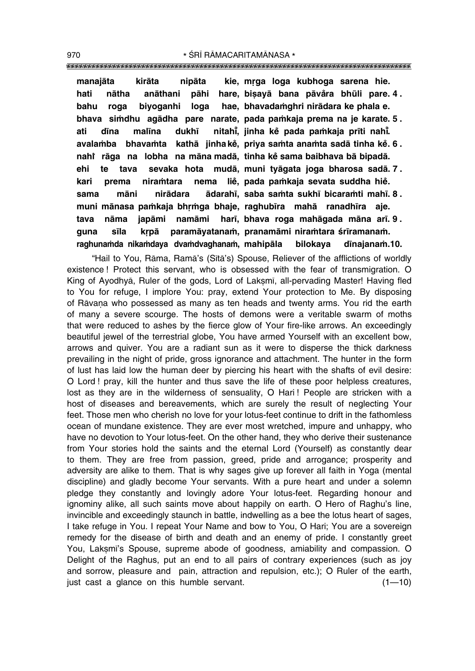manajāta kirāta nipāta kie, mrga loga kubhoga sarena hie. hati nātha anāthani pāhi hare, bisayā bana pāvåra bhūli pare. 4. bahu roga biyoganhi loga hae, bhavadamghri nirādara ke phala e. **bhava si≈dhu agådha pare narate, pada pa≈kaja prema na je karate. 5 . ati d∂na mal∂na dukh∂ nitah∂, jinha ke ° ° pada pa≈kaja pr∂ti nah∂.° avala≈ba bhava≈ta kathå jinha ke°, priya sa≈ta ana≈ta sadå tinha ke° .6. nahiÚ råga na lobha na måna madå, tinha ke° sama baibhava bå bipadå. ehi te tava sevaka hota mudå, muni tyågata joga bharosa sadå. 7 . kari prema nira≈tara nema lie° , pada pa≈kaja sevata suddha hie° . sama måni nirådara ådarah∂, saba sa≈ta sukh∂ bicara≈ti mah∂. 8 . muni månasa pa≈kaja bhæ≈ga bhaje, raghub∂ra mahå ranadh∂ra aje. tava nåma japåmi namåmi har∂, bhava roga mahågada måna ar∂. 9 .** guna sīla krpā paramāyatanaṁ, pranamāmi niraṁtara śrīramanaṁ. raghunamda nikamdaya dvamdvaghanam, mahipāla bilokaya dīnajanam.10.

ìHail to You, Råma, Ramåís (S∂tåís) Spouse, Reliever of the afflictions of worldly existence ! Protect this servant, who is obsessed with the fear of transmigration. O King of Ayodhyā, Ruler of the gods, Lord of Laksmī, all-pervading Master! Having fled to You for refuge, I implore You: pray, extend Your protection to Me. By disposing of Rāvana who possessed as many as ten heads and twenty arms. You rid the earth of many a severe scourge. The hosts of demons were a veritable swarm of moths that were reduced to ashes by the fierce glow of Your fire-like arrows. An exceedingly beautiful jewel of the terrestrial globe, You have armed Yourself with an excellent bow, arrows and quiver. You are a radiant sun as it were to disperse the thick darkness prevailing in the night of pride, gross ignorance and attachment. The hunter in the form of lust has laid low the human deer by piercing his heart with the shafts of evil desire: O Lord ! pray, kill the hunter and thus save the life of these poor helpless creatures, lost as they are in the wilderness of sensuality, O Hari! People are stricken with a host of diseases and bereavements, which are surely the result of neglecting Your feet. Those men who cherish no love for your lotus-feet continue to drift in the fathomless ocean of mundane existence. They are ever most wretched, impure and unhappy, who have no devotion to Your lotus-feet. On the other hand, they who derive their sustenance from Your stories hold the saints and the eternal Lord (Yourself) as constantly dear to them. They are free from passion, greed, pride and arrogance; prosperity and adversity are alike to them. That is why sages give up forever all faith in Yoga (mental discipline) and gladly become Your servants. With a pure heart and under a solemn pledge they constantly and lovingly adore Your lotus-feet. Regarding honour and ignominy alike, all such saints move about happily on earth. O Hero of Raghu's line, invincible and exceedingly staunch in battle, indwelling as a bee the lotus heart of sages, I take refuge in You. I repeat Your Name and bow to You, O Hari; You are a sovereign remedy for the disease of birth and death and an enemy of pride. I constantly greet You, Laksmi's Spouse, supreme abode of goodness, amiability and compassion. O Delight of the Raghus, put an end to all pairs of contrary experiences (such as joy and sorrow, pleasure and pain, attraction and repulsion, etc.); O Ruler of the earth, just cast a glance on this humble servant.  $(1-10)$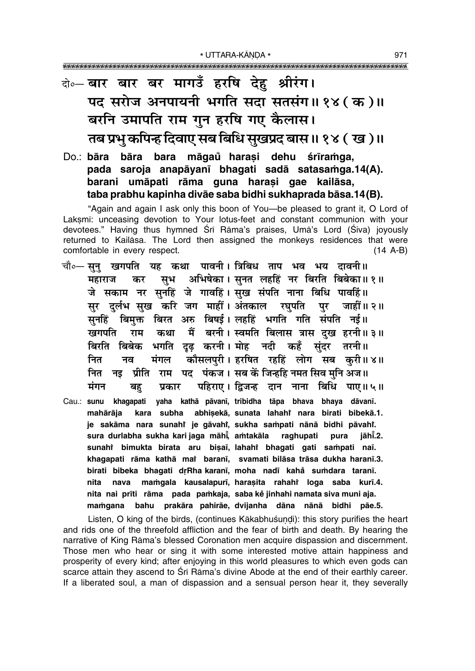# बे-बार बार बर मागडँ हरषि देहु श्रीरंग। पद सरोज अनपायनी भगति सदा सतसंग॥१४ ( क )॥ बरनि उमापति राम गुन हरषि गए कैलास। तब प्रभु कपिन्ह दिवाए सब बिधि सुखप्रद बास।। १४ (ख)॥

Do.: bāra bāra bara māgaŭ harasi dehu śrīramga, pada saroja anapāyanī bhagati sadā satasamga.14(A). barani umāpati rāma guna harasi gae kailāsa, taba prabhu kapinha divāe saba bidhi sukhaprada bāsa.14(B).

"Again and again I ask only this boon of You-be pleased to grant it, O Lord of Laksmi: unceasing devotion to Your lotus-feet and constant communion with your devotees." Having thus hymned Śrī Rāma's praises, Umā's Lord (Śiva) joyously returned to Kailasa. The Lord then assigned the monkeys residences that were comfortable in every respect.  $(14 A-B)$ 

- चौ∘—सुनु खगपति यह कथा पावनी।त्रिबिध ताप भव भय दावनी॥ सभ अभिषेका। सनत लहहिं नर बिरति बिबेका॥१॥ महाराज कर जे सकाम नर सुनहिं जे गावहिं। सुख संपति नाना बिधि पावहिं॥ सर दर्लभ सख करि जग माहीं। अंतकाल रघपति पर जाहीं॥ २॥ सुनहिं बिमुक्त बिरत अरु बिषई। लहहिं भगति गति संपति नई।। मैं बरनी। स्वमति बिलास त्रास दुख हरनी॥३॥ खगपति राम कथा बिरति बिबेक भगति दृढ करनी।मोह नदी कहँ संदर तरनी॥ कौसलपुरी। हरषित रहहिं लोग सब करी॥४॥ नित मंगल नव प्रीति राम पद पंकज। सब कें जिन्हहि नमत सिव मुनि अज॥ नित नड पहिराए। द्विजन्ह दान नाना बिधि पाए॥५॥ मंगन प्रकार बह
- Cau.: sunu khagapati yaha kathā pāvanī, tribidha tāpa bhava bhaya dāvanī. mahārāja kara subha abhisekā, sunata lahahi nara birati bibekā.1. je sakāma nara sunahi je gāvahi, sukha sampati nānā bidhi pāvahi. sura durlabha sukha kari jaga māhī, amtakāla raghupati pura iāhī.2. sunahi bimukta birata aru bişai, lahahi bhagati gati sampati nai. khagapati rāma kathā mai baranī, svamati bilāsa trāsa dukha haranī.3. birati bibeka bhagati drRha karanī, moha nadī kahå sumdara taranī. nava mamgala kausalapurī, harasita rahahi loga saba kurī.4. nita nita nai prīti rāma pada pamkaja, saba ke jinhahi namata siva muni aja. mamgana bahu prakāra pahirāe, dvijanha dāna nānā bidhi pāe.5.

Listen, O king of the birds, (continues Kākabhuśundi): this story purifies the heart and rids one of the threefold affliction and the fear of birth and death. By hearing the narrative of King Rāma's blessed Coronation men acquire dispassion and discernment. Those men who hear or sing it with some interested motive attain happiness and prosperity of every kind; after enjoying in this world pleasures to which even gods can scarce attain they ascend to Sri Rama's divine Abode at the end of their earthly career. If a liberated soul, a man of dispassion and a sensual person hear it, they severally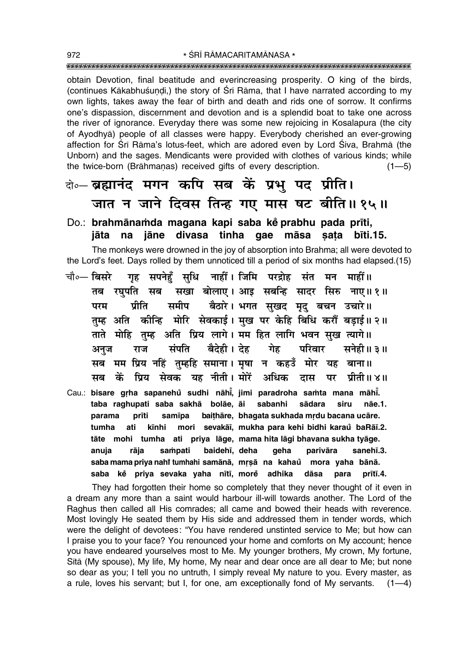obtain Devotion, final beatitude and everincreasing prosperity. O king of the birds, (continues Kākabhuśundi.) the story of Śrī Rāma, that I have narrated according to my own lights, takes away the fear of birth and death and rids one of sorrow. It confirms one's dispassion, discernment and devotion and is a splendid boat to take one across the river of ignorance. Everyday there was some new rejoicing in Kosalapura (the city of Ayodhya) people of all classes were happy. Everybody cherished an ever-growing affection for Śrī Rāma's lotus-feet, which are adored even by Lord Śiva, Brahmā (the Unborn) and the sages. Mendicants were provided with clothes of various kinds; while the twice-born (Brāhmanas) received gifts of every description.  $(1 - 5)$ 

## वे० ब्रह्मानंद मगन कपि सब कें प्रभु पद प्रीति। जात न जाने दिवस तिन्ह गए मास षट बीति॥१५॥

### Do.: brahmānamda magana kapi saba kẻ prabhu pada prīti, na jāne divasa tinha gae māsa sata bīti.15. jāta

The monkeys were drowned in the joy of absorption into Brahma; all were devoted to the Lord's feet. Days rolled by them unnoticed till a period of six months had elapsed.(15)

- गृह सपनेहुँ सुधि नाहीं।जिमि परद्रोह संत मन माहीं॥ चौ०— बिसरे तब रघुपति सब सखा बोलाए।अाइ सबन्हि सादर सिरु नाए॥१॥ बैठारे। भगत सुखद मृदु बचन उचारे॥ परम प्रीति समीप तुम्ह अति कीन्हि मोरि सेवकाई। मुख पर केहि बिधि करौं बड़ाई॥ २॥ ताते मोहि तुम्ह अति प्रिय लागे। मम हित लागि भवन सुख त्यागे॥ संपति बैदेही । देह गेह परिवार राज सनेही॥ ३॥ अनुज सब मम प्रिय नहिं तुम्हहि समाना। मृषा न कहउँ मोर यह बाना॥ सब कें प्रिय सेवक यह नीती।मोरें अधिक दास पर प्रीती॥४॥
- Cau.: bisare grha sapanehů sudhi nāhi, jimi paradroha samta mana māhi. taba raghupati saba sakhā bolāe, āi sabanhi sādara siru nāe.1. baithāre, bhagata sukhada mrdu bacana ucāre. parama prīti samīpa mori sevakāi, mukha para kehi bidhi karaŭ baRāi.2. tumha ati kīnhi tāte mohi tumha ati priya lāge, mama hita lāgi bhavana sukha tyāge. baidehī, deha anuja rāja sampati geha parivāra sanehī.3. saba mama priya nahi tumhahi samānā, mrsā na kahaŭ mora yaha bānā. saba ke priya sevaka yaha nītī, more adhika dāsa para prītī.4.

They had forgotten their home so completely that they never thought of it even in a dream any more than a saint would harbour ill-will towards another. The Lord of the Raghus then called all His comrades; all came and bowed their heads with reverence. Most lovingly He seated them by His side and addressed them in tender words, which were the delight of devotees: "You have rendered unstinted service to Me; but how can I praise you to your face? You renounced your home and comforts on My account; hence you have endeared yourselves most to Me. My younger brothers, My crown, My fortune, Sītā (My spouse), My life, My home, My near and dear once are all dear to Me; but none so dear as you; I tell you no untruth, I simply reveal My nature to you. Every master, as a rule, loves his servant; but I, for one, am exceptionally fond of My servants.  $(1-4)$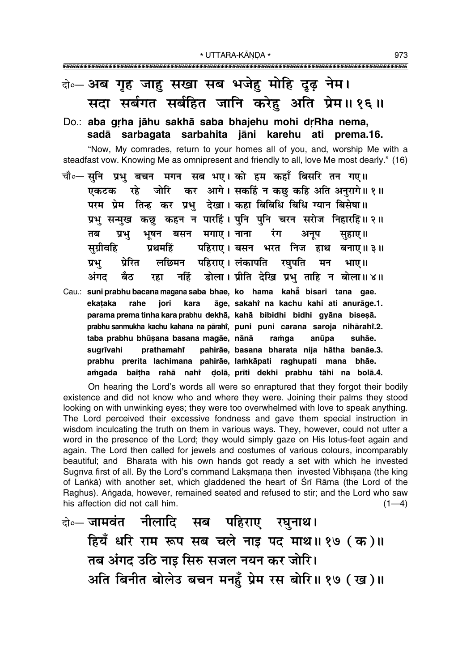## वे०- अब गृह जाहु सखा सब भजेहु मोहि दूढ़ नेम। सदा सर्बगत सर्बहित जानि करेह अति प्रेम॥१६॥

### Do.: aba grha jāhu sakhā saba bhajehu mohi drRha nema, sadā sarbagata sarbahita jāni karehu ati prema.16.

"Now, My comrades, return to your homes all of you, and, worship Me with a steadfast vow. Knowing Me as omnipresent and friendly to all, love Me most dearly." (16)

- चौ०—सूनि प्रभु बचन मगन सब भए।को हम कहाँ बिसरि तन गए॥ जोरि कर आगे। सकहिं न कछु कहि अति अनुरागे॥१॥ रहे एकटक परम प्रेम तिन्ह कर प्रभ देखा। कहा बिबिधि बिधि ग्यान बिसेषा॥ प्रभ सन्मख कछ कहन न पारहिं। पनि पनि चरन सरोज निहारहिं॥ २॥ तब प्रभ भूषन बसन मगाए। नाना रंग अनुप सहाए।। प्रथमहिं पहिराए। बसन भरत निज हाथ बनाए॥३॥ सग्रीवहि लछिमन पहिराए।लंकापति रघपति प्रभ प्रेरित मन भाए।। नहिं डोला। प्रीति देखि प्रभु ताहि न बोला॥४॥ अंगद ਕੈਠ रहा
- Cau.: suni prabhu bacana magana saba bhae, ko hama kaha bisari tana gae. āge, sakahi na kachu kahi ati anurāge.1. ekataka rahe jori kara parama prema tinha kara prabhu dekhā, kahā bibidhi bidhi qyāna bisesā. prabhu sanmukha kachu kahana na pārahi, puni puni carana saroja nihārahi.2. taba prabhu bhūṣana basana magāe, nānā ramga anūpa suhāe. suarīvahi prathamahi pahirāe, basana bharata nija hātha banāe.3. prabhu prerita lachimana pahirāe, lamkāpati raghupati mana bhāe. amgada baitha rahā nahi dolā, prīti dekhi prabhu tāhi na bolā.4.

On hearing the Lord's words all were so enraptured that they forgot their bodily existence and did not know who and where they were. Joining their palms they stood looking on with unwinking eyes; they were too overwhelmed with love to speak anything. The Lord perceived their excessive fondness and gave them special instruction in wisdom inculcating the truth on them in various ways. They, however, could not utter a word in the presence of the Lord; they would simply gaze on His lotus-feet again and again. The Lord then called for jewels and costumes of various colours, incomparably beautiful; and Bharata with his own hands got ready a set with which he invested Sugriva first of all. By the Lord's command Laksmana then invested Vibhisana (the king of Lanka) with another set, which gladdened the heart of Sri Rama (the Lord of the Raghus). Angada, however, remained seated and refused to stir; and the Lord who saw his affection did not call him.  $(1-4)$ 

दो∘– जामवंत नीलादि सब पहिराए रघुनाथ। हियँ धरि राम रूप सब चले नाइ पद माथ॥१७ (क)॥ तब अंगद उठि नाइ सिरु सजल नयन कर जोरि। अति बिनीत बोलेउ बचन मनहँ प्रेम रस बोरि॥ १७ (ख)॥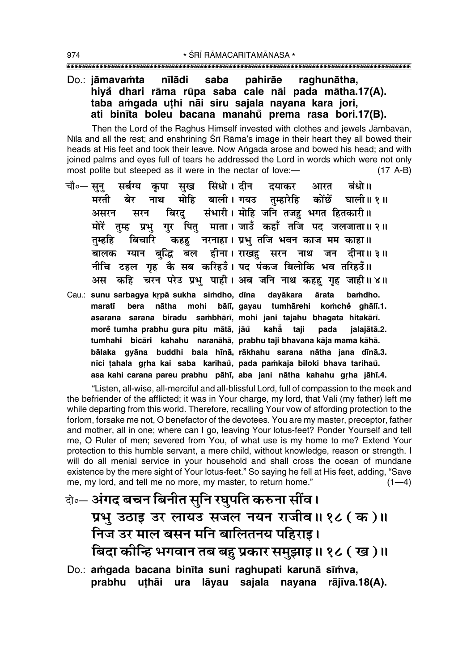#### Do.: jāmavamta nīlādi saba pahirāe raghunātha, hivă dhari rāma rūpa saba cale nāi pada mātha.17(A). taba amgada uthi nai siru sajala nayana kara jori, ati binīta boleu bacana manahů prema rasa bori.17(B).

Then the Lord of the Raghus Himself invested with clothes and jewels Jāmbavān, Nīla and all the rest; and enshrining Srī Rāma's image in their heart they all bowed their heads at His feet and took their leave. Now Angada arose and bowed his head; and with joined palms and eves full of tears he addressed the Lord in words which were not only most polite but steeped as it were in the nectar of love:- $(17 A-B)$ 

- चौ०— सूनु सर्बग्य कृपा सुख सिंधो।दीन दयाकर बंधो ॥ आरत मोहि बाली। गयउ तम्हारेहि कोंछें घाली॥१॥ मरती बेर नाथ बिरद संभारी। मोहि जनि तजह भगत हितकारी॥ अमरन सरन मोरें तुम्ह प्रभु गुर पितु माता।जाउँ कहाँ तजि पद जलजाता॥२॥ बिचारि कहहु नरनाहा। प्रभु तजि भवन काज मम काहा॥ तम्हहि बालक ग्यान बद्धि बल हीना।।राखह सरन नाथ जन दीना॥३॥ नीचि टहल गह कै सब करिहउँ। पद पंकज बिलोकि भव तरिहउँ॥ अस कहि चरन परेउ प्रभु पाही। अब जनि नाथ कहह गृह जाही॥४॥
- Cau.: sunu sarbagya krpā sukha simdho, dīna dayākara ārata bamdho. bālī, gayau tumhārehi komche qhālī.1. maratī bera nātha mohi asarana sarana biradu sambhārī, mohi jani tajahu bhagata hitakārī. morė tumha prabhu gura pitu mātā, jāů kahẵ taji pada jalajātā.2. tumhahi bicāri kahahu naranāhā, prabhu taji bhavana kāja mama kāhā. bālaka gyāna buddhi bala hīnā, rākhahu sarana nātha jana dīnā.3. nīci tahala grha kai saba karihau, pada pamkaja biloki bhava tarihau. asa kahi carana pareu prabhu pāhī, aba jani nātha kahahu grha jāhī.4.

"Listen, all-wise, all-merciful and all-blissful Lord, full of compassion to the meek and the befriender of the afflicted; it was in Your charge, my lord, that Vāli (my father) left me while departing from this world. Therefore, recalling Your vow of affording protection to the forlorn, forsake me not, O benefactor of the devotees. You are my master, preceptor, father and mother, all in one; where can I go, leaving Your lotus-feet? Ponder Yourself and tell me, O Ruler of men; severed from You, of what use is my home to me? Extend Your protection to this humble servant, a mere child, without knowledge, reason or strength. I will do all menial service in your household and shall cross the ocean of mundane existence by the mere sight of Your lotus-feet." So saying he fell at His feet, adding, "Save me, my lord, and tell me no more, my master, to return home."  $(1-4)$ 

- केन्ट अंगद बचन बिनीत सुनि रघुपति करुना सींव। प्रभु उठाइ उर लायउ सजल नयन राजीव॥१८ (क)॥ निज उर माल बसन मनि बालितनय पहिराइ। बिदा कीन्हि भगवान तब बहु प्रकार समुझाइ॥ १८ (ख)॥
- Do.: amgada bacana binīta suni raghupati karunā sīmva, prabhu uthāi ura lāyau sajala nayana rājīva.18(A).

974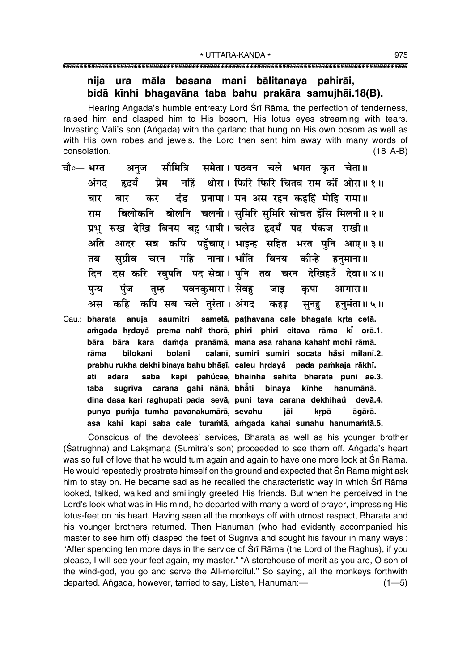### nija ura māla basana mani bālitanaya pahirāi, bidā kīnhi bhagavāna taba bahu prakāra samujhāi.18(B).

Hearing Angada's humble entreaty Lord Sri Rama, the perfection of tenderness, raised him and clasped him to His bosom. His lotus eves streaming with tears. Investing Vāli's son (Angada) with the garland that hung on His own bosom as well as with His own robes and jewels, the Lord then sent him away with many words of consolation.  $(18 A-B)$ 

सौमित्रि समेता। पठवन चले भगत कत चेता॥ चौ०— भरत अनज नहिं थोरा। फिरि फिरि चितव राम कीं ओरा॥१॥ अंगत हृदयँ पेम कर दंड प्रनामा। मन अस रहन कहहिं मोहि रामा॥ बार बार बिलोकनि बोलनि चलनी। सुमिरि सुमिरि सोचत हँसि मिलनी॥२॥ राम प्रभ रुख देखि बिनय बह भाषी। चलेउ हृदयँ पद पंकज राखी॥ सब कपि पहुँचाए। भाइन्ह सहित भरत पुनि आए॥३॥ अति आदर तब सग्रीव गहि नाना। भाँति बिनय चरन कीन्हे हनमाना ॥ दस करि रघुपति पद सेवा। पनि तव चरन देखिहउँ देवा॥४॥ दिन पवनकमारा । सेवह आगारा ॥ पंज तम्ह जाड कपा पन्य कहि कपि सब चले तुरंता । अंगद अस कहड सूनह हनुमंता ॥ ५ ॥

Cau.: bharata anuja saumitri sametā, pațhavana cale bhagata krta cetā. amgada hrdayå prema nahi thorā, phiri phiri citava rāma ki orā.1. bāra kara damda pranāmā, mana asa rahana kahahi mohi rāmā. bāra bilokani bolani calanī, sumiri sumiri socata hāsi milanī.2. rāma prabhu rukha dekhi binaya bahu bhāṣī, caleu hrdayǎ pada pamkaja rākhī. ati ādara saba kapi pahůcāe, bhāinha sahita bharata puni āe.3. sugrīva carana gahi nānā, bhāti taba binaya kīnhe hanumānā. dina dasa kari raghupati pada sevā, puni tava carana dekhihaŭ devā.4. punya pumja tumha pavanakumārā, sevahu iāi āgārā. krpā asa kahi kapi saba cale turamtā, amgada kahai sunahu hanumamtā.5.

Conscious of the devotees' services, Bharata as well as his younger brother (Satrughna) and Laksmana (Sumitra's son) proceeded to see them off. Angada's heart was so full of love that he would turn again and again to have one more look at Srī Rāma. He would repeatedly prostrate himself on the ground and expected that Srī Rāma might ask him to stay on. He became sad as he recalled the characteristic way in which Srī Rāma looked, talked, walked and smilingly greeted His friends. But when he perceived in the Lord's look what was in His mind, he departed with many a word of prayer, impressing His lotus-feet on his heart. Having seen all the monkeys off with utmost respect, Bharata and his younger brothers returned. Then Hanuman (who had evidently accompanied his master to see him off) clasped the feet of Sugriva and sought his favour in many ways: "After spending ten more days in the service of Srī Rāma (the Lord of the Raghus), if you please, I will see your feet again, my master." "A storehouse of merit as you are, O son of the wind-god, you go and serve the All-merciful." So saying, all the monkeys forthwith departed. Angada, however, tarried to say, Listen, Hanumān:- $(1 - 5)$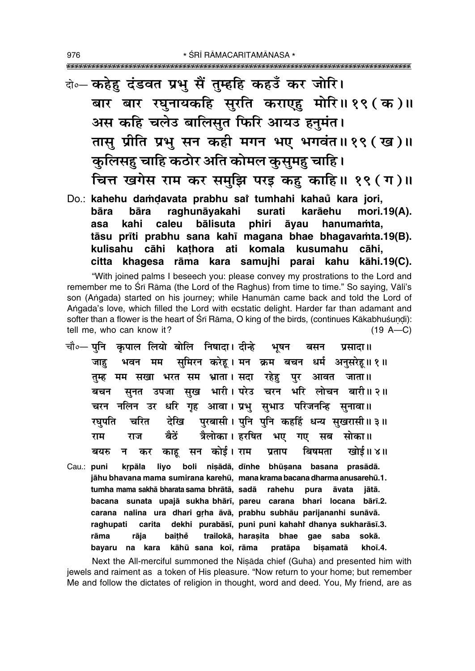- बे∘– कहेहु दंडवत प्रभु सैं तुम्हहि कहउँ कर जोरि। बार बार रघुनायकहि सुरति कराएह मोरि॥१९(क)॥ अस कहि चलेउ बालिसुत फिरि आयउ हनुमंत। तासु प्रीति प्रभु सन कही मगन भए भगवंत॥१९ (ख)॥ कुलिसहु चाहि कठोर अति कोमल कुसुमहु चाहि। चित्त खगेस राम कर समुझि परइ कह काहि॥ १९ (ग)॥
- Do.: kahehu damdavata prabhu sai tumhahi kahaŭ kara jori, surati bāra bāra raghunāvakahi karāehu mori.19(A). kahi caleu bālisuta phiri asa āvau hanumamta. tāsu prīti prabhu sana kahī magana bhae bhagavamta.19(B). kulisahu cāhi kathora ati komala kusumahu cāhi. citta khaqesa rāma kara samujhi parai kahu kāhi.19(C).

"With joined palms I beseech you: please convey my prostrations to the Lord and remember me to Śrī Rāma (the Lord of the Raghus) from time to time." So saying, Vāli's son (Angada) started on his journey; while Hanuman came back and told the Lord of Angada's love, which filled the Lord with ecstatic delight. Harder far than adamant and softer than a flower is the heart of Sri Rama, O king of the birds, (continues Kakabhusundi): tell me, who can know it?  $(19 A - C)$ 

चौ० पनि कपाल लियो बोलि निषादा। दीन्हे भूषन बसन प्रसादा ॥ सुमिरन करेह। मन क्रम बचन धर्म अनुसरेह॥१॥ जाह भवन मम तुम्ह मम सखा भरत सम भ्राता।सदा रहेह आवत जाता॥ पुर सुनत उपजा सुख भारी। परेउ चरन भरि लोचन बारी॥२॥ बचन चरन नलिन उर धरि गृह आवा। प्रभु सुभाउ परिजनन्हि सुनावा॥ पुरबासी। पनि पनि कहहिं धन्य सुखरासी॥३॥ रघुपति देखि चरित त्रैलोका। हरषित भए ਕੈਨੇਂ गए सब सोका॥ राम गज कर काहू सन कोई। राम बिषमता बयरु न प्रताप खोई॥४॥

boli nişādā, dīnhe bhūṣana basana prasādā. Cau.: puni krpāla liyo jāhu bhavana mama sumirana karehū, mana krama bacana dharma anusarehū.1. tumha mama sakhā bharata sama bhrātā, sadā rahehu pura āvata jātā. bacana sunata upajā sukha bhārī, pareu carana bhari locana bārī.2. carana nalina ura dhari grha āvā, prabhu subhāu parijananhi sunāvā. carita dekhi purabāsī, puni puni kahahi dhanya sukharāsī.3. raghupati trailokā, harasita bhae gae saba rāma rāja baithe sokā. bayaru na kara kāhū sana koī, rāma pratāpa bisamatā khoī.4.

Next the All-merciful summoned the Nisada chief (Guha) and presented him with jewels and raiment as a token of His pleasure. "Now return to your home; but remember Me and follow the dictates of religion in thought, word and deed. You, My friend, are as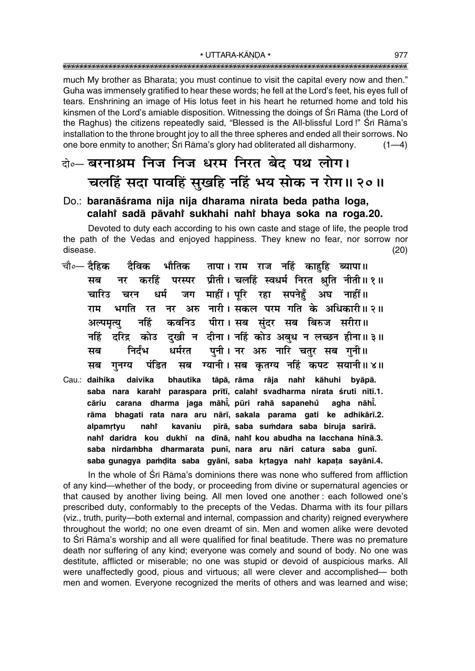\* UTTARA-KĀNDA \* 

much My brother as Bharata; you must continue to visit the capital every now and then." Guha was immensely gratified to hear these words; he fell at the Lord's feet, his eyes full of tears. Enshrining an image of His lotus feet in his heart he returned home and told his kinsmen of the Lord's amiable disposition. Witnessing the doings of Sri Rāma (the Lord of the Raghus) the citizens repeatedly said, "Blessed is the All-blissful Lord!" Srī Rāma's installation to the throne brought joy to all the three spheres and ended all their sorrows. No one bore enmity to another; Sri Rama's glory had obliterated all disharmony.  $(1-4)$ 

## बे- बरनाश्रम निज निज धरम निरत बेद पथ लोग। चलहिं सदा पावहिं सुखहि नहिं भय सोक न रोग॥ २०॥

### Do.: baranāśrama nija nija dharama nirata beda patha loga, calahî sadā pāvahî sukhahi nahî bhaya soka na roga.20.

Devoted to duty each according to his own caste and stage of life, the people trod the path of the Vedas and enjoyed happiness. They knew no fear, nor sorrow nor disease.  $(20)$ 

- चौ०— दैहिक दैविक तापा। राम राज नहिं काहहि ब्यापा॥ भौतिक परस्पर प्रीती। चलहिं स्वधर्म निरत श्रुति नीती॥१॥ करहिं मब नर जग माहीं। पूरि रहा सपनेहुँ अघ नाहीं॥ धर्म चारिउ चरन भगति रत नर अरु नारी। सकल परम गति के अधिकारी॥२॥ राम कवनिउ पीरा। सब संदर सब बिरुज सरीरा॥ नहिं अल्पमत्य दरिद्र कोउ दुखी न दीना। नहिं कोउ अबुध न लच्छन हीना॥३॥ नहिं पनी। नर अरु नारि चतर सब गनी॥ निर्दभ धर्मरत मब सब ग्यानी । सब कृतग्य नहिं कपट सयानी ॥ ४ ॥ गुनग्य सब पंडित
- daivika bhautika tāpā, rāma rāja nahi kāhuhi byāpā. Cau.: daihika saba nara karahi paraspara prītī, calahi svadharma nirata śruti nītī.1. carana dharma jaga māhi, pūri rahā sapanehů cāriu agha nāhī. bhagati rata nara aru nārī, sakala parama gati ke adhikārī.2. rāma alpamrtyu nahi kavaniu pīrā, saba sumdara saba biruja sarīrā. nahi daridra kou dukhī na dīnā, nahi kou abudha na lacchana hīnā.3. saba nirdambha dharmarata puni, nara aru nāri catura saba guni. saba gunagya pamdita saba gyānī, saba krtagya nahi kapata sayānī.4.

In the whole of Sri Rama's dominions there was none who suffered from affliction of any kind—whether of the body, or proceeding from divine or supernatural agencies or that caused by another living being. All men loved one another: each followed one's prescribed duty, conformably to the precepts of the Vedas. Dharma with its four pillars (viz., truth, purity—both external and internal, compassion and charity) reigned everywhere throughout the world; no one even dreamt of sin. Men and women alike were devoted to Srī Rāma's worship and all were qualified for final beatitude. There was no premature death nor suffering of any kind; everyone was comely and sound of body. No one was destitute, afflicted or miserable; no one was stupid or devoid of auspicious marks. All were unaffectedly good, pious and virtuous; all were clever and accomplished— both men and women. Everyone recognized the merits of others and was learned and wise;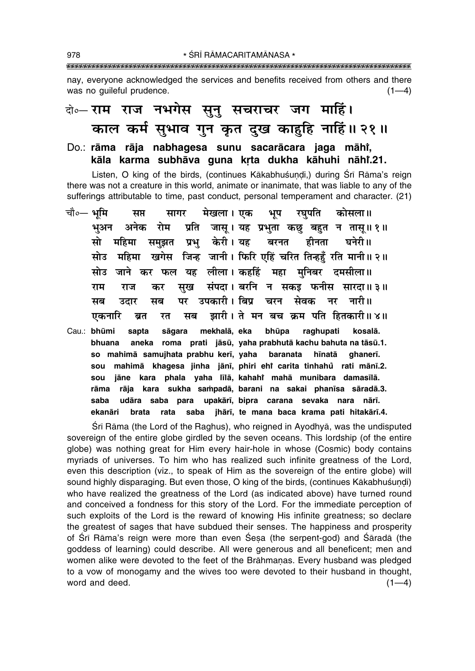nay, everyone acknowledged the services and benefits received from others and there was no quileful prudence.  $(1-4)$ 

### बे॰- राम राज नभगेस सूनु सचराचर जग माहिं। काल कर्म सुभाव गुन कृत दुख काहुहि नाहिं॥ २१॥ Do.: rāma rāja nabhagesa sunu sacarācara jaga māhi, kāla karma subhāva guna krta dukha kāhuhi nāhi.21.

Listen, O king of the birds, (continues Kākabhuśundi,) during Śrī Rāma's reign there was not a creature in this world, animate or inanimate, that was liable to any of the sufferings attributable to time, past conduct, personal temperament and character. (21)

- रघपति कोसला॥ चौ०— भमि मेखला। एक भूप सप्त सागर प्रति जासू । यह प्रभुता कछु बहुत न तासू ॥ १ ॥ भुअन अनेक रोम प्रभु केरी। यह मो महिमा समझत बरनत हीनता घनेरी॥ महिमा खगेस जिन्ह जानी। फिरि एहिं चरित तिन्हहँ रति मानी॥ २॥ मोउ जाने कर फल यह लीला। कहहिं महा मुनिबर दमसीला॥ मोउ संपदा। बरनि न सकइ फनीस सारदा॥३॥ राम राज कर सख पर उपकारी। बिप चरन सेवक नर नारी॥ मब उदार मब झारी। ते मन बच क्रम पति हितकारी॥४॥ एकनारि सब ब्रत रत mekhalā, eka Cau.: bhūmi sapta sāgara bhūpa raghupati kosalā.
- aneka roma prati jāsū, yaha prabhutā kachu bahuta na tāsū.1. hhuana so mahimā samujhata prabhu kerī, yaha baranata hīnatā ghanerī. mahimā khagesa jinha jānī, phiri ehr carita tinhahů rati mānī.2. sou jāne kara phala yaha līlā, kahahi mahā munibara damasīlā. sou rāja kara sukha sampadā, barani na sakai phanīsa sāradā.3. rāma saba udāra saba para upakārī, bipra carana sevaka nara nārī. saba jhārī, te mana baca krama pati hitakārī.4. ekanāri brata rata

Śrī Rāma (the Lord of the Raghus), who reigned in Avodhyā, was the undisputed sovereign of the entire globe girdled by the seven oceans. This lordship (of the entire globe) was nothing great for Him every hair-hole in whose (Cosmic) body contains myriads of universes. To him who has realized such infinite greatness of the Lord, even this description (viz., to speak of Him as the sovereign of the entire globe) will sound highly disparaging. But even those, O king of the birds, (continues Kākabhuśundi) who have realized the greatness of the Lord (as indicated above) have turned round and conceived a fondness for this story of the Lord. For the immediate perception of such exploits of the Lord is the reward of knowing His infinite greatness; so declare the greatest of sages that have subdued their senses. The happiness and prosperity of Srī Rāma's reign were more than even Sesa (the serpent-god) and Sāradā (the goddess of learning) could describe. All were generous and all beneficent; men and women alike were devoted to the feet of the Brāhmanas. Every husband was pledged to a vow of monogamy and the wives too were devoted to their husband in thought, word and deed.  $(1-4)$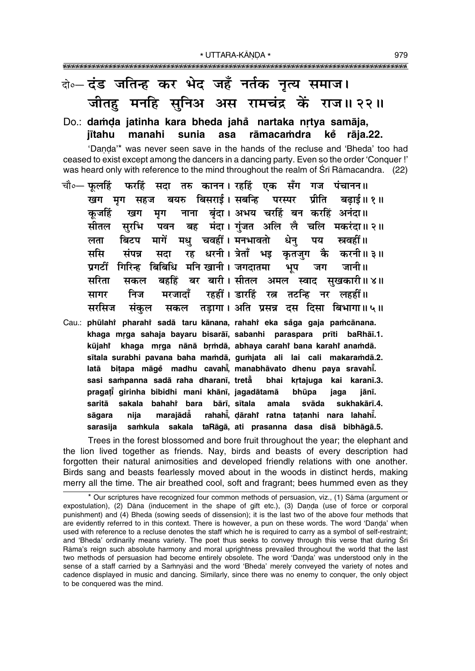# बे॰ दंड जतिन्ह कर भेद जहँ नर्तक नृत्य समाज। जीतह मनहि सुनिअ अस रामचंद्र कें राज॥ २२॥

#### Do.: damda jatinha kara bheda jahå nartaka nrtya samāja, iītahu manahi sunia asa rāmacamdra kě rāia.22.

'Danda'\* was never seen save in the hands of the recluse and 'Bheda' too had ceased to exist except among the dancers in a dancing party. Even so the order 'Conquer!' was heard only with reference to the mind throughout the realm of Sri Ramacandra. (22)

- सदा तरु कानन। रहहिं एक सँग गज पंचानन॥ चौ∘— फलहिं फरहिं बयरु बिसराई। सबन्हि प्रीति परस्पर खग मृग सहज बढाई॥ १॥ कर्जाहें खग मग नाना बंदा। अभय चरहिं बन करहिं अनंदा॥ बह मंदा। गुंजत अलि लै चलि मकरंदा॥२॥ सूरभि सीतल पवन बिटप मार्गे मध चवहीं। मनभावतो धेन लता पय स्रवहीं ॥ रह धरनी। त्रेताँ भड़ कतजग कै करनी॥३॥ ससि संपन्न सदा प्रगर्टी गिरिन्ह बिबिधि मनि खानी। जगदातमा भूप जानी ॥ जग ्बर बारी। सीतल अमल स्वाद सुखकारी॥४॥ मरिता सकल बहहिं मरजादाँ रहहीं । डारहिं रत्न तटन्हि निज नर लहहीं॥ सागर सकल तड़ागा। अति प्रसन्न दस दिसा बिभागा॥५॥ मरमिज संकल
- Cau.: phūlahi pharahi sadā taru kānana, rahahi eka såga gaja pamcānana. khaga mrga sahaja bayaru bisarāi, sabanhi paraspara prīti baRhāi.1. kūjaht khaga mrga nānā brmdā, abhaya caraht bana karaht anamdā. sītala surabhi pavana baha mamdā, gumjata ali lai cali makaramdā.2. latā bitapa māgē madhu cavahī, manabhāvato dhenu paya sravahī. sasi sampanna sadā raha dharanī, tretā bhai krtajuga kai karanī.3. pragati girinha bibidhi mani khānī, jagadātamā bhūpa jaga jānī. saritā sakala bahahi bara bārī, sītala sukhakārī.4. amala svāda rahahi, dārahi ratna tatanhi nara lahahi. sāgara nija marajādā samkula sakala taRāgā, ati prasanna dasa disā bibhāgā.5. sarasija

Trees in the forest blossomed and bore fruit throughout the year; the elephant and the lion lived together as friends. Nay, birds and beasts of every description had forgotten their natural animosities and developed friendly relations with one another. Birds sang and beasts fearlessly moved about in the woods in distinct herds, making merry all the time. The air breathed cool, soft and fragrant; bees hummed even as they

<sup>\*</sup> Our scriptures have recognized four common methods of persuasion, viz., (1) Sāma (argument or expostulation), (2) Dana (inducement in the shape of gift etc.), (3) Danda (use of force or corporal punishment) and (4) Bheda (sowing seeds of dissension); it is the last two of the above four methods that are evidently referred to in this context. There is however, a pun on these words. The word 'Danda' when used with reference to a recluse denotes the staff which he is required to carry as a symbol of self-restraint; and 'Bheda' ordinarily means variety. The poet thus seeks to convey through this verse that during Srī Rāma's reign such absolute harmony and moral uprightness prevailed throughout the world that the last two methods of persuasion had become entirely obsolete. The word 'Danda' was understood only in the sense of a staff carried by a Samnyasi and the word 'Bheda' merely conveyed the variety of notes and cadence displayed in music and dancing. Similarly, since there was no enemy to conquer, the only object to be conquered was the mind.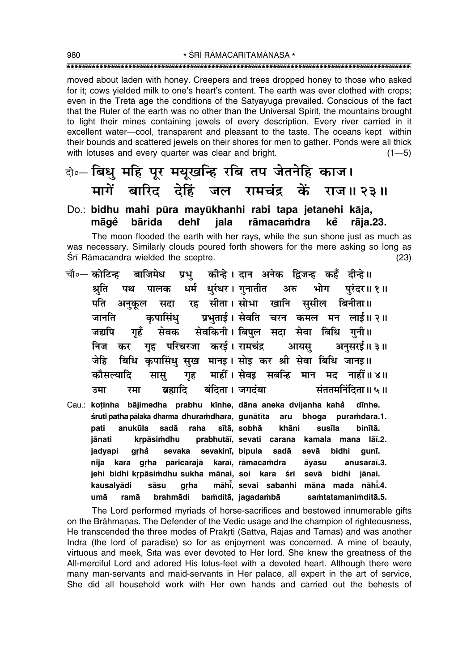moved about laden with honey. Creepers and trees dropped honey to those who asked for it; cows yielded milk to one's heart's content. The earth was ever clothed with crops; even in the Treta age the conditions of the Satyayuga prevailed. Conscious of the fact that the Ruler of the earth was no other than the Universal Spirit, the mountains brought to light their mines containing jewels of every description. Every river carried in it excellent water-cool, transparent and pleasant to the taste. The oceans kept within their bounds and scattered jewels on their shores for men to gather. Ponds were all thick with lotuses and every quarter was clear and bright.  $(1 - 5)$ 

## बे- बिधु महि पूर मयूखन्हि रबि तप जेतनेहि काज। मार्गे बारिद देहिं जल रामचंद्र कें राज॥ २३॥

#### Do.: bidhu mahi pūra mayūkhanhi rabi tapa jetanehi kāja, māgě bārida dehr jala rāmacamdra ke rāja.23.

The moon flooded the earth with her rays, while the sun shone just as much as was necessary. Similarly clouds poured forth showers for the mere asking so long as Śrī Rāmacandra wielded the sceptre.  $(23)$ 

- कोन्हे । दान अनेक द्विजन्ह कहँ दीन्हे ॥ चौ०— कोटिन्ह बाजिमेध प्रभ पालक धर्म धरंधर। गनातीत अरु भोग परंदर॥ १॥ श्रति पथ अनुकूल सदा रह सीता।सोभा खानि सुसील बिनीता॥ पति कपासिंध प्रभताई। सेवति चरन कमल मन लाई॥२॥ जानति गहँ सेवक सेवकिनी।।बिपल सदा सेवा बिधि गनी॥ जद्यपि गह परिचरजा करई। रामचंद्र अनसरई॥ ३॥ निज आयस कर बिधि कुपासिंध सख मानड़। सोड़ कर श्री सेवा बिधि जानड़॥ जेहि कौसल्यादि गह माहीं। सेवड सबन्हि मान मद नाहीं॥४॥ सास बंदिता। जगदंबा उमा ब्रह्मादि संततमनिंदिता॥ ५॥ रमा
- Cau.: koținha bājimedha prabhu kīnhe, dāna aneka dvijanha kahå dīnhe. śruti patha pālaka dharma dhuramdhara, gunātīta aru bhoga puramdara.1. pati anukūla sadā raha sītā, sobhā khāni susīla binītā. jānati krpāsimdhu prabhutāi, sevati carana kamala mana lāī.2. jadyapi grhå sevaka sevakinī, bipula sadā sevā bidhi gunī. nija kara grha paricarajā karaī, rāmacamdra anusaraī.3. āyasu jehi bidhi krpāsimdhu sukha mānai, soi kara śrī sevā bidhi jānai. kausalvādi sāsu qrha māhi, sevai sabanhi māna mada nāhi.4. umā brahmādi bamditā, jagadambā ramā samtatamanimditā.5.

The Lord performed myriads of horse-sacrifices and bestowed innumerable gifts on the Brāhmanas. The Defender of the Vedic usage and the champion of righteousness, He transcended the three modes of Prakrti (Sattva, Rajas and Tamas) and was another Indra (the lord of paradise) so for as enjoyment was concerned. A mine of beauty, virtuous and meek, Sita was ever devoted to Her lord. She knew the greatness of the All-merciful Lord and adored His lotus-feet with a devoted heart. Although there were many man-servants and maid-servants in Her palace, all expert in the art of service, She did all household work with Her own hands and carried out the behests of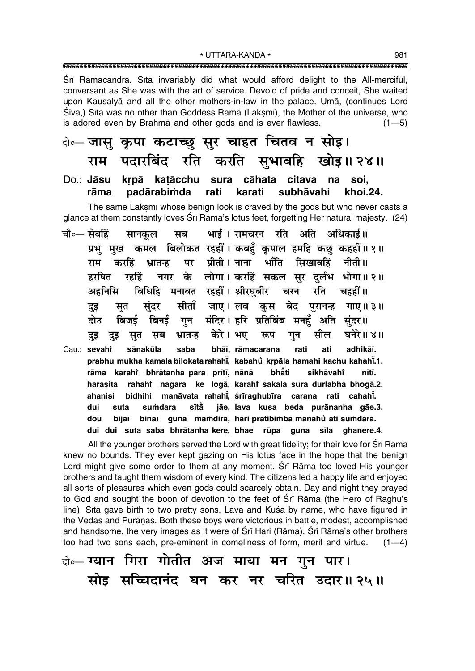Srī Rāmacandra. Sītā invariably did what would afford delight to the All-merciful, conversant as She was with the art of service. Devoid of pride and conceit, She waited upon Kausalyā and all the other mothers-in-law in the palace. Umā, (continues Lord Śiva,) Sītā was no other than Goddess Ramā (Laksmī), the Mother of the universe, who is adored even by Brahma and other gods and is ever flawless.  $(1 - 5)$ 

### बेन्चासु कृपा कटाच्छु सुर चाहत चितव न सोइ। पदारबिंद रति करति सुभावहि खोइ॥२४॥ राम sura cāhata citava na Do.: Jāsu krpā katācchu soi.

rati

padārabimda

rāma

The same Laksmi whose benign look is craved by the gods but who never casts a glance at them constantly loves Srī Rāma's lotus feet, forgetting Her natural majesty. (24)

karati

subhāvahi

khoi.24.

- चौ०— सेवहिं भाई । रामचरन रति अति अधिकाई॥ सब सानकुल प्रभु मुख कमल बिलोकत रहहीं। कबहुँ कृपाल हमहि कछु कहहीं॥१॥ पर प्रीती। नाना भाँति सिखावहिं नीती ॥ राम करहिं भ्रातन्ह नगर के लोगा। करहिं सकल सुर दुर्लभ भोगा॥२॥ हरषित रहहिं बिधिहि मनावत रहहीं। श्रीरघुबीर अहनिसि चरन रति चहहीं ॥ सीताँ जाए।लव कस बेद पुरानन्ह गाए॥३॥ संदर सूत दड मंदिर। हरि प्रतिबिंब मनहँ अति संदर॥ दोउ बिजड़ें बिनर्ड गुन भ्रातन्ह केरे। भए सील घनेरे॥ ४॥ रूप गुन सूत सब दुइ दुइ
- bhāī, rāmacarana Cau.: sevahi sānakūla saba rati ati adhikāī. prabhu mukha kamala bilokata rahahi, kabahu krpāla hamahi kachu kahahi.1. rāma karahi bhrātanha para prītī, nānā bhăti sikhāvahi nītī. rahahi nagara ke logā, karahi sakala sura durlabha bhogā.2. harasita manāvata rahahi, śrīraghubīra carana rati cahahi. ahanisi bidhihi sumdara sītă jāe, lava kusa beda purānanha gāe.3. dui suta uob bijaī binaī quna mamdira, hari pratibimba manahů ati sumdara. dui dui suta saba bhrātanha kere, bhae rūpa guna sīla ghanere.4.

All the younger brothers served the Lord with great fidelity; for their love for Sri Rāma knew no bounds. They ever kept gazing on His lotus face in the hope that the benign Lord might give some order to them at any moment. Srī Rāma too loved His younger brothers and taught them wisdom of every kind. The citizens led a happy life and enjoyed all sorts of pleasures which even gods could scarcely obtain. Day and night they prayed to God and sought the boon of devotion to the feet of Sri Rama (the Hero of Raghu's line). Sitā gave birth to two pretty sons, Lava and Kuśa by name, who have figured in the Vedas and Purānas. Both these boys were victorious in battle, modest, accomplished and handsome, the very images as it were of Srī Hari (Rāma). Srī Rāma's other brothers too had two sons each, pre-eminent in comeliness of form, merit and virtue.  $(1-4)$ 

केन्- ग्यान गिरा गोतीत अज माया मन गुन पार। सोड़ सच्चिदानंद घन कर नर चरित उदार॥ २५॥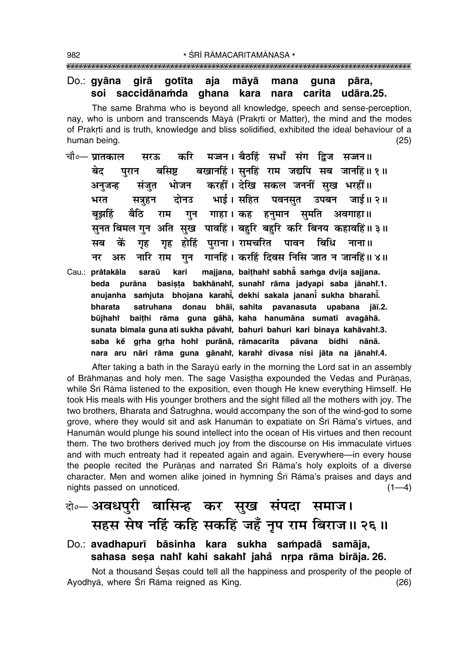#### Do.: gyāna girā gotīta aja māyā mana guna pāra, saccidānamda ghana kara nara carita udāra.25. soi

The same Brahma who is beyond all knowledge, speech and sense-perception, nay, who is unborn and transcends Māyā (Prakrti or Matter), the mind and the modes of Prakrti and is truth, knowledge and bliss solidified, exhibited the ideal behaviour of a human being.  $(25)$ 

- करि मज्जन। बैठहिं सभाँ संग द्विज सज्जन॥ चौ∘— प्रातकाल सरऊ बखानहिं । सनहिं राम जद्यपि सब जानहिं ॥ १ ॥ बसिष्ट बेद पुरान भोजन करहीं। देखि सकल जननीं सख भरहीं॥ संजत अनजन्ह दोनउ भाई। सहित पवनसृत उपबन जाई॥ २॥ सत्रहन भरत गुन गाहा।कह हनुमान सुमति अवगाहा॥ बैठि राम बझहिं सुनत बिमल गुन अति सुख पावहिं। बहरि बहरि करि बिनय कहावहिं॥३॥ गह होहिं पराना। रामचरित पावन बिधि नाना॥ मब कें गृह नारि राम गन गानहिं। करहिं दिवस निसि जात न जानहिं॥४॥ नर अरु
- Cau.: prātakāla saraū kari majjana, baithahi sabha samga dvija sajjana. beda purāna basista bakhānahi, sunahi rāma jadvapi saba jānahi.1. anujanha samjuta bhojana karahi, dekhi sakala janani sukha bharahi. satruhana donau bhāi, sahita pavanasuta upabana jāi.2. bharata būjhaht baithi rāma guna gāhā, kaha hanumāna sumati avagāhā. sunata bimala guna ati sukha pāvahi, bahuri bahuri kari binaya kahāvahi.3. saba ke grha grha hohi purānā, rāmacarita pāvana bidhi nānā. nara aru nāri rāma guna gānahi, karahi divasa nisi jāta na jānahi.4.

After taking a bath in the Sarayū early in the morning the Lord sat in an assembly of Brāhmanas and holy men. The sage Vasistha expounded the Vedas and Purānas, while Sri Rama listened to the exposition, even though He knew everything Himself. He took His meals with His younger brothers and the sight filled all the mothers with joy. The two brothers, Bharata and Satrughna, would accompany the son of the wind-god to some grove, where they would sit and ask Hanuman to expatiate on Sri Rama's virtues, and Hanuman would plunge his sound intellect into the ocean of His virtues and then recount them. The two brothers derived much joy from the discourse on His immaculate virtues and with much entreaty had it repeated again and again. Everywhere-in every house the people recited the Puranas and narrated Sri Rama's holy exploits of a diverse character. Men and women alike joined in hymning Srī Rāma's praises and days and nights passed on unnoticed.  $(1-4)$ 

## बे॰ अवधपुरी बासिन्ह कर सुख संपदा समाज। सहस सेष नहिं कहि सकहिं जहँ नूप राम बिराज॥ २६॥

### Do.: avadhapurī bāsinha kara sukha sampadā samāja, sahasa sesa nahi kahi sakahi jahă nrpa rāma birāja. 26.

Not a thousand Sesas could tell all the happiness and prosperity of the people of Avodhyā, where Śrī Rāma reigned as King.  $(26)$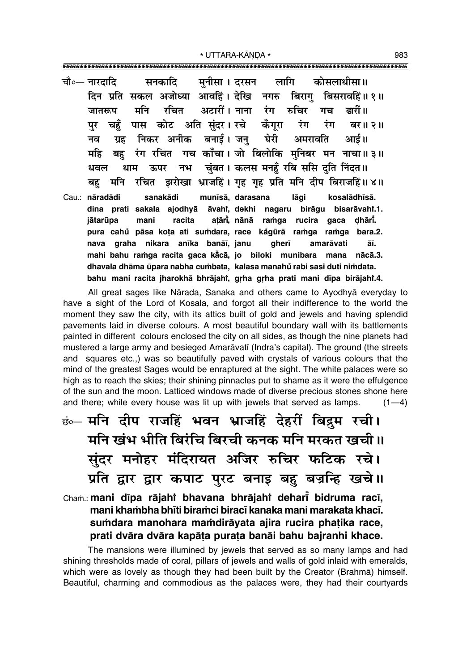\* UTTARA-KĀNDA \*

चौ∘— नारदादि सनकादि मनीसा । दरसन लागि कोसलाधीसा ॥ दिन प्रति सकल अजोध्या आवहिं। देखि बिराग बिसरावहिं॥ १॥ नगरु अटारीं । नाना रुचिर मनि रचित रंग जातरूप गच हारीं ॥ पास कोट अति संदर। रचे कँगरा पर चहँ रंग रंग बर॥ २॥ निकर अनीक बनाई । जन घेरी आर्ड ॥ अमरावति नव ग्रह गच काँचा। जो बिलोकि मनिबर मन नाचा॥३॥ महि रंग रचित बह चंबत। कलस मनहँ रबि ससि दति निंदत॥ धवल धाम ऊपर नभ रचित झरोखा भ्राजहिं। गृह गृह प्रति मनि दीप बिराजहिं॥४॥ बह मनि Cau.: nāradādi sanakādi munīsā, darasana lāgi kosalādhīsā. dina prati sakala ajodhyā āvahi, dekhi nagaru birāgu bisarāvahi.1. atāri, nānā ramqa rucira gaca jātarūpa mani racita dhārī. pura cahů pāsa kota ati sumdara, race kågūrā ramga ramga bara.2. nava graha nikara anīka banāī, janu gherī amarāvati āī. mahi bahu ramga racita gaca kaca, jo biloki munibara mana nācā.3. dhavala dhāma ūpara nabha cumbata, kalasa manahů rabi sasi duti nimdata. bahu mani racita jharokhā bhrājahi, grha grha prati mani dīpa birājahi.4.

All great sages like Nārada, Sanaka and others came to Ayodhyā everyday to have a sight of the Lord of Kosala, and forgot all their indifference to the world the moment they saw the city, with its attics built of gold and jewels and having splendid pavements laid in diverse colours. A most beautiful boundary wall with its battlements painted in different colours enclosed the city on all sides, as though the nine planets had mustered a large army and besieged Amarāvatī (Indra's capital). The ground (the streets and squares etc.,) was so beautifully paved with crystals of various colours that the mind of the greatest Sages would be enraptured at the sight. The white palaces were so high as to reach the skies; their shining pinnacles put to shame as it were the effulgence of the sun and the moon. Latticed windows made of diverse precious stones shone here and there; while every house was lit up with jewels that served as lamps.  $(1-4)$ 

छं… मनि दीप राजहिं भवन भ्राजहिं देहरीं बिद्रुम रची। मनि खंभ भीति बिरंचि बिरची कनक मनि मरकत खची।। संदर मनोहर मंदिरायत अजिर रुचिर फटिक रचे। प्रति द्वार द्वार कपाट पुरट बनाइ बहु बज्रन्हि खचे॥ Cham.: mani dīpa rājahi bhavana bhrājahi deharī bidruma racī,

mani khambha bhīti biramci biracī kanaka mani marakata khacī. sumdara manohara mamdirāvata ajira rucira phatika race, prati dvāra dvāra kapāta purata banāi bahu bajranhi khace.

The mansions were illumined by jewels that served as so many lamps and had shining thresholds made of coral, pillars of jewels and walls of gold inlaid with emeralds, which were as lovely as though they had been built by the Creator (Brahma) himself. Beautiful, charming and commodious as the palaces were, they had their courtyards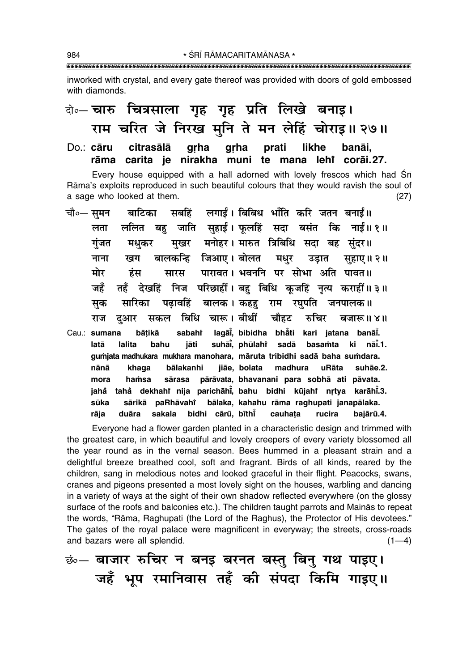inworked with crystal, and every gate thereof was provided with doors of gold embossed with diamonds.

# बे॰ चारु चित्रसाला गृह गृह प्रति लिखे बनाइ। राम चरित जे निरख मूनि ते मन लेहिं चोराइ॥ २७॥

Do.: cāru citrasālā arha arha prati likhe banāi. rāma carita je nirakha muni te mana lehi corāi.27.

Every house equipped with a hall adorned with lovely frescos which had Sri Rāma's exploits reproduced in such beautiful colours that they would ravish the soul of a sage who looked at them.  $(27)$ 

सबहिं लगाईं। बिबिध भाँति करि जतन बनाईं॥ चौ०— समन बाटिका ललित बहु जाति सहाईं। फलहिं सदा बसंत कि नाईं॥१॥ लता मखर मनोहर। मारुत त्रिबिधि सदा बह संदर॥ गंजत मधकर बालकन्हि जिआए। बोलत सूहाए।। २॥ नाना खग मधुर उडात मोर हंस पारावत। भवननि पर सोभा अति पावत॥ सारस तहँ देखहिं निज परिछाहीं। बहु बिधि कुजहिं नृत्य कराहीं॥३॥ जहँ पढ़ावहिं बालक। कहहु राम रघुपति जनपालक॥ सारिका सुक बिधि चारू। बीथीं चौहट रुचिर राज दुआर सकल बजारू ॥ ४॥ lagāi, bibidha bhāti kari jatana banāi. Cau.: sumana bātikā sabaht lalita iāti suhāi, phūlahi sadā basamta ki  $n\overline{a}$  $\overline{i}$ .1. latā bahu gumjata madhukara mukhara manohara, māruta tribidhi sadā baha sumdara. nānā bālakanhi jiāe, bolata madhura uRāta suhāe.2. khaga

mora hamsa sārasa pārāvata, bhavanani para sobhā ati pāvata. jahå tahå dekhahi nija parichāhi, bahu bidhi kūjahi nrtya karāhi.3. bālaka, kahahu rāma raghupati janapālaka. sūka sārikā paRhāvahi duāra sakala bidhi cārū, bīthī cauhata bajārū.4. rāja rucira

Everyone had a flower garden planted in a characteristic design and trimmed with the greatest care, in which beautiful and lovely creepers of every variety blossomed all the year round as in the vernal season. Bees hummed in a pleasant strain and a delightful breeze breathed cool, soft and fragrant. Birds of all kinds, reared by the children, sang in melodious notes and looked graceful in their flight. Peacocks, swans, cranes and pigeons presented a most lovely sight on the houses, warbling and dancing in a variety of ways at the sight of their own shadow reflected everywhere (on the glossy surface of the roofs and balconies etc.). The children taught parrots and Mainās to repeat the words, "Rāma, Raghupati (the Lord of the Raghus), the Protector of His devotees." The gates of the royal palace were magnificent in everyway; the streets, cross-roads and bazars were all splendid.  $(1-4)$ 

छं⊶ बाजार रुचिर न बनइ बरनत बस्तु बिनु गथ पाइए। जहँ भूप रमानिवास तहँ की संपदा किमि गाइए॥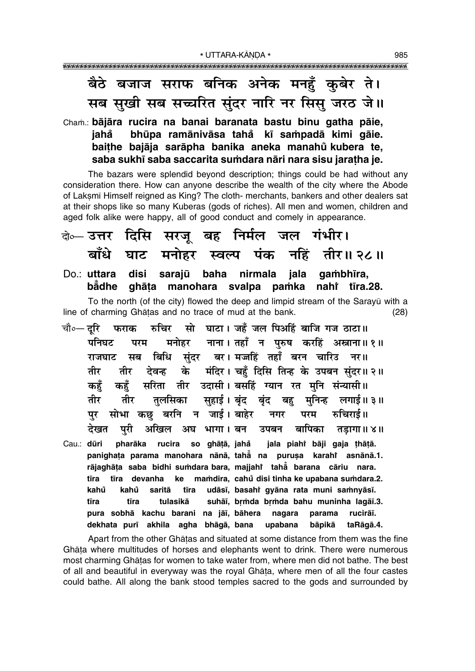# बैठे बजाज सराफ बनिक अनेक मनहँ कुबेर ते। सब सुखी सब सच्चरित सुंदर नारि नर सिसु जरठ जे।।

#### Cham.: bājāra rucira na banai baranata bastu binu gatha pāie, bhūpa ramānivāsa tahå kī sampadā kimi gāie. iahå baithe bajāja sarāpha banika aneka manahů kubera te, saba sukhī saba saccarita sumdara nāri nara sisu jaratha je.

The bazars were splendid beyond description; things could be had without any consideration there. How can anyone describe the wealth of the city where the Abode of Laksmi Himself reigned as King? The cloth- merchants, bankers and other dealers sat at their shops like so many Kuberas (gods of riches). All men and women, children and aged folk alike were happy, all of good conduct and comely in appearance.

दिसि सरजू बह निर्मल जल गंभीर। ते⊶ उत्तर घाट मनोहर स्वल्प पंक नहिं तीर॥२८॥ बाँधे Do.: uttara disi sarajū baha nirmala jala qambhīra,

# bādhe ghāta manohara svalpa pamka nahi tīra.28.

To the north (of the city) flowed the deep and limpid stream of the Sarayū with a line of charming Ghatas and no trace of mud at the bank.  $(28)$ रुचिर सो घाटा। जहँ जल पिअहिं बाजि गज ठाटा॥ चौ∘— दरि फराक मनोहर नाना। तहाँ न पुरुष करहिं अस्त्राना॥१॥ पनिघट परम सुंदर बर। मज्जहिं तहाँ बरन चारिउ नर॥ सब बिधि राजघाट के मंदिर। चहँ दिसि तिन्ह के उपबन संदर॥ २॥ तीर तीर देवन्ह सरिता तीर उदासी।बसहिं ग्यान रत मनि संन्यासी॥ कहँ कहँ तीर तीर तलसिका सहाई।बंद बंद बह मनिन्ह लगाई॥३॥ पर सोभा कछ बरनि न जाई।बाहेर रुचिराई॥ नगर परम देखत अखिल बापिका परी अघ भागा। बन उपबन तडागा ॥ ४ ॥ Cau.: dūri pharāka rucira so ghātā, jahå jala piahi bāji gaja thātā. panighata parama manohara nānā, tahā na puruṣa karahi asnānā.1. rājaghāṭa saba bidhi sumdara bara, majjahi tahā barana cāriu nara. tīra tīra devanha ke mamdira, cahů disi tinha ke upabana sumdara.2. kahů kahů saritā tīra udāsī, basahi gyāna rata muni samnyāsī. tīra tīra tulasikā suhāī, brmda brmda bahu muninha lagāī.3. pura sobhā kachu barani na jāī, bāhera nagara parama rucirāī.

dekhata purī akhila agha bhāgā, bana upabana bāpikā taRāgā.4.

Apart from the other Ghātas and situated at some distance from them was the fine Ghāta where multitudes of horses and elephants went to drink. There were numerous most charming Ghātas for women to take water from, where men did not bathe. The best of all and beautiful in everyway was the royal Ghata, where men of all the four castes could bathe. All along the bank stood temples sacred to the gods and surrounded by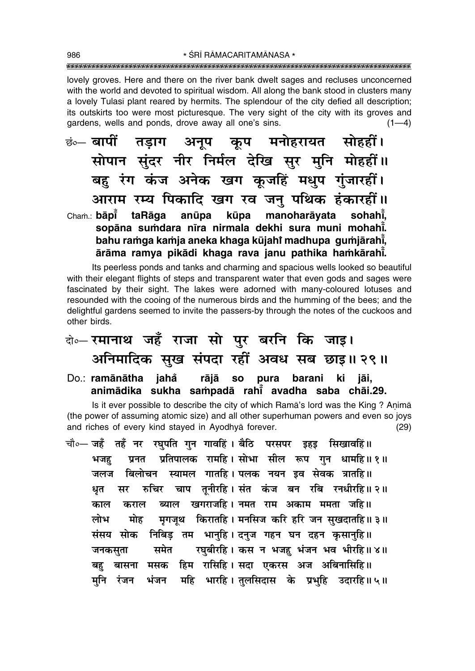lovely groves. Here and there on the river bank dwelt sages and recluses unconcerned with the world and devoted to spiritual wisdom. All along the bank stood in clusters many a lovely Tulasi plant reared by hermits. The splendour of the city defied all description; its outskirts too were most picturesque. The very sight of the city with its groves and gardens, wells and ponds, drove away all one's sins.  $(1-4)$ 

तड़ाग अनूप कूप मनोहरायत सोहहीं। <sub>छं०—</sub> बापीं सोपान सुंदर नीर निर्मल देखि सुर मुनि मोहहीं॥ बहु रंग कंज अनेक खग कूजहिं मधुप गुंजारहीं। आराम रम्य पिकादि खग रव जन् पथिक हंकारहीं॥ Cham.: bāpi taRāqa anūpa kūpa manoharāyata sohahĭ. sopāna sumdara nīra nirmala dekhi sura muni mohahi. bahu ramga kamja aneka khaga kūjahi madhupa gumjārahi, ārāma ramya pikādi khaga rava janu pathika hamkārahī.

Its peerless ponds and tanks and charming and spacious wells looked so beautiful with their elegant flights of steps and transparent water that even gods and sages were fascinated by their sight. The lakes were adorned with many-coloured lotuses and resounded with the cooing of the numerous birds and the humming of the bees; and the delightful gardens seemed to invite the passers-by through the notes of the cuckoos and other birds.

# वे॰- रमानाथ जहँ राजा सो पुर बरनि कि जाइ। अनिमादिक सुख संपदा रहीं अवध सब छाइ॥ २९॥

iahå rājā so pura barani ki iāi. Do.: ramānātha animādika sukha sampadā rahī avadha saba chāi.29.

Is it ever possible to describe the city of which Rama's lord was the King ? Anima (the power of assuming atomic size) and all other superhuman powers and even so joys and riches of every kind stayed in Ayodhya forever.  $(29)$ 

चौ०— जहँ तहँ नर रघुपति गुन गावहिं। बैठि परसपर इहइ सिखावहिं॥ प्रनत प्रतिपालक रामहि। सोभा सील रूप गुन धामहि॥१॥ भजह बिलोचन स्यामल गातहि। पलक नयन इव सेवक त्रातहि॥ जलज रुचिर चाप तुनीरहि।संत कंज बन रबि रनधीरहि॥२॥ धत सर ब्याल खगराजहि। नमत राम अकाम ममता जहि॥ काल कराल मृगजूथ किरातहि । मनसिज करि हरि जन सुखदातहि ॥ ३ ॥ लोभ मोह संसय सोक निबिड़ तम भानुहि। दनुज गहन घन दहन कृसानुहि॥ समेत रघुबीरहि। कस न भजहु भंजन भव भीरहि॥४॥ जनकसूता बासना मसक हिम रासिहि। सदा एकरस अज अबिनासिहि॥ बह महि भारहि। तुलसिदास के प्रभुहि उदारहि॥५॥ मनि रंजन भंजन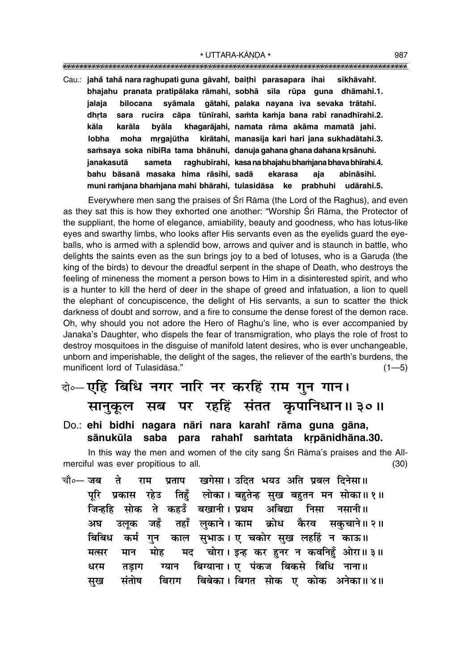\* UTTARA-KĀNDA \* 

Cau.: jahå tahå nara raghupati guna gāvahi, baithi parasapara ihai sikhāvahi. bhajahu pranata pratipālaka rāmahi, sobhā sīla rūpa guna dhāmahi.1. bilocana syāmala gātahi, palaka nayana iva sevaka trātahi. ialaia dhrta sara rucira cāpa tūnīrahi, samta kamja bana rabi ranadhīrahi.2. kāla karāla byāla khagarājahi, namata rāma akāma mamatā jahi. mrgajūtha kirātahi, manasija kari hari jana sukhadātahi.3. **lobha** moha samsaya soka nibiRa tama bhānuhi, danuja gahana ghana dahana krsānuhi. raghubīrahi, kasa na bhajahu bhamjana bhava bhīrahi.4. sameta janakasutā bahu bāsanā masaka hima rāsihi, sadā ekarasa aja abināsihi. muni ramjana bhamjana mahi bhārahi, tulasidāsa ke prabhuhi udārahi.5.

Everywhere men sang the praises of Sri Rama (the Lord of the Raghus), and even as they sat this is how they exhorted one another: "Worship Srī Rāma, the Protector of the suppliant, the home of elegance, amiability, beauty and goodness, who has lotus-like eyes and swarthy limbs, who looks after His servants even as the eyelids guard the eyeballs, who is armed with a splendid bow, arrows and quiver and is staunch in battle, who delights the saints even as the sun brings joy to a bed of lotuses, who is a Garuda (the king of the birds) to devour the dreadful serpent in the shape of Death, who destroys the feeling of mineness the moment a person bows to Him in a disinterested spirit, and who is a hunter to kill the herd of deer in the shape of greed and infatuation, a lion to quell the elephant of concupiscence, the delight of His servants, a sun to scatter the thick darkness of doubt and sorrow, and a fire to consume the dense forest of the demon race. Oh, why should you not adore the Hero of Raghu's line, who is ever accompanied by Janaka's Daughter, who dispels the fear of transmigration, who plays the role of frost to destroy mosquitoes in the disquise of manifold latent desires, who is ever unchangeable, unborn and imperishable, the delight of the sages, the reliever of the earth's burdens, the munificent lord of Tulasīdāsa."  $(1 - 5)$ 

## बे-एहि बिधि नगर नारि नर करहिं राम गुन गान। सानुकूल सब पर रहहिं संतत कृपानिधान॥३०॥

Do.: ehi bidhi nagara nāri nara karahi rāma guna gāna, saba para rahahi samtata krpānidhāna.30. sānukūla

In this way the men and women of the city sang Sri Rama's praises and the Allmerciful was ever propitious to all.  $(30)$ 

चौ०— जब खगेसा। उदित भयउ अति प्रबल दिनेसा॥ ते गम प्रताप परि प्रकास रहेउ तिहँ लोका। बहतेन्ह सख बहतन मन सोका॥१॥ जिन्हहि सोक ते कहउँ बखानी। प्रथम अबिद्या निसा नसानी॥ तहाँ लकाने। काम क्रोध उलक जहँ कैरव सकचाने॥२॥ अघ काल सभाऊ। ए चकोर सख लहहिं न काऊ॥ बिबिध कर्म गन चोरा। इन्ह कर हुनर न कवनिहूँ ओरा॥३॥ मोह मद मान मत्सर बिग्याना । ए पंकज बिकसे बिधि नाना॥ धरम ग्यान तडाग बिबेका। बिगत सोक ए कोक अनेका॥४॥ संतोष बिराग सख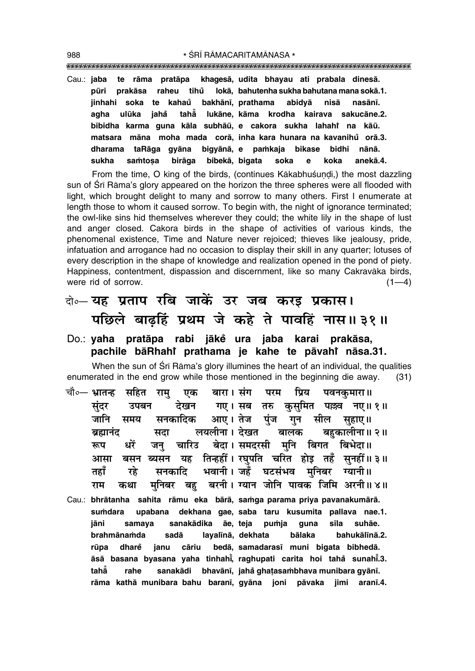""""""""""""""""""""""""""""""""""""""""""""""""""""""""""""""""""""""""""""""""""" 988 \* SRĪ RĀMACARITAMĀNASA \*

Cau.: **jaba te råma pratåpa khageså, udita bhayau ati prabala dineså. pµuri prakåsa raheu tihu° lokå, bahutenha sukha bahutana mana sokå.1. jinhahi soka te kahau° bakhån∂, prathama abidyå niså nasån∂. agha ulµuka jaha° tahå° lukåne, kåma krodha kairava sakucåne.2.** bibidha karma guna kāla subhāū, e cakora sukha lahah<mark>î na kāū.</mark> **matsara måna moha mada corå, inha kara hunara na kavanihu orå.3. ° dharama taRåga gyåna bigyånå, e pa≈kaja bikase bidhi nånå. sukha sa≈to¶a biråga bibekå, bigata soka e koka anekå.4.**

From the time, O king of the birds, (continues Kākabhus undi,) the most dazzling sun of Srī Rāma's glory appeared on the horizon the three spheres were all flooded with light, which brought delight to many and sorrow to many others. First I enumerate at length those to whom it caused sorrow. To begin with, the night of ignorance terminated; the owl-like sins hid themselves wherever they could; the white lily in the shape of lust and anger closed. Cakora birds in the shape of activities of various kinds, the phenomenal existence, Time and Nature never rejoiced; thieves like jealousy, pride, infatuation and arrogance had no occasion to display their skill in any quarter; lotuses of every description in the shape of knowledge and realization opened in the pond of piety. Happiness, contentment, dispassion and discernment, like so many Cakravåka birds, were rid of sorrow.  $(1-4)$ 

## दो∘– **यह प्रताप रबि जाकें उर जब करड़ प्रकास।** पछिले बाढहिं प्रथम जे कहे ते पावहिं नास॥३१॥

Do.: **yaha pratåpa rabi jåke ura jaba karai prakåsa, ° pachile båRhahiÚ prathama je kahe te påvahiÚ nåsa.31.**

When the sun of Śrī Rāma's glory illumines the heart of an individual, the qualities enumerated in the end grow while those mentioned in the beginning die away. (31)

- <sup>चौ०</sup>— भ्रातन्ह सहित राम् एक बारा। संग परम प्रिय पवनकुमारा॥ 'सुंदर उपबन देखन गए। सब तरु कुसुमित प**ऴव नए॥**१॥ जानि समय सनकादिक आए।**तेज पंज गन सील सहाए**॥ **ब्रह्मानंद** सदा लयलीना । देखत बालक बहकालीना ॥ २ ॥ रूप धरें जन् चारिउ बेदा।**समदरसी मुनि बिगत बिभेदा**॥ <u>आसा बसन ब्यसन यह तिन्हहीं। रघुपति चरित होइ तहँ सुनहीं॥३॥</u> तहाँ रहे सनकादि भवानी।जहँ घटसंभव मुनिबर ग्यानी॥  $\overline{\textbf{v}}$ एम कथा मनिबर बह बरनी। ग्यान जोनि पावक जिमि अरनी॥४॥
- Cau.: bhrātanha sahita rāmu eka bārā, samga parama priya pavanakumārā. **su≈dara upabana dekhana gae, saba taru kusumita pallava nae.1.** jāni samaya sanakādika āe, teja pumja guna sīla suhāe. **brahmåna≈da sadå layal∂nå, dekhata bålaka bahukål∂nå.2. rµupa dhare janu cåriu ° bedå, samadaras∂ muni bigata bibhedå. åså basana byasana yaha tinhah∂° , raghupati carita hoi taha° sunah∂° .3. tahå° rahe sanakådi bhavån∂, jaha° gha¢asa≈bhava munibara gyån∂. råma kathå munibara bahu baran∂, gyåna joni påvaka jimi aran∂.4.**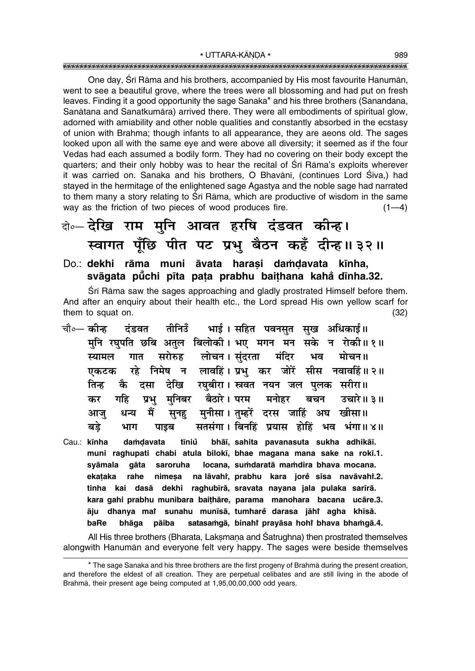One day, Srī Rāma and his brothers, accompanied by His most favourite Hanumān, went to see a beautiful grove, where the trees were all blossoming and had put on fresh leaves. Finding it a good opportunity the sage Sanaka<sup>\*</sup> and his three brothers (Sanandana, Sanātana and Sanatkumāra) arrived there. They were all embodiments of spiritual glow. adorned with amiability and other noble qualities and constantly absorbed in the ecstasy of union with Brahma; though infants to all appearance, they are aeons old. The sages looked upon all with the same eye and were above all diversity; it seemed as if the four Vedas had each assumed a bodily form. They had no covering on their body except the quarters; and their only hobby was to hear the recital of Sri Rama's exploits wherever it was carried on. Sanaka and his brothers, O Bhavānī, (continues Lord Śiva,) had stayed in the hermitage of the enlightened sage Agastya and the noble sage had narrated to them many a story relating to Srī Rāma, which are productive of wisdom in the same way as the friction of two pieces of wood produces fire.  $(1-4)$ 

# केन्टेखि राम मुनि आवत हरषि दंडवत कीन्ह। स्वागत पूँछि पीत पट प्रभु बैठन कहँ दीन्ह।। ३२॥

Do.: dekhi rāma muni āvata harasi damdavata kīnha, svāgata pūchi pīta pata prabhu baithana kahā dīnha.32.

Śrī Rāma saw the sages approaching and gladly prostrated Himself before them. And after an enquiry about their health etc., the Lord spread His own yellow scarf for them to squat on.  $(32)$ 

- तीनिउँ भाई। सहित पवनसुत सुख अधिकाई॥ चौ∘— कोन्ह टंडवत मुनि रघुपति छबि अतुल बिलोकी। भए मगन मन सके न रोकी॥१॥ सरोरुह लोचन।संदरता मंदिर स्यामल गात भव मोचन॥ रहे निमेष न लावहिं।प्रभु कर जोरें सीस नवावहिं॥२॥ एकटक कै दसा देखि रघबीरा। स्रवत नयन जल पलक सरीरा॥ तिन्ह प्रभु मनिबर बैठारे। परम मनोहर कर गहि बचन उचारे॥ ३॥ मुनीसा। तुम्हरें दरस जाहिं अघ खीसा॥ मैं धन्य सनह आज बडे सतसंगा। बिनहिं प्रयास होहिं भव भंगा॥४॥ भाग पाड़ब
- Cau.: kinha damdavata tīniů bhāī, sahita pavanasuta sukha adhikāī. muni raghupati chabi atula biloki, bhae magana mana sake na roki.1. locana, sumdaratā mamdira bhava mocana. svāmala saroruha qāta ekataka rahe nimesa na lāvahi, prabhu kara jorė sīsa navāvahi.2. tinha kai dasā dekhi raghubīrā, sravata nayana jala pulaka sarīrā. kara gahi prabhu munibara baithāre, parama manohara bacana ucāre.3. āju dhanya mat sunahu munīsā, tumhare darasa jāht agha khīsā. satasamgā, binahi prayāsa hohi bhava bhamgā.4. baRe bhāga pāiba

All His three brothers (Bharata, Laksmana and Satrughna) then prostrated themselves alongwith Hanuman and everyone felt very happy. The sages were beside themselves

<sup>\*</sup> The sage Sanaka and his three brothers are the first progeny of Brahma during the present creation, and therefore the eldest of all creation. They are perpetual celibates and are still living in the abode of Brahmā, their present age being computed at 1,95,00,00,000 odd years.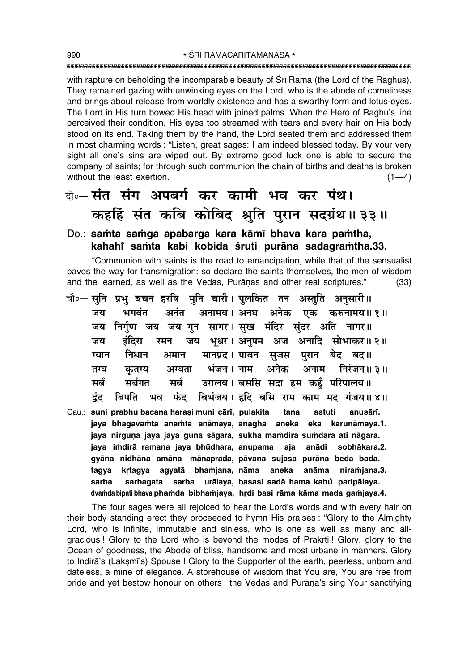with rapture on beholding the incomparable beauty of Sri Rama (the Lord of the Raghus). They remained gazing with unwinking eyes on the Lord, who is the abode of comeliness and brings about release from worldly existence and has a swarthy form and lotus-eyes. The Lord in His turn bowed His head with joined palms. When the Hero of Raghu's line perceived their condition, His eyes too streamed with tears and every hair on His body stood on its end. Taking them by the hand, the Lord seated them and addressed them in most charming words: "Listen, great sages: I am indeed blessed today. By your very sight all one's sins are wiped out. By extreme good luck one is able to secure the company of saints; for through such communion the chain of births and deaths is broken without the least exertion.  $(1-4)$ 

# वे॰ संत संग अपबर्ग कर कामी भव कर पंथ। कहहिं संत कबि कोबिद श्रुति पुरान सदग्रंथ॥३३॥

### Do.: samta samga apabarga kara kāmī bhava kara pamtha, kahahi samta kabi kobida śruti purāna sadagramtha.33.

"Communion with saints is the road to emancipation, while that of the sensualist paves the way for transmigration: so declare the saints themselves, the men of wisdom and the learned, as well as the Vedas, Purānas and other real scriptures."  $(33)$ 

|      |  |  |  | चौ∘— सुनि प्रभु बचन हरषि मुनि चारी। पुलकित तन अस्तुति अनुसारी॥ |  |  |
|------|--|--|--|----------------------------------------------------------------|--|--|
| जय   |  |  |  | भगवंत अनंत अनामय।अनघ अनेक एक करुनामय॥१॥                        |  |  |
|      |  |  |  | जय निर्गुण जय जय गुन सागर। सुख मंदिर सुंदर अति नागर॥           |  |  |
|      |  |  |  | जय इंदिरा रमन जय भूधर।अनुपम अज अनादि सोभाकर॥२॥                 |  |  |
|      |  |  |  | ग्यान निधान अमान मानप्रद।पावन सुजस पुरान बेद बद॥               |  |  |
| तग्य |  |  |  | ्कृतग्य अग्यता भंजन।नाम अनेक अनाम निरंजन॥३॥                    |  |  |
| सर्ब |  |  |  | सर्बगत सर्ब उरालय। बससि सदा हम कहुँ परिपालय॥                   |  |  |
|      |  |  |  | द्वंद बिपति भव फंद बिभंजय। हृदि बसि राम काम मद गंजय॥४॥         |  |  |

Cau.: suni prabhu bacana harași muni cārī, pulakita tana astuti anusārī. jaya bhagavamta anamta anāmaya, anagha aneka eka karunāmaya.1. jaya nirguna jaya jaya guna sāgara, sukha mamdira sumdara ati nāgara. jaya imdirā ramana jaya bhūdhara, anupama aja anādi sobhākara.2. gyāna nidhāna amāna mānaprada, pāvana sujasa purāna beda bada. tagya krtagya agyatā bhamjana, nāma aneka anāma niramiana.3. sarba sarbagata sarba urālaya, basasi sadā hama kahu paripālaya. dvamda bipati bhava phamda bibhamjaya, hrdi basi rāma kāma mada gamjaya.4.

The four sages were all rejoiced to hear the Lord's words and with every hair on their body standing erect they proceeded to hymn His praises : "Glory to the Almighty Lord, who is infinite, immutable and sinless, who is one as well as many and allgracious! Glory to the Lord who is beyond the modes of Prakrti! Glory, glory to the Ocean of goodness, the Abode of bliss, handsome and most urbane in manners. Glory to Indirā's (Laksmī's) Spouse ! Glory to the Supporter of the earth, peerless, unborn and dateless, a mine of elegance. A storehouse of wisdom that You are, You are free from pride and yet bestow honour on others : the Vedas and Purāna's sing Your sanctifying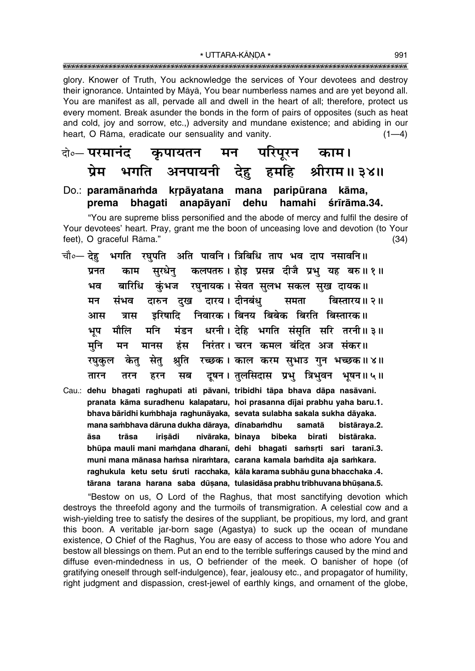\* UTTARA-KĀNDA \* 

glory. Knower of Truth, You acknowledge the services of Your devotees and destroy their ignorance. Untainted by Māyā, You bear numberless names and are yet beyond all. You are manifest as all, pervade all and dwell in the heart of all; therefore, protect us every moment. Break asunder the bonds in the form of pairs of opposites (such as heat and cold, joy and sorrow, etc.,) adversity and mundane existence; and abiding in our heart, O Rāma, eradicate our sensuality and vanity.  $(1-4)$ 

परिपरन दो**०— परमानंद** कपायतन मन काम। भगति अनपायनी देहु हमहि श्रीराम॥३४॥ पेम

#### Do.: paramānamda krpāyatana mana paripūrana kāma. anapāyanī hamahi śrīrāma.34. prema bhaqati dehu

"You are supreme bliss personified and the abode of mercy and fulfil the desire of Your devotees' heart. Pray, grant me the boon of unceasing love and devotion (to Your feet), O graceful Rāma."  $(34)$ 

चौ०— देह भगति रघपति अति पावनि । त्रिबिधि ताप भव दाप नसावनि ॥ कलपतरु । होड़ प्रसन्न दीजै प्रभ यह बरु ॥ १ ॥ सरधेन प्रनत काम बारिधि कुंभज रघुनायक। सेवत सुलभ सकल सुख दायक॥ भव दारुन दख दारय। दीनबंध संभव समता बिस्तारय॥ २॥ मन इरिषादि निवारक। बिनय बिबेक बिरति बिस्तारक॥ आस त्रास मंडन धरनी। देहि भगति संसुति सरि तरनी॥३॥ मौलि मनि भूप हंस निरंतर। चरन कमल बंदित अज संकर॥ मनि मन मानस श्रुति रच्छक। काल करम सुभाउ गुन भच्छक॥४॥ केत सेत् रघकल दूषन। तुलसिदास प्रभु त्रिभुवन भूषन॥५॥ तारन तरन हरन सब

Cau.: dehu bhagati raghupati ati pāvani, tribidhi tāpa bhava dāpa nasāvani. pranata kāma suradhenu kalapataru, hoi prasanna dījai prabhu yaha baru.1. bhava bāridhi kumbhaja raghunāyaka, sevata sulabha sakala sukha dāyaka. mana sambhava dāruna dukha dāraya, dīnabamdhu samatā bistāraya.2. āsa trāsa irisādi nivāraka, binaya bibeka birati bistāraka. bhūpa mauli mani mamdana dharanī, dehi bhagati samsrti sari taranī.3. muni mana mānasa hamsa niramtara, carana kamala bamdita aja samkara. raghukula ketu setu śruti racchaka, kāla karama subhāu guna bhacchaka .4. tārana tarana harana saba dūsana, tulasidāsa prabhu tribhuvana bhūsana.5.

"Bestow on us, O Lord of the Raghus, that most sanctifying devotion which destroys the threefold agony and the turmoils of transmigration. A celestial cow and a wish-yielding tree to satisfy the desires of the suppliant, be propitious, my lord, and grant this boon. A veritable jar-born sage (Agastya) to suck up the ocean of mundane existence, O Chief of the Raghus, You are easy of access to those who adore You and bestow all blessings on them. Put an end to the terrible sufferings caused by the mind and diffuse even-mindedness in us, O befriender of the meek. O banisher of hope (of gratifying oneself through self-indulgence), fear, jealousy etc., and propagator of humility, right judgment and dispassion, crest-jewel of earthly kings, and ornament of the globe,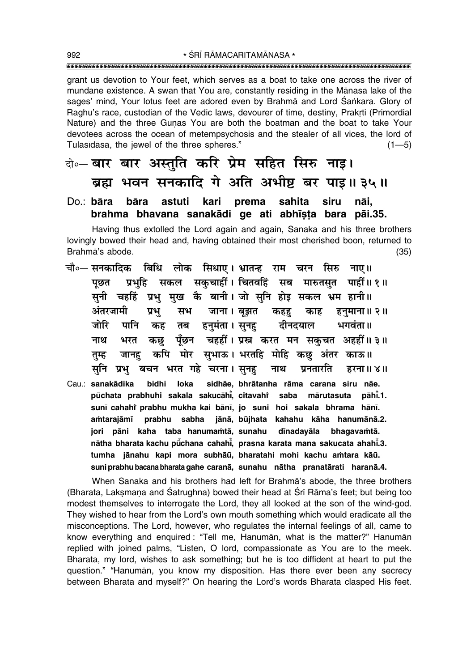grant us devotion to Your feet, which serves as a boat to take one across the river of mundane existence. A swan that You are, constantly residing in the Mānasa lake of the sages' mind, Your lotus feet are adored even by Brahma and Lord Sankara. Glory of Raghu's race, custodian of the Vedic laws, devourer of time, destiny, Prakrti (Primordial Nature) and the three Gunas You are both the boatman and the boat to take Your devotees across the ocean of metempsychosis and the stealer of all vices, the lord of Tulasīdāsa, the jewel of the three spheres."  $(1 - 5)$ 

## बे॰-बार बार अस्तुति करि प्रेम सहित सिरु नाइ। ब्रह्म भवन सनकादि गे अति अभीष्ट बर पाइ॥ ३५॥

#### Do.: bāra bāra astuti kari prema sahita siru nāi. brahma bhavana sanakādi ge ati abhīsta bara pāi.35.

Having thus extolled the Lord again and again. Sanaka and his three brothers lovingly bowed their head and, having obtained their most cherished boon, returned to Brahmā's abode.  $(35)$ 

- चौ∘— सनकादिक बिधि लोक सिधाए। भ्रातन्ह राम चरन सिरु नाए॥ प्रभहि सकल सकचाहीं।।चितवहिं सब मारुतसत पाहीं॥१॥ पछत सनी चहहिं प्रभ मख कै बानी। जो सनि होड़ सकल भ्रम हानी॥ जाना। बूझत कहह अंतरजामी प्रभ सभ काह हनमाना ॥ २ ॥ भगवंता ॥ जोरि पानि कह तब हनुमंता। सुनहु दीनदयाल पँछन चहहीं। प्रस्न करत मन सकचत अहहीं॥३॥ नाथ भरत कछ जानह कपि मोर सुभाऊ। भरतहि मोहि कछ अंतर काऊ॥ तुम्ह सुनि प्रभु बचन भरत गहे चरना। सुनहु प्रनतारति नाथ हरना॥ ४॥
- Cau.: sanakādika bidhi loka sidhāe, bhrātanha rāma carana siru nāe. pūchata prabhuhi sakala sakucāhi, citavahi saba mārutasuta pāhī.1. sunī cahahi prabhu mukha kai bānī, jo suni hoi sakala bhrama hānī. amtarajāmī prabhu sabha jānā, būjhata kahahu kāha hanumānā.2. jori pāni kaha taba hanumamtā, sunahu dīnadayāla bhagavamtā. nātha bharata kachu pūchana cahahi, prasna karata mana sakucata ahahi.3. tumha jānahu kapi mora subhāū, bharatahi mohi kachu amtara kāū. suni prabhu bacana bharata gahe caranā, sunahu nātha pranatārati haranā.4.

When Sanaka and his brothers had left for Brahma's abode, the three brothers (Bharata, Laksmana and Śatrughna) bowed their head at Śrī Rāma's feet; but being too modest themselves to interrogate the Lord, they all looked at the son of the wind-god. They wished to hear from the Lord's own mouth something which would eradicate all the misconceptions. The Lord, however, who regulates the internal feelings of all, came to know everything and enquired: "Tell me, Hanuman, what is the matter?" Hanuman replied with joined palms, "Listen, O lord, compassionate as You are to the meek. Bharata, my lord, wishes to ask something; but he is too diffident at heart to put the question." "Hanumān, you know my disposition. Has there ever been any secrecy between Bharata and myself?" On hearing the Lord's words Bharata clasped His feet.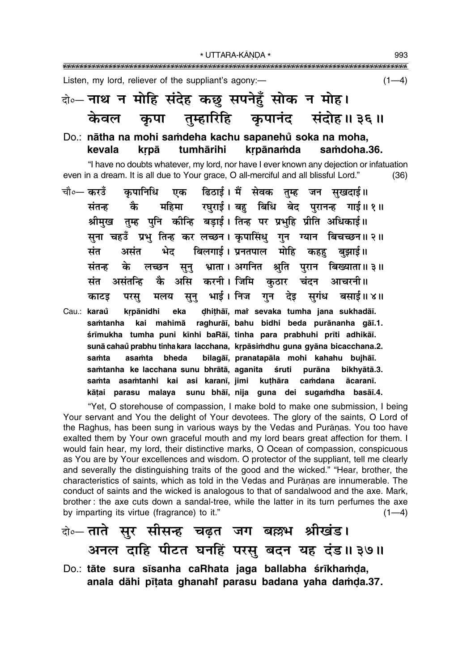\* UTTARA-KĀNDA \*

Listen, my lord, reliever of the suppliant's agony:- $(1-4)$ वे॰ नाथ न मोहि संदेह कछ सपनेहूँ सोक न मोह। तुम्हारिहि कृपानंद संदोह॥३६॥ केवल कपा Do.: nātha na mohi samdeha kachu sapanehů soka na moha, kevala krpā tumhārihi krpānamda samdoha.36. "I have no doubts whatever, my lord, nor have I ever known any dejection or infatuation even in a dream. It is all due to Your grace, O all-merciful and all blissful Lord."  $(36)$ कपानिधि चौ०— करउँ एक ढिठाई। मैं सेवक तुम्ह जन सुखदाई॥ महिमा रघराई। बह बिधि बेद परानन्ह गाई॥ १॥ कै संतन्ह श्रीमख तम्ह पनि कीन्हि बडाई। तिन्ह पर प्रभहि प्रीति अधिकाई॥ सुना चहउँ प्रभु तिन्ह कर लच्छन। कुपासिंधु गुन ग्यान बिचच्छन॥२॥ बिलगाई। प्रनतपाल मोहि कहह बझाई॥ संत असंत भेद सुनु भ्राता। अगनित श्रुति पुरान बिख्याता॥३॥ संतन्ह के लच्छन कै असि करनी।जिमि कुठार चंदन आचरनी॥ संत असंतन्धि सूनु भाई। निज गुन देइ सुगंध बसाई॥४॥ मलय काटड परस् dhithāi, mai sevaka tumha jana sukhadāi. Cau.: karaů krpānidhi eka saṁtanha kai mahimā raghurāi, bahu bidhi beda purānanha gāi.1. śrīmukha tumha puni kīnhi baRāī, tinha para prabhuhi prīti adhikāī. sunā cahaŭ prabhu tinha kara lacchana, krpāsimdhu guna gyāna bicacchana.2. bilagāi, pranatapāla mohi kahahu bujhāi. samta asamta bheda samtanha ke lacchana sunu bhrātā, aganita śruti purāna bikhvātā.3. samta asamtanhi kai asi karanī, jimi kuthāra camdana ācaranī. kātai parasu malaya sunu bhāi, nija guna dei sugamdha basāi.4.

"Yet, O storehouse of compassion, I make bold to make one submission, I being Your servant and You the delight of Your devotees. The glory of the saints, O Lord of the Raghus, has been sung in various ways by the Vedas and Purānas. You too have exalted them by Your own graceful mouth and my lord bears great affection for them. I would fain hear, my lord, their distinctive marks, O Ocean of compassion, conspicuous as You are by Your excellences and wisdom. O protector of the suppliant, tell me clearly and severally the distinguishing traits of the good and the wicked." "Hear, brother, the characteristics of saints, which as told in the Vedas and Purānas are innumerable. The conduct of saints and the wicked is analogous to that of sandalwood and the axe. Mark, brother: the axe cuts down a sandal-tree, while the latter in its turn perfumes the axe by imparting its virtue (fragrance) to it."  $(1-4)$ 

# बे॰- ताते सुर सीसन्ह चढ़त जग बल्लभ श्रीखंड। अनल दाहि पीटत घनहिं परसु बदन यह दंड।। ३७॥ Do.: tāte sura sīsanha caRhata jaga ballabha śrīkhamda,

anala dāhi pītata ghanahi parasu badana yaha damda.37.

993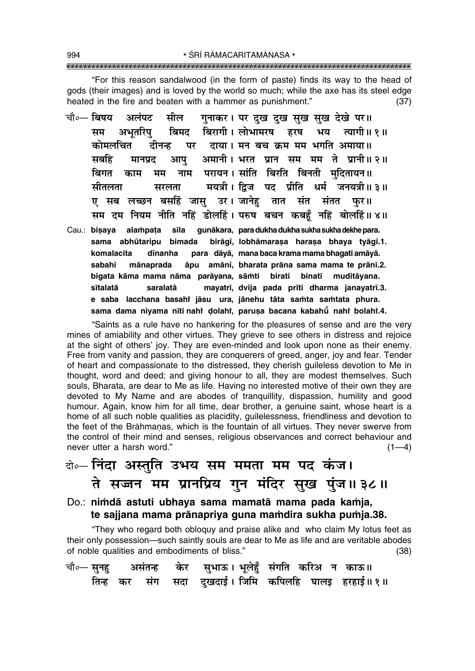"For this reason sandalwood (in the form of paste) finds its way to the head of gods (their images) and is loved by the world so much; while the axe has its steel edge heated in the fire and beaten with a hammer as punishment."  $(37)$ 

- ਹੀ $o$  ਕਿਥਹ अलंपट मील गनाकर। पर दख दख सख सख देखे पर॥ बिरागी। लोभामरष हरष सम अभतरिप बिमट भय त्यागी॥ १॥ दाया। मन बच क्रम मम भगति अमाया॥ कोमलचित दीनन्ह पर सबहि अमानी। भरत प्रान सम मम ते प्रानी॥ २॥ मानप्रद आप परायन। सांति बिरति बिनती मदितायन॥ बिगत काम मम नाम मयत्री । द्विज पद प्रीति धर्म जनयत्री ॥ ३ ॥ सीतलता सरलता ए सब लच्छन बसहिं जासु उर।जजानेहु तात संत संतत फुर॥ सम दम नियम नीति नहिं डोलहिं। परुष बचन कबहँ नहिं बोलहिं॥४॥
- Cau.: bisaya alampata sīla gunākara, para dukha dukha sukha sukha dekhe para. sama abhūtaripu bimada birāgī, lobhāmaraṣa haraṣa bhaya tyāgī.1. komalacita dīnanha para dāyā, mana baca krama mama bhagati amāyā. āpu amānī, bharata prāna sama mama te prānī.2. sabahi mānaprada bigata kāma mama nāma parāyana, sāmti birati binatī muditāyana. sītalatā mayatrī, dvija pada prīti dharma janayatrī.3. saralatā e saba lacchana basahi iāsu ura iānehu tāta samta samtata phura. sama dama niyama nīti nahi dolahi, parusa bacana kabahu nahi bolahi.4.

"Saints as a rule have no hankering for the pleasures of sense and are the very mines of amiability and other virtues. They grieve to see others in distress and rejoice at the sight of others' joy. They are even-minded and look upon none as their enemy. Free from vanity and passion, they are conquerers of greed, anger, joy and fear. Tender of heart and compassionate to the distressed, they cherish guileless devotion to Me in thought, word and deed; and giving honour to all, they are modest themselves. Such souls, Bharata, are dear to Me as life. Having no interested motive of their own they are devoted to My Name and are abodes of tranquillity, dispassion, humility and good humour. Again, know him for all time, dear brother, a genuine saint, whose heart is a home of all such noble qualities as placidity, guilelessness, friendliness and devotion to the feet of the Brāhmanas, which is the fountain of all virtues. They never swerve from the control of their mind and senses, religious observances and correct behaviour and never utter a harsh word."  $(1-4)$ 

## वे॰– निंदा अस्तुति उभय सम ममता मम पद कंज। ते सज्जन मम प्रानप्रिय गुन मंदिर सुख पुंज॥३८॥

### Do.: nimdā astuti ubhaya sama mamatā mama pada kamja, te sajjana mama prānapriya guna mamdira sukha pumja.38.

"They who regard both obloguy and praise alike and who claim My lotus feet as their only possession-such saintly souls are dear to Me as life and are veritable abodes of noble qualities and embodiments of bliss."  $(38)$ 

|  | चौ०— सुनहु      असंतन्ह     केर     सुभाऊ । भूलेहुँ   संगति  करिअ   न   काऊ ॥ |  |  |
|--|-------------------------------------------------------------------------------|--|--|
|  | तिन्ह कर संग सदा दुखदाई।।जिमि कपिलहि घालइ हरहाई॥१॥                            |  |  |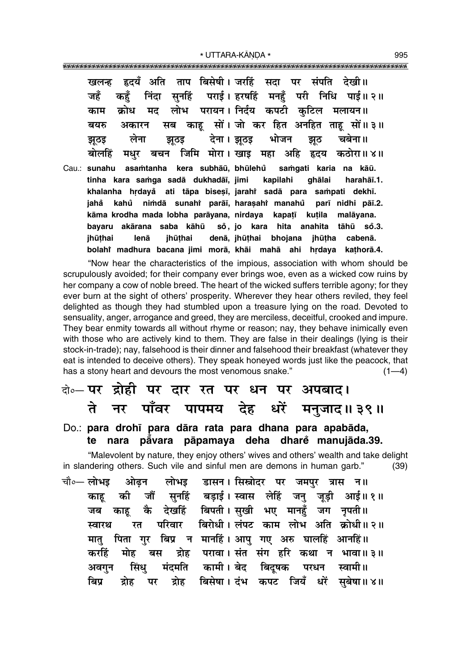\* UTTARA-KĀNDA \* 

हृदयँ अति ताप बिसेषी। जरहिं सदा पर संपति देखी।। खलन्ह निंदा सनहिं पराई। हरषहिं मनहँ परी निधि पाई॥ २॥ जहँ कहँ लोभ परायन। निर्दय कपटी कटिल मलायन॥ कोध काम मद काह सों। जो कर हित अनहित ताह सों॥३॥ सब बयरु अकारन देना। झठइ भोजन लेना झठ चबेना॥ झठड झठड जिमि मोरा। खाइ महा बोलहिं बचन मधर अहि हृदय कठोरा॥४॥ Cau.: sunahu asamtanha kera subhāū, bhūlehů samgati karia na kāū. tinha kara samga sadā dukhadāī, jimi kapilahi ghālai harahāī.1. khalanha hrdayå ati tāpa bisesī, jarahi sadā para sampati dekhī. iahå kahů nimdā sunahi parāī, harasahi manahů parī nidhi pāī.2. kāma krodha mada lobha parāyana, nirdaya kapatī kutila malāvana. tāhū sỏ.3. bayaru akārana saba kāhū so, jo kara hita anahita ihūthai lenā jhūthai denā, įhūthai bhojana jhūtha cabenā. bolahi madhura bacana jimi morā, khāi mahā ahi hrdaya kathorā.4.

"Now hear the characteristics of the impious, association with whom should be scrupulously avoided; for their company ever brings woe, even as a wicked cow ruins by her company a cow of noble breed. The heart of the wicked suffers terrible agony; for they ever burn at the sight of others' prosperity. Wherever they hear others reviled, they feel delighted as though they had stumbled upon a treasure lying on the road. Devoted to sensuality, anger, arrogance and greed, they are merciless, deceitful, crooked and impure. They bear enmity towards all without rhyme or reason; nay, they behave inimically even with those who are actively kind to them. They are false in their dealings (lying is their stock-in-trade); nay, falsehood is their dinner and falsehood their breakfast (whatever they eat is intended to deceive others). They speak honeyed words just like the peacock, that has a stony heart and devours the most venomous snake."  $(1-4)$ 

|  |  |  |  | वे⊶ पर द्रोही पर दार रत पर धन पर अपबाद। |
|--|--|--|--|-----------------------------------------|
|  |  |  |  | ते नर पाँवर पापमय देह धरें मनुजाद॥३९॥   |

#### Do.: para drohi para dāra rata para dhana para apabāda, nara pāvara pāpamaya deha dhare manujāda.39. te

"Malevolent by nature, they enjoy others' wives and others' wealth and take delight in slandering others. Such vile and sinful men are demons in human garb."  $(39)$ 

|  | चौ०— लोभइ ओढ़न लोभइ डासन। सिस्नोदर पर जमपुर त्रास न॥    |  |  |  |  |
|--|---------------------------------------------------------|--|--|--|--|
|  | काहू की जौं सुनहिं बड़ाई।स्वास लेहिं जनु जूड़ी आई॥१॥    |  |  |  |  |
|  | जब काहू कै देखहिं बिपती।सुखी भए मानहुँ जग नृपती॥        |  |  |  |  |
|  | स्वारथ रत परिवार बिरोधी।लंपट काम लोभ अति क्रोधी॥२॥      |  |  |  |  |
|  | मातु पिता गुर बिप्र न मानहिं। आपु गए अरु घालहिं आनहिं॥  |  |  |  |  |
|  | करहिं मोह बस द्रोह परावा।संत संग हरि कथा न भावा॥३॥      |  |  |  |  |
|  | अवगुन सिंधु मंदमति कामी।बेद बिदूषक परधन स्वामी॥         |  |  |  |  |
|  | बिप्र द्रोह पर द्रोह बिसेषा।दंभ कपट जियँ धरें सुबेषा॥४॥ |  |  |  |  |

995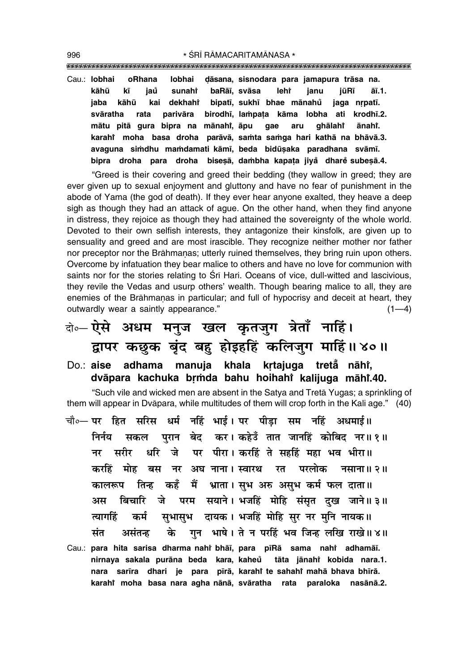\* ŚRĪ RĀMACARITAMĀNASA \* 

dāsana, sisnodara para jamapura trāsa na. Cau.: **lobhai** oRhana lobhai baRāī, svāsa kāhū kī sunaht lehř janu jūRī jaů āī.1. bipatī, sukhī bhae mānahů kāhū dekhahî iaba kai iaga nrpatī. birodhī, lampata kāma lobha ati krodhī.2. svāratha rata parivāra mātu pitā gura bipra na mānahi, āpu qae aru ahālahi ānahi. karahi moha basa droha parāvā, samta samga hari kathā na bhāvā.3. avaguna simdhu mamdamati kāmī, beda bidūsaka paradhana svāmī. bipra droha para droha bisesā, dambha kapata jiva dhare subesā.4.

"Greed is their covering and greed their bedding (they wallow in greed; they are ever given up to sexual enjoyment and gluttony and have no fear of punishment in the abode of Yama (the god of death). If they ever hear anyone exalted, they heave a deep sigh as though they had an attack of ague. On the other hand, when they find anyone in distress, they rejoice as though they had attained the sovereignty of the whole world. Devoted to their own selfish interests, they antagonize their kinsfolk, are given up to sensuality and greed and are most irascible. They recognize neither mother nor father nor preceptor nor the Brāhmanas; utterly ruined themselves, they bring ruin upon others. Overcome by infatuation they bear malice to others and have no love for communion with saints nor for the stories relating to Srī Hari. Oceans of vice, dull-witted and lascivious, they revile the Vedas and usurp others' wealth. Though bearing malice to all, they are enemies of the Brāhmanas in particular; and full of hypocrisy and deceit at heart, they outwardly wear a saintly appearance."  $(1-4)$ 

- बे॰- ऐसे अधम मनुज खल कृतजुग त्रेताँ नाहिं। द्वापर कछुक बृंद बहु होइहहिं कलिजुग माहिं॥४०॥
- Do.: aise adhama manuja khala krtajuga tretå nāhi, dvāpara kachuka brmda bahu hoihahi kalijuga māhi.40.

"Such vile and wicked men are absent in the Satya and Treta Yugas; a sprinkling of them will appear in Dvāpara, while multitudes of them will crop forth in the Kali age." (40)

- चौ०— पर हित सरिस धर्म नहिं भाई। पर पीड़ा सम नहिं अधमाई॥ पुरान बेद कर।कहेउँ तात जानहिं कोबिद नर॥१॥ निर्नय सकल नर सरीर धरि जे पर पीरा। करहिं ते सहहिं महा भव भीरा॥ करहिं मोह बस नर अघ नाना। स्वारथ रत परलोक नसाना ॥ २॥ तिन्ह कहँ मैं भ्राता। सुभ अरु असुभ कर्म फल दाता॥ कालरूप बिचारि जे परम सयाने। भजहिं मोहि संसत दख जाने॥३॥ अस सभासभ दायक। भजहिं मोहि सर नर मनि नायक॥ त्यागहिं ਕਸ਼ੰ गुन भाषे। ते न परहिं भव जिन्ह लखि राखे॥४॥ के संत असंतन्ह
- Cau.: para hita sarisa dharma nahi bhāi, para pīRā sama nahi adhamāi. nirnaya sakala purāna beda kara, kaheů tāta jānahi kobida nara.1. nara sarīra dhari je para pīrā, karahi te sahahi mahā bhava bhīrā. karahi moha basa nara agha nānā, svāratha rata paraloka nasānā.2.

996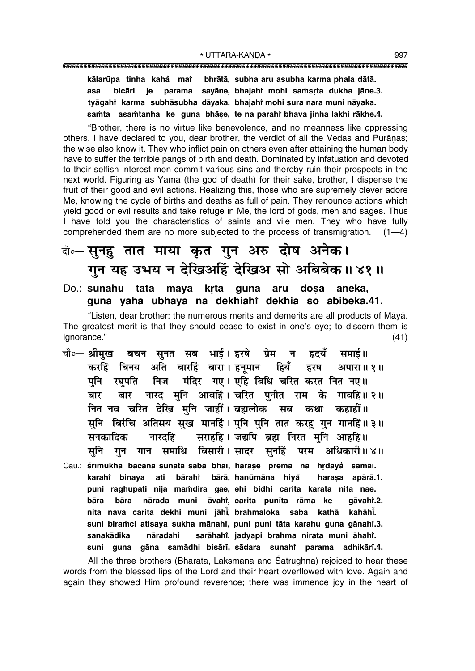#### 

kālarūpa tinha kahå mar bhrātā, subha aru asubha karma phala dātā. je parama sayāne, bhajahi mohi samsrta dukha jāne.3. asa bicāri tvāgahi karma subhāsubha dāvaka, bhaiahi mohi sura nara muni nāvaka. samta asamtanha ke guna bhāse, te na parahi bhava jinha lakhi rākhe.4.

"Brother, there is no virtue like benevolence, and no meanness like oppressing others. I have declared to you, dear brother, the verdict of all the Vedas and Puranas: the wise also know it. They who inflict pain on others even after attaining the human body have to suffer the terrible pangs of birth and death. Dominated by infatuation and devoted to their selfish interest men commit various sins and thereby ruin their prospects in the next world. Figuring as Yama (the god of death) for their sake, brother, I dispense the fruit of their good and evil actions. Realizing this, those who are supremely clever adore Me, knowing the cycle of births and deaths as full of pain. They renounce actions which yield good or evil results and take refuge in Me, the lord of gods, men and sages. Thus I have told you the characteristics of saints and vile men. They who have fully comprehended them are no more subjected to the process of transmigration.  $(1-4)$ 

# बे॰–सूनहु तात माया कृत गुन अरु दोष अनेक। गुन यह उभय न देखिअहिं देखिअ सो अबिबेक॥४१॥

### Do.: sunahu tāta māyā krta guna aru dosa aneka, guna yaha ubhaya na dekhiahi dekhia so abibeka.41.

"Listen, dear brother: the numerous merits and demerits are all products of Māyā. The greatest merit is that they should cease to exist in one's eve; to discern them is ignorance."  $(41)$ 

- चौ०— श्रीमुख बचन सुनत सब भाई। हरषे प्रेम न हृदयँ समाई॥ करहिं बिनय अति बारहिं बारा। हनमान हियँ हरष अपारा॥१॥ पनि रघुपति निज मंदिर गए। एहि बिधि चरित करत नित नए॥ बार नारद मनि आवहिं। चरित पनीत राम के गावहिं॥२॥ बार नित नव चरित देखि मनि जाहीं। ब्रह्मलोक सब कथा कहाहीं॥ सुनि बिरंचि अतिसय सुख मानहिं। पुनि पुनि तात करहु गुन गानहिं॥३॥ सराहहिं । जद्यपि ब्रह्म निरत मनि आहहिं॥ मनकादिक नारदहि सनि गन गान समाधि बिसारी।सादर सुनहिं परम अधिकारी॥४॥
- Cau.: śrīmukha bacana sunata saba bhāī, harașe prema na hrdayă samāī. karahî binaya ati bārahî bārā, hanūmāna hiyå harasa apārā.1. puni raghupati nija mamdira gae, ehi bidhi carita karata nita nae. nārada muni āvahi, carita punīta rāma ke bāra bāra gāvahi.2. nita nava carita dekhi muni jāhī, brahmaloka saba kathā kahāhī. suni biramci atisaya sukha mānahi, puni puni tāta karahu guna gānahi.3. sanakādika nāradahi sarāhahi, jadyapi brahma nirata muni āhahi. suni guna gāna samādhi bisārī, sādara sunahi parama adhikārī.4.

All the three brothers (Bharata, Laksmana and Satrughna) rejoiced to hear these words from the blessed lips of the Lord and their heart overflowed with love. Again and again they showed Him profound reverence; there was immence joy in the heart of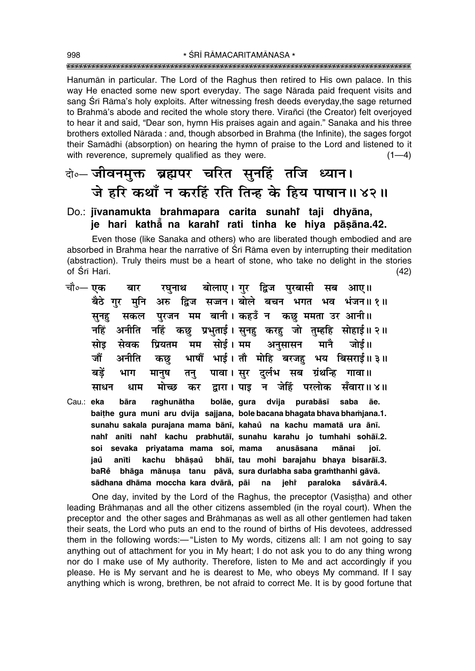Hanuman in particular. The Lord of the Raghus then retired to His own palace. In this way He enacted some new sport everyday. The sage Nārada paid frequent visits and sang Śrī Rāma's holy exploits. After witnessing fresh deeds everyday, the sage returned to Brahma's abode and recited the whole story there. Virañci (the Creator) felt overjoyed to hear it and said, "Dear son, hymn His praises again and again." Sanaka and his three brothers extolled Nārada: and, though absorbed in Brahma (the Infinite), the sages forgot their Samadhi (absorption) on hearing the hymn of praise to the Lord and listened to it with reverence, supremely qualified as they were.  $(1-4)$ 

## के— जीवनमुक्त ब्रह्मपर चरित सुनहिं तजि ध्यान। जे हरि कथाँ न करहिं रति तिन्ह के हिय पाषान॥४२॥

### Do.: jīvanamukta brahmapara carita sunahi taji dhyāna, je hari kathå na karahi rati tinha ke hiya pāṣāna.42.

Even those (like Sanaka and others) who are liberated though embodied and are absorbed in Brahma hear the narrative of Sri Rama even by interrupting their meditation (abstraction). Truly theirs must be a heart of stone, who take no delight in the stories of Śrī Hari.  $(42)$ 

- चौ०— एक बार रघुनाथ बोलाए। गुर द्विज पुरबासी सब आए॥ बैठे गुर मुनि अरु द्विज सज्जन। बोले बचन भगत भव भंजन॥१॥ परजन मम बानी। कहउँ न कछ ममता उर आनी॥ सनह सकल कछ् प्रभुताई। सुनहु करहु जो तुम्हहि सोहाई॥२॥ नहिं अनीति नहिं प्रियतम मम सोई।मम अनुसासन सोड सेवक मानै जोर्ड ॥ भाषौं भाई। तौ मोहि बरजह भय बिसराई॥ ३॥ जौं अनीति कछ पावा। सर दर्लभ सब ग्रंथन्हि गावा॥ बडें भाग मानुष तन् मोच्छ द्वारा। पाइ न जेहिं परलोक सँवारा॥ ४॥ कर साधन धाम
- Cau.: eka bāra raghunātha bolāe, gura dvija purabāsī saba āe. baithe gura muni aru dvija sajjana, bole bacana bhagata bhava bhamjana.1. sunahu sakala purajana mama bānī, kahaŭ na kachu mamatā ura ānī. nahi anīti nahi kachu prabhutāī, sunahu karahu jo tumhahi sohāī.2. soi sevaka priyatama mama soi, mama anusāsana mānai ioī. jaů anīti kachu bhāṣaů bhāī, tau mohi barajahu bhaya bisarāī.3. bhāga mānusa tanu pāvā, sura durlabha saba gramthanhi gāvā. baRe sādhana dhāma moccha kara dvārā, pāi jehř paraloka såvārā.4. na

One day, invited by the Lord of the Raghus, the preceptor (Vasistha) and other leading Brāhmanas and all the other citizens assembled (in the royal court). When the preceptor and the other sages and Brāhmanas as well as all other gentlemen had taken their seats, the Lord who puts an end to the round of births of His devotees, addressed them in the following words:-'Listen to My words, citizens all: I am not going to say anything out of attachment for you in My heart; I do not ask you to do any thing wrong nor do I make use of My authority. Therefore, listen to Me and act accordingly if you please. He is My servant and he is dearest to Me, who obeys My command. If I say anything which is wrong, brethren, be not afraid to correct Me. It is by good fortune that

998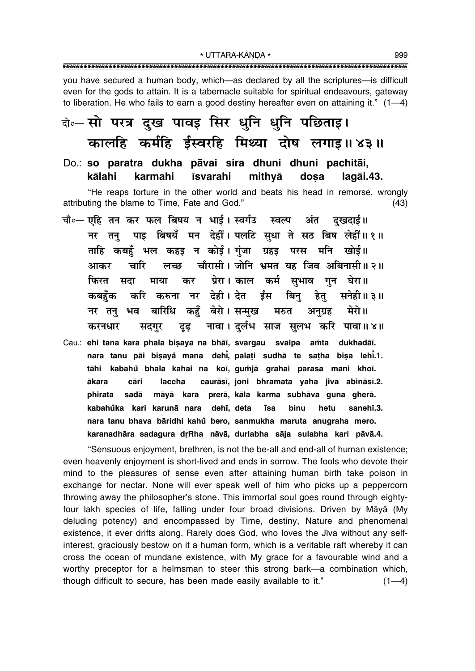you have secured a human body, which—as declared by all the scriptures—is difficult even for the gods to attain. It is a tabernacle suitable for spiritual endeavours, gateway to liberation. He who fails to earn a good destiny hereafter even on attaining it."  $(1-4)$ 

# बे॰-सो परत्र दुख पावइ सिर धुनि धुनि पछिताइ। कालहि कर्महि ईस्वरहि मिथ्या दोष लगाइ॥४३॥

#### Do.: so paratra dukha pāvai sira dhuni dhuni pachitāi, kālahi karmahi **isvarahi** mithyā dosa lagāi.43.

"He reaps torture in the other world and beats his head in remorse, wrongly attributing the blame to Time, Fate and God."  $(43)$ 

- चौ० एहि तन कर फल बिषय न भाई। स्वर्गउ स्वल्प अंत दखदाई॥ पाइ बिषयँ मन देहीं। पलटि सुधा ते सठ बिष लेहीं॥ १॥ नर तन् ताहि कबहँ भल कहड़ न कोई। गुंजा ग्रहड़ परस मनि खोई॥ चौरासी। जोनि भ्रमत यह जिव अबिनासी॥२॥ चारि लच्छ आकर कर प्रेरा। काल कर्म सुभाव गुन घेरा॥ माया फिरत सदा करि करुना नर देही।देत ईस कबहँक बिन् हेत सनेही॥ ३॥ बारिधि कहँ बेरो। सन्मुख नर तन भव मरुत अनुग्रह मेरो॥ नावा। दुर्लभ साज सुलभ करि पावा॥४॥ करनधार सदगुर दूढ़
- Cau.: ehi tana kara phala bişaya na bhāī, svargau svalpa amta dukhadāī. nara tanu pāi bisaya mana dehi, palați sudhā te sațha bisa lehi.1. tāhi kabahů bhala kahai na koī, gumjā grahai parasa mani khoī. ākara cāri laccha caurāsī, joni bhramata yaha jiva abināsī.2. sadā māyā kara prerā, kāla karma subhāva guna gherā. phirata kabahůka kari karunā nara dehī, deta **Tsa** binu hetu sanehī.3. nara tanu bhava bāridhi kahů bero, sanmukha maruta anugraha mero. karanadhāra sadagura drRha nāvā, durlabha sāja sulabha kari pāvā.4.

"Sensuous enjoyment, brethren, is not the be-all and end-all of human existence; even heavenly enjoyment is short-lived and ends in sorrow. The fools who devote their mind to the pleasures of sense even after attaining human birth take poison in exchange for nectar. None will ever speak well of him who picks up a peppercorn throwing away the philosopher's stone. This immortal soul goes round through eightyfour lakh species of life, falling under four broad divisions. Driven by Māyā (My deluding potency) and encompassed by Time, destiny, Nature and phenomenal existence, it ever drifts along. Rarely does God, who loves the Jiva without any selfinterest, graciously bestow on it a human form, which is a veritable raft whereby it can cross the ocean of mundane existence, with My grace for a favourable wind and a worthy preceptor for a helmsman to steer this strong bark—a combination which, though difficult to secure, has been made easily available to it."  $(1-4)$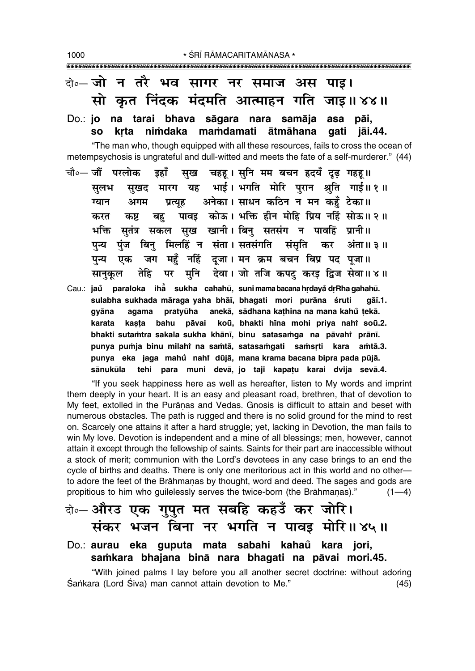## के जो न तरै भव सागर नर समाज अस पाइ। सो कृत निंदक मंदमति आत्माहन गति जाइ॥४४॥

Do.: io na tarai bhava sāgara nara samāja asa pāj. nimdaka mamdamati ātmāhana **SO** krta gati jāi.44.

"The man who, though equipped with all these resources, fails to cross the ocean of metempsychosis is ungrateful and dull-witted and meets the fate of a self-murderer." (44)

- सख चहह। सनि मम बचन हृदयँ दृढ गहह॥ चौ०— जौं परलोक डहाँ मारग यह भाई। भगति मोरि परान श्रति गाई॥१॥ सखट सलभ प्रत्युह अनेका। साधन कठिन न मन कहँ टेका॥ ग्यान अगम बह पावड कोऊ। भक्ति हीन मोहि प्रिय नहिं सोऊ॥ २ ॥ कष्ट करत भक्ति सतंत्र सकल सख खानी। बिन सतसंग न पावहिं प्रानी॥ पुंज बिनु मिलहिं न संता।सतसंगति संसृति कर अंता॥३॥ पुन्य पुन्य एक जग महुँ नहिँ दूजा। मन क्रम बचन बिप्र पद पूजा॥ तेहि पर मनि देवा। जो तजि कपट् करइ द्विज सेवा॥४॥ सानकुल
- Cau.: jaŭ paraloka iha sukha cahahū, suni mama bacana hrdayă drRha gahahū. sulabha sukhada māraga yaha bhāi, bhagati mori purāna śruti qāī.1. agama pratyūha anekā, sādhana kathina na mana kahů tekā. gyāna karata kasta bahu pāvai koū, bhakti hīna mohi priya nahi soū.2. bhakti sutamtra sakala sukha khānī, binu satasamga na pāvahi prānī. punya pumja binu milahi na samtā, satasamgati samsrti kara amtā.3. punya eka jaga mahu nahi dūjā, mana krama bacana bipra pada pūjā. sānukūla tehi para muni devā, jo taji kapatu karai dvija sevā.4.

"If you seek happiness here as well as hereafter, listen to My words and imprint them deeply in your heart. It is an easy and pleasant road, brethren, that of devotion to My feet, extolled in the Puranas and Vedas. Gnosis is difficult to attain and beset with numerous obstacles. The path is rugged and there is no solid ground for the mind to rest on. Scarcely one attains it after a hard struggle; yet, lacking in Devotion, the man fails to win My love. Devotion is independent and a mine of all blessings; men, however, cannot attain it except through the fellowship of saints. Saints for their part are inaccessible without a stock of merit; communion with the Lord's devotees in any case brings to an end the cycle of births and deaths. There is only one meritorious act in this world and no otherto adore the feet of the Brāhmanas by thought, word and deed. The sages and gods are propitious to him who guilelessly serves the twice-born (the Brāhmaṇas)."  $(1-4)$ 

## के-अौरउ एक गुपुत मत सबहि कहउँ कर जोरि। संकर भजन बिना नर भगति न पावड़ मोरि॥४५॥

### Do.: aurau eka guputa mata sabahi kahaŭ kara jori, samkara bhajana binā nara bhagati na pāvai mori.45.

"With joined palms I lay before you all another secret doctrine: without adoring Sankara (Lord Siva) man cannot attain devotion to Me."  $(45)$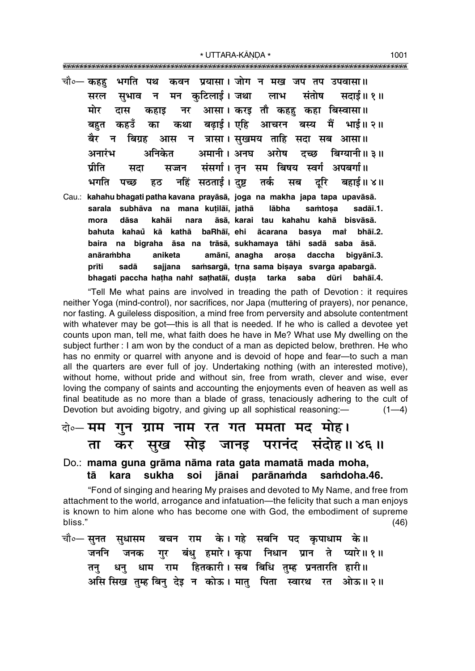\* UTTARA-KĀNDA \* 

| चौ∘— कहहु भगति पथ कवन प्रयासा। जोग न मख जप तप उपवासा॥ |                                                                             |
|-------------------------------------------------------|-----------------------------------------------------------------------------|
| सरल                                                   | सुभाव न मन कुटिलाई। जथा लाभ संतोष सदाई॥१॥                                   |
| मोर दास कहाइ नर आसा।करइ तौ कहहु कहा बिस्वासा॥         |                                                                             |
|                                                       | बहुत कहउँ का कथा बढ़ाई।एहि आचरन बस्य मैं भाई॥२॥                             |
| बैर न बिग्रह आस न त्रासा।सुखमय ताहि सदा सब आसा॥       |                                                                             |
|                                                       | अनारंभ अनिकेत अमानी । अनघ अरोष दच्छ बिग्यानी ॥ ३ ॥                          |
|                                                       | प्रीति सदा सज्जन संसर्गा।तुन् समंबिषयं स्वर्गं अपबर्गा॥                     |
|                                                       | भगति पच्छ हठ नहिं सठताई।दुष्ट तर्क सब दूरि बहाई॥४॥                          |
|                                                       | Cau.: kahahu bhagati patha kavana prayāsā, joga na makha japa tapa upavāsā. |
|                                                       | sarala subhāva na mana kuṭilāī, jathā lābha saṁtoṣa sadāī.1.                |
| dāsa<br>mora                                          | kahāi nara āsā, karai tau kahahu kahā bisvāsā.                              |
|                                                       | bahuta kahaŭ kā kathā baRhāī, ehi ācarana basya mat bhāī.2.                 |
|                                                       | baira na bigraha āsa na trāsā, sukhamaya tāhi sadā saba āsā.                |
| anāraṁbha                                             | aniketa amānī, anagha arosa daccha bigyānī.3.                               |
| prīti                                                 | sadā sajjana samsargā, trna sama bisaya svarga apabargā.                    |
|                                                       | bhaqati paccha hatha nahi  sathatāī, dusta   tarka   saba   dūri   bahāī.4. |

"Tell Me what pains are involved in treading the path of Devotion: it requires neither Yoga (mind-control), nor sacrifices, nor Japa (muttering of prayers), nor penance, nor fasting. A guileless disposition, a mind free from perversity and absolute contentment with whatever may be got—this is all that is needed. If he who is called a devotee yet counts upon man, tell me, what faith does he have in Me? What use My dwelling on the subject further: I am won by the conduct of a man as depicted below, brethren. He who has no enmity or quarrel with anyone and is devoid of hope and fear-to such a man all the quarters are ever full of joy. Undertaking nothing (with an interested motive). without home, without pride and without sin, free from wrath, clever and wise, ever loving the company of saints and accounting the enjoyments even of heaven as well as final beatitude as no more than a blade of grass, tenaciously adhering to the cult of Devotion but avoiding bigotry, and giving up all sophistical reasoning:- $(1-4)$ 

### वे० सम गुन ग्राम नाम रत गत ममता मद मोह। ता कर सख सोड़ जानड़ परानंद संदोह॥४६॥

#### Do.: mama guna grāma nāma rata gata mamatā mada moha, kara sukha soi jānai parānamda saṁdoha.46. tā

"Fond of singing and hearing My praises and devoted to My Name, and free from attachment to the world, arrogance and infatuation—the felicity that such a man enjoys is known to him alone who has become one with God, the embodiment of supreme bliss."  $(46)$ 

चौ०— सुनत सुधासम बचन राम के। गहे सबनि पद कृपाधाम के॥ जननि जनक गुर बंधु हमारे।कृपा निधान प्रान ते प्यारे॥१॥ धनु धाम राम हितकारी।सब बिधि तुम्ह प्रनतारति हारी॥ तन असि सिख तुम्ह बिन् देइ न कोऊ। मात् पिता स्वारथ रत ओऊ॥२॥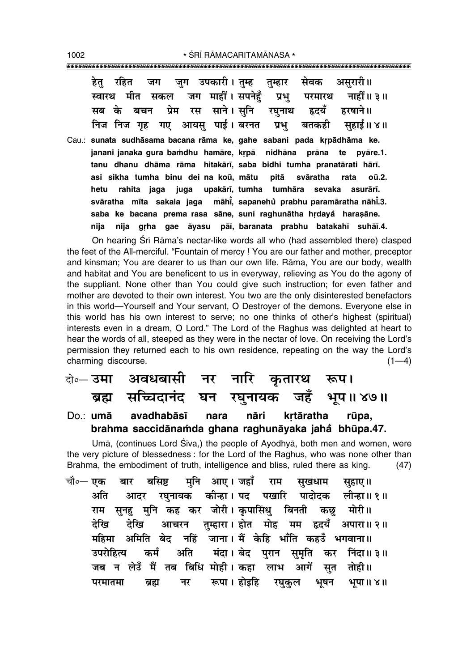""""""""""""""""""""""""""""""""""""""""""""""""""""""""""""""""""""""""""""""""""" हेत रहित जग जग उपकारी।तम्ह तम्हार सेवक असरारी॥ रवारथ मीत सकल जग माहीं।**सपनेहँ प्रभ परमारथ नाहीं॥३॥** सब के बचन प्रेम रस साने।सुनि रघुनाथ हृदयँ हरषाने॥ निज निज गह गए आयस पाई। बरनत प्रभ बतकही सहाई॥४॥ Cau.: sunata sudhāsama bacana rāma ke, gahe sabani pada krpādhāma ke. **janani janaka gura ba≈dhu hamåre, kæpå nidhåna pråna te pyåre.1. tanu dhanu dhåma råma hitakår∂, saba bidhi tumha pranatårati hår∂.** asi sikha tumha binu dei na koū, mātu pitā svāratha rata oū.2. **hetu rahita jaga juga upakår∂, tumha tumhåra sevaka asurår∂. svåratha m∂ta sakala jaga måh∂° , sapanehu prabhu paramåratha nåh∂ ° ° .3. saba ke bacana prema rasa sāne, suni raghunātha hrdaya harasāne. nija nija gæha gae åyasu på∂, baranata prabhu batakah∂ suhå∂.4.**

On hearing Srī Rāma's nectar-like words all who (had assembled there) clasped the feet of the All-merciful. "Fountain of mercy ! You are our father and mother, preceptor and kinsman; You are dearer to us than our own life. Råma, You are our body, wealth and habitat and You are beneficent to us in everyway, relieving as You do the agony of the suppliant. None other than You could give such instruction; for even father and mother are devoted to their own interest. You two are the only disinterested benefactors in this world—Yourself and Your servant, O Destroyer of the demons. Everyone else in this world has his own interest to serve; no one thinks of other's highest (spiritual) interests even in a dream, O Lord." The Lord of the Raghus was delighted at heart to hear the words of all, steeped as they were in the nectar of love. On receiving the Lord's permission they returned each to his own residence, repeating on the way the Lord's charming discourse. (1–4)

दो**०– उमा अवधबासी नर नारि कृतारथ रूप। ब्रह्म सच्चिदानंद घन रघुनायक जहँ भुप॥४७॥** Do.: **umå avadhabås∂ nara nåri kætåratha rµupa, brahma saccidānamda ghana raghunāyaka jaha bhūpa.47.** 

Umā, (continues Lord Śiva,) the people of Ayodhyā, both men and women, were the very picture of blessedness : for the Lord of the Raghus, who was none other than Brahma, the embodiment of truth, intelligence and bliss, ruled there as king. (47)

चौ०— **एक बार बसिष्ट मुनि आए। जहाँ राम सुखधाम सुहाए॥** <u>अति आदर रघुनायक कीन्हा। पद पखारि पादोदक लीन्हा॥१॥</u> **राम सुनह मुनि कह कर जोरी।** कृपासिंधु बिनती कछ मोरी॥ देखि देखि आचरन तम्हारा।**होत मोह मम हृदयँ अपारा॥२**॥ <u>महिमा अमिति बेद नहिं जाना। मैं केहि भाँति कहउँ भगवाना॥</u> उपरोहित्य कर्म अति मंदा।बेद पुरान सुमृति कर निंदा॥३॥ जब न लेउँ मैं तब बिधि मोही। कहा लाभ आगें सत तोही॥ परमातमा ब्रह्म नर रूपा।**होइहि रघकल भषन भपा॥४॥**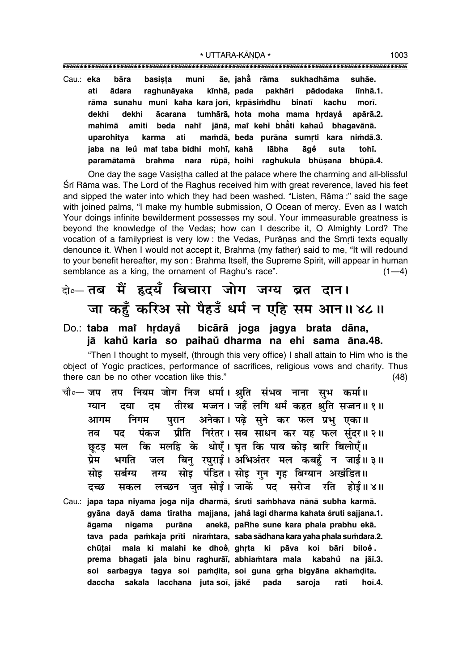\* UTTARA-KĀNDA \* 1003

""""""""""""""""""""""""""""""""""""""""""""""""""""""""""""""""""""""""""""""""""" Cau.: **eka bāra basista muni āe, jah**ă  **råma sukhadhåma suhåe. ati ådara raghunåyaka k∂nhå, pada pakhåri pådodaka l∂nhå.1.**

rāma sunahu muni kaha kara\_iorī, krpāsiṁdhu binatī kachu morī. **dekhi dekhi åcarana tumhårå, hota moha mama hædaya° apårå.2. mahimå amiti beda nahiÚ jånå, maiÚ kehi bhå° ti kahau bhagavånå. °** uparohitya karma ati mamdā, beda purāna sumrti kara nimdā.3. jaba na leů ma† taba bidhi mohī, kahā lābha āg<mark>ě suta toh</mark>ī. **paramåtamå brahma nara rµupå, hoihi raghukula bhµu¶ana bhµupå.4.**

One day the sage Vasistha called at the palace where the charming and all-blissful Srī Rāma was. The Lord of the Raghus received him with great reverence, laved his feet and sipped the water into which they had been washed. "Listen, Rāma :" said the sage with joined palms, "I make my humble submission, O Ocean of mercy. Even as I watch Your doings infinite bewilderment possesses my soul. Your immeasurable greatness is beyond the knowledge of the Vedas; how can I describe it, O Almighty Lord? The vocation of a familypriest is very low : the Vedas, Purānas and the Smrti texts equally denounce it. When I would not accept it, Brahma (my father) said to me, "It will redound to your benefit hereafter, my son : Brahma Itself, the Supreme Spirit, will appear in human semblance as a king, the ornament of Raghu's race".  $(1-4)$ 

## दो**0 तब मैं हृदयँ बिचारा जोग जग्य ब्रत दान।** जा कहँ करिअ सो पैहउँ धर्म न एहि सम आन॥४८॥

#### Do.: taba ma**ř** hrdavå  **hædaya bicårå joga jagya brata dåna, ° jå kahu karia so paihau ° dharma na ehi sama åna.48. °**

ìThen I thought to myself, (through this very office) I shall attain to Him who is the object of Yogic practices, performance of sacrifices, religious vows and charity. Thus there can be no other vocation like this." (48)

- चौ०— जप**्तप** नियम जोग निज धर्मा। श्रुति संभव नाना सुभ कर्मा॥  $\frac{1}{2}$  ग्वान दया दम तीरथ मज्जन। जहँ लगि धर्म कहत श्रुति सज्जन॥ १॥ आगम निगम पुरान अनेका । पढ़े सुने कर फल प्रभु एका ॥ तव पद पंकज प्रीति निरंतर। सब साधन कर यह फल सुंदर॥ २॥ छूटइ मल कि मलहि के धोएँ।**घृत कि पाव कोइ बारि बिलोएँ**॥ प्रेम भगति जल बिन**्रघराई। अभिअंतर मल कबहँ न जाई॥**३॥ सोइ सर्बग्य तग्य सोइ पंडित।सोइ गुन गृह बिग्यान अखंडित॥ दच्छ सकल लच्छन जत**सोई। जाकें पद सरोज रति होई॥४**॥
- Cau.: **japa tapa niyama joga nija dharmå, ‹ruti sa≈bhava nånå subha karmå. gyåna dayå dama t∂ratha majjana, jaha° lagi dharma kahata ‹ruti sajjana.1. ågama nigama puråna anekå, paRhe sune kara phala prabhu ekå. tava pada pa≈kaja pr∂ti nira≈tara, saba sådhana kara yaha phala su≈dara.2. chµu¢ai mala ki malahi ke dhoe° , ghæta ki påva koi båri biloe° . prema bhagati jala binu raghurå∂, abhia≈tara mala kabahu na jå∂.3. °** soi sarbagya tagya soi pamdita, soi guna grha bigyāna akhamdita. **daccha sakala lacchana juta so∂, jåke pada saroja rati ho∂.4. °**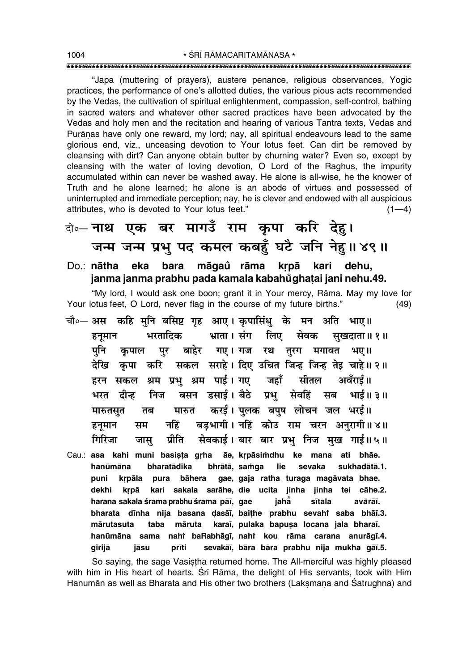"Japa (muttering of prayers), austere penance, religious observances, Yogic practices, the performance of one's allotted duties, the various pious acts recommended by the Vedas, the cultivation of spiritual enlightenment, compassion, self-control, bathing in sacred waters and whatever other sacred practices have been advocated by the Vedas and holy men and the recitation and hearing of various Tantra texts, Vedas and Puranas have only one reward, my lord; nay, all spiritual endeavours lead to the same glorious end, viz., unceasing devotion to Your lotus feet. Can dirt be removed by cleansing with dirt? Can anyone obtain butter by churning water? Even so, except by cleansing with the water of loving devotion, O Lord of the Raghus, the impurity accumulated within can never be washed away. He alone is all-wise, he the knower of Truth and he alone learned; he alone is an abode of virtues and possessed of uninterrupted and immediate perception; nay, he is clever and endowed with all auspicious attributes, who is devoted to Your lotus feet."  $(1-4)$ 

# के— नाथ एक बर मागउँ राम कृपा करि देह। जन्म जन्म प्रभु पद कमल कबहँ घटै जनि नेहु॥४९॥

bara māgaŭ rāma krpā kari dehu, Do.: nātha eka janma janma prabhu pada kamala kabahůghatai jani nehu.49.

"My lord, I would ask one boon; grant it in Your mercy, Rāma. May my love for Your lotus feet, O Lord, never flag in the course of my future births."  $(49)$ 

- चौ० अस कहि मुनि बसिष्ट गृह आए। कृपासिंधु के मन अति भाए॥ भ्राता। संग लिए सेवक हनमान भरतादिक सखदाता॥ १॥ पर बाहेर गए।गज रथ तरग मगावत भए॥ पनि कपाल देखि कपा करि सकल सराहे। दिए उचित जिन्ह जिन्ह तेड़ चाहे॥२॥ हरन सकल श्रम प्रभ श्रम पाई।गए अवँराई॥ जहाँ सीतल बसन डसाई। बैठे प्रभु सेवहिं सब भाई॥३॥ भरत दीन्ह निज मारुत करई। पुलक बपुष लोचन जल भरई॥ मारुतसत तब बड़भागी। नहिं कोउ राम चरन अनुरागी॥४॥ हनूमान सम नहिं सेवकाई। बार बार प्रभु निज मुख गाई॥५॥ गिरिजा प्रीति जास्
- Cau.: asa kahi muni basișța grha āe, krpāsimdhu ke mana ati bhāe. hanūmāna bharatādika bhrātā, samga lie sevaka sukhadātā.1. gae, gaja ratha turaga magāvata bhae. puni krpāla pura bāhera kari sakala sarāhe, die ucita jinha jinha tei cāhe.2. dekhi krpā harana sakala śrama prabhu śrama pāī, gae iahă sītala avårāī. bharata dīnha nija basana dasāi, baithe prabhu sevahi saba bhāi.3. karaī, pulaka bapuṣa locana jala bharaī. mārutasuta taba māruta hanūmāna sama nahi baRabhāgī, nahi kou rāma carana anurāgī.4. sevakāi, bāra bāra prabhu nija mukha gāi.5. girijā iāsu prīti

So saying, the sage Vasistha returned home. The All-merciful was highly pleased with him in His heart of hearts. Srī Rāma, the delight of His servants, took with Him Hanumān as well as Bharata and His other two brothers (Laksmana and Śatrughna) and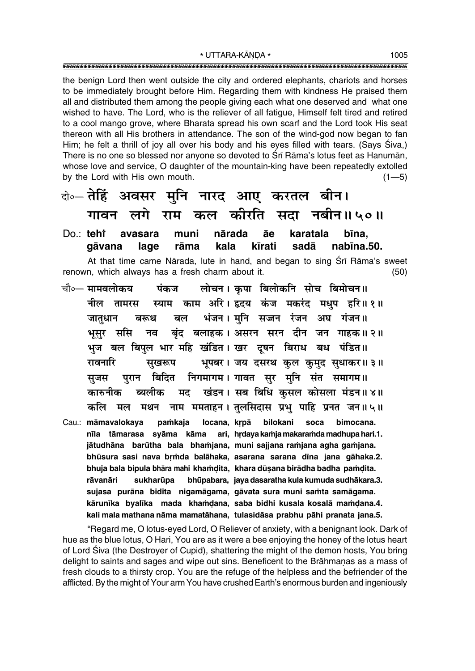the benign Lord then went outside the city and ordered elephants, chariots and horses to be immediately brought before Him. Regarding them with kindness He praised them all and distributed them among the people giving each what one deserved and what one wished to have. The Lord, who is the reliever of all fatigue, Himself felt tired and retired to a cool mango grove, where Bharata spread his own scarf and the Lord took His seat thereon with all His brothers in attendance. The son of the wind-god now began to fan Him; he felt a thrill of joy all over his body and his eves filled with tears. (Says Siva.) There is no one so blessed nor anyone so devoted to Sri Rama's lotus feet as Hanuman, whose love and service, O daughter of the mountain-king have been repeatedly extolled by the Lord with His own mouth.  $(1 - 5)$ 

## केन्ने तेहिं अवसर मुनि नारद आए करतल बीन। गावन लगे राम कल कीरति सदा नबीन॥५०॥

#### $Do:$  teht muni nārada āe karatala bīna. avasara lage rāma kala kīrati sadā nabīna.50. aāvana

At that time came Narada, lute in hand, and began to sing Sri Rama's sweet renown, which always has a fresh charm about it.  $(50)$ 

- चौ०— मामवलोकय लोचन । कृपा बिलोकनि सोच बिमोचन॥ पंकज स्याम काम अरि। हृदय कंज मकरंद मधुप हरि॥१॥ नील तामरस भंजन। मनि सज्जन रंजन अघ गंजन॥ बल जातधान बरूथ भसर ससि नव बुंद बलाहक। असरन सरन दीन जन गाहक॥ २॥ भुज बल बिपुल भार महि खंडित। खर दुषन बिराध बध पंडित॥ भूपबर। जय दसरथ कुल कुमुद सुधाकर॥ ३॥ रावनारि सुखरूप निगमागम । गावत सर मनि संत समागम॥ सजस परान बिदित खंडन। सब बिधि कसल कोसला मंडन॥४॥ कारुनीक व्यलीक मद कलि मल मथन नाम ममताहन।तुलसिदास प्रभु पाहि प्रनत जन॥५॥
- Cau.: māmavalokaya pamkaja locana, krpā bilokani bimocana. soca nīla tāmarasa syāma kāma ari, hrdaya kamja makaramda madhupa hari.1. jātudhāna barūtha bala bhamjana, muni sajjana ramjana agha gamjana. bhūsura sasi nava brmda balāhaka, asarana sarana dīna jana gāhaka.2. bhuja bala bipula bhāra mahi khamdita, khara dūsana birādha badha pamdita. rāvanāri sukharūpa bhūpabara, jaya dasaratha kula kumuda sudhākara.3. sujasa purāna bidita nigamāgama, gāvata sura muni samta samāgama. kārunīka byalīka mada khamdana, saba bidhi kusala kosalā mamdana.4. kali mala mathana nāma mamatāhana, tulasidāsa prabhu pāhi pranata jana.5.

"Regard me, O lotus-eyed Lord, O Reliever of anxiety, with a benignant look. Dark of hue as the blue lotus, O Hari, You are as it were a bee enjoying the honey of the lotus heart of Lord Siva (the Destroyer of Cupid), shattering the might of the demon hosts, You bring delight to saints and sages and wipe out sins. Beneficent to the Brāhmanas as a mass of fresh clouds to a thirsty crop. You are the refuge of the helpless and the befriender of the afflicted. By the might of Your arm You have crushed Earth's enormous burden and ingeniously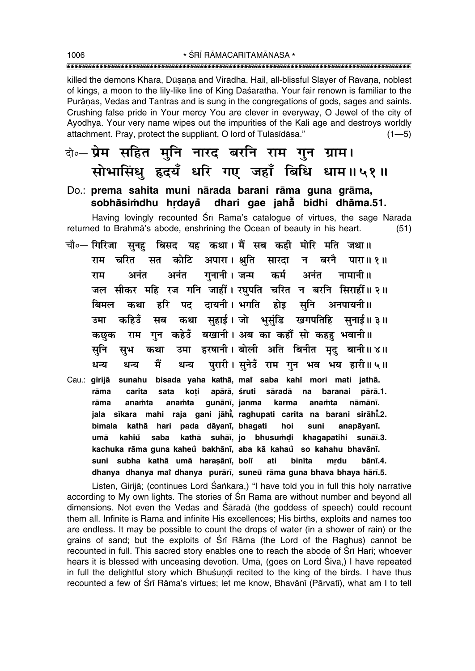killed the demons Khara, Dūsana and Virādha. Hail, all-blissful Slayer of Rāvana, noblest of kings, a moon to the lily-like line of King Daśaratha. Your fair renown is familiar to the Purānas, Vedas and Tantras and is sung in the congregations of gods, sages and saints. Crushing false pride in Your mercy You are clever in everyway, O Jewel of the city of Ayodhyā. Your very name wipes out the impurities of the Kali age and destroys worldly attachment. Pray, protect the suppliant, O lord of Tulasīdāsa."  $(1 - 5)$ 

बे॰- प्रेम सहित मुनि नारद बरनि राम गुन ग्राम। सोभासिंधु हृदयँ धरि गए जहाँ बिधि धाम॥५१॥

#### Do.: prema sahita muni nārada barani rāma guna grāma, sobhāsimdhu hrdayå dhari gae jahå bidhi dhāma.51.

Having lovingly recounted Srī Rāma's catalogue of virtues, the sage Nārada returned to Brahma's abode, enshrining the Ocean of beauty in his heart.  $(51)$ 

- चौ∘— गिरिजा सनह बिसद यह कथा। मैं सब कही मोरि मति जथा॥ राम चरित कोटि अपारा। श्रति सारदा न बरनै पारा॥१॥ सत गनानी । जन्म कर्म अनंत अनंत अनंत नामानी ॥ राम जल सीकर महि रज गनि जाहीं। रघपति चरित न बरनि सिराहीं॥२॥ हरि पद दायनी। भगति होड़ सनि अनपायनी॥ बिमल कथा कथा सुहाई। जो भुसुंडि खगपतिहि सुनाई॥३॥ कहिउँ मब उमा गुन कहेउँ बखानी। अब का कहौं सो कहहु भवानी॥ कछक राम उमा हरषानी। बोली अति बिनीत मद बानी॥४॥ सनि सुभ कथा पुरारी। सुनेउँ राम गुन भव भय हारी॥५॥ मैं धन्य धन्य धन्य
- Cau.: girijā sunahu bisada yaha kathā, mai saba kahī mori mati jathā. carita sata koti apārā, śruti sāradā baranai pārā.1. rāma na qunānī, janma rāma anamta anamta karma anamta nāmānī. jala sīkara mahi raja gani jāhi, raghupati carita na barani sirāhi.2. kathā hari pada dāyanī, bhagati hoi suni anapāyanī. bimala kathā suhāī, jo bhusumdi umā kahiů saba khaqapatihi sunāī.3. kachuka rāma guna kaheů bakhānī, aba kā kahaů so kahahu bhavānī. suni subha kathā umā harasānī, bolī ati binīta mrdu bānī.4. dhanya dhanya ma' dhanya purārī, suneu rāma guna bhaya bhaya hārī.5.

Listen, Girijā; (continues Lord Śankara.) "I have told you in full this holy narrative according to My own lights. The stories of Sri Rama are without number and beyond all dimensions. Not even the Vedas and Sarada (the goddess of speech) could recount them all. Infinite is Rāma and infinite His excellences; His births, exploits and names too are endless. It may be possible to count the drops of water (in a shower of rain) or the grains of sand; but the exploits of Sri Rama (the Lord of the Raghus) cannot be recounted in full. This sacred story enables one to reach the abode of Sri Hari; whoever hears it is blessed with unceasing devotion. Uma, (goes on Lord Śiva,) I have repeated in full the delightful story which Bhusundi recited to the king of the birds. I have thus recounted a few of Śrī Rāma's virtues; let me know, Bhavānī (Pārvatī), what am I to tell

1006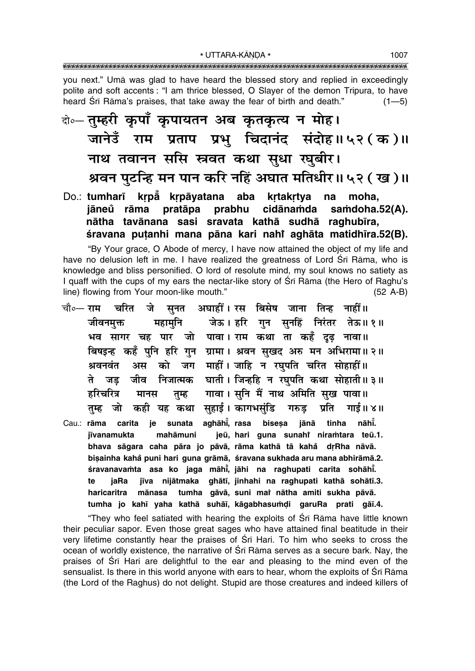you next." Uma was glad to have heard the blessed story and replied in exceedingly polite and soft accents: "I am thrice blessed, O Slayer of the demon Tripura, to have heard Srī Rāma's praises, that take away the fear of birth and death."  $(1 - 5)$ 

# बे-तुम्हरी कृपाँ कृपायतन अब कृतकृत्य न मोह। जानेउँ राम प्रताप प्रभु चिदानंद संदोह॥५२ (क)॥ नाथ तवानन ससि स्त्रवत कथा सुधा रघुबीर। श्रवन पुटन्हि मन पान करि नहिं अघात मतिधीर॥५२ (ख)॥

Do.: tumharī krpā krpāyatana aba krtakrtya na moha, jāneů rāma pratāpa prabhu cidānamda samdoha.52(A). nātha tavānana sasi sravata kathā sudhā raghubīra, śravana putanhi mana pāna kari nahi aghāta matidhīra.52(B).

"By Your grace, O Abode of mercy, I have now attained the object of my life and have no delusion left in me. I have realized the greatness of Lord Sri Rama, who is knowledge and bliss personified. O lord of resolute mind, my soul knows no satiety as I quaff with the cups of my ears the nectar-like story of Sri Rama (the Hero of Raghu's line) flowing from Your moon-like mouth."  $(52 \text{ A-B})$ 

| चौ∘— राम   चरित   जे   सुनत   अघाहीं । रस  बिसेष   जाना   तिन्ह   नाहीं ॥ |
|---------------------------------------------------------------------------|
| जीवनमुक्त  महामुनि  जेऊ । हरि गुन सुनहिं निरंतर तेऊ॥१॥                    |
| भव सागर चह पार जो पावा। राम कथा ता कहँ दृढ़ नावा॥                         |
| बिषइन्ह कहँ पुनि हरि गुन ग्रामा। श्रवन सुखद अरु मन अभिरामा॥२॥             |
| श्रवनवंत अस को जग माहीं।जाहि न रघुपति चरित सोहाहीं॥                       |
| ते जड़ जीव निजात्मक घाती।।जिन्हहि न रघुपति कथा सोहाती॥३॥                  |
| हरिचरित्र मानस तुम्ह गावा। सुनि मैं नाथ अमिति सुख पावा॥                   |
| तुम्ह जो कही यह कथा सुहाई। कागभसुंडि गरुड़ प्रति गाई॥ ४॥                  |
| Cau.: rāma carita je sunata aghāhi, rasa bisesa jānā tinha nāhi.          |
| jīvanamukta mahāmuni jeū, hari guna sunahi niramtara teū.1.               |
| bhava sāgara caha pāra jo pāvā, rāma kathā tā kahå drRha nāvā.            |
| bișainha kahă puni hari guna grāmā, śravana sukhada aru mana abhirāmā.2.  |
| śravanavamta asa ko jaga māhi, jāhi na raghupati carita sohāhi.           |
| jīva nijātmaka ghātī, jinhahi na raghupati kathā sohātī.3.<br>jaRa<br>te  |
| haricaritra mānasa tumha gāvā, suni mai nātha amiti sukha pāvā.           |
| tumha jo kahī yaha kathā suhāī, kāgabhasumdi garuRa prati gāī.4.          |

"They who feel satiated with hearing the exploits of Srī Rāma have little known their peculiar sapor. Even those great sages who have attained final beatitude in their very lifetime constantly hear the praises of Srī Hari. To him who seeks to cross the ocean of worldly existence, the narrative of Sri Rama serves as a secure bark. Nay, the praises of Sri Hari are delightful to the ear and pleasing to the mind even of the sensualist. Is there in this world anyone with ears to hear, whom the exploits of Srī Rāma (the Lord of the Raghus) do not delight. Stupid are those creatures and indeed killers of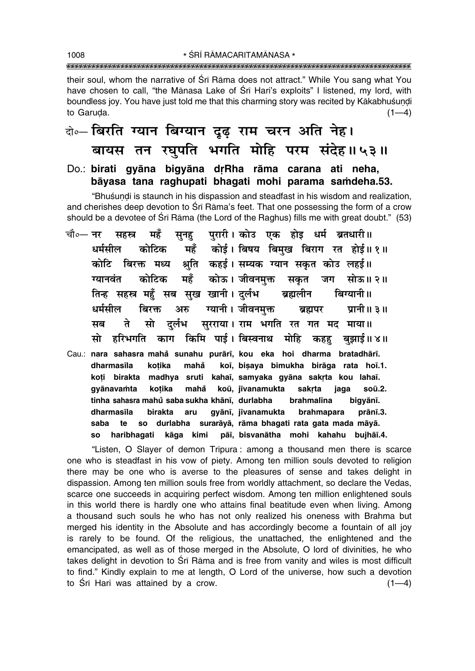their soul, whom the narrative of Sri Rama does not attract." While You sang what You have chosen to call, "the Mānasa Lake of Śrī Hari's exploits" I listened, my lord, with boundless joy. You have just told me that this charming story was recited by Kākabhuśundi to Garuda.  $(1-4)$ 

# दो० विरति ग्यान बिग्यान दूढ़ राम चरन अति नेह। बायस तन रघुपति भगति मोहि परम संदेह॥५३॥

Do.: birati qyāna biqyāna drRha rāma carana ati neha, bāyasa tana raghupati bhagati mohi parama samdeha.53.

"Bhusundi is staunch in his dispassion and steadfast in his wisdom and realization, and cherishes deep devotion to Srī Rāma's feet. That one possessing the form of a crow should be a devotee of Sri Rama (the Lord of the Raghus) fills me with great doubt." (53)

- सुनह पुरारी। कोउ एक होइ धर्म ब्रतधारी॥ चौ∘— नर महँ सहस्र , उँ उन्नोई। बिषय बिमुख बिराग रत होई॥१॥ धर्ममील कोटिक कोटि बिरक्त मध्य श्रति कहर्ड। सम्यक ग्यान सकत कोउ लहर्ड।। महँ कोऊ। जीवनमुक्त सकृत ग्यानवंत कोटिक जग सोऊ॥२॥ तिन्ह सहस्र महुँ सब सुख खानी। दुर्लभ ब्रह्मलीन बिग्यानी।। ग्यानी । जीवनमुक्त धर्मसील बिरक्त अरु प्रानी॥ ३॥ ब्रह्मपर सो दुर्लभ सुरराया। राम भगति रत गत मद माया॥ मब ते सो हरिभगति काग किमि पाई।विस्वनाथ मोहि कहह बुझाई॥४॥
- Cau.: nara sahasra mahå sunahu purārī, kou eka hoi dharma bratadhārī. dharmasīla kotika mahå koī, bisaya bimukha birāga rata hoī.1. koti birakta madhya sruti kahai, samyaka gyāna sakrta kou lahai. gyānavamta kotika mahå koū, jīvanamukta sakrta jaga soū.2. tinha sahasra mahů saba sukha khānī, durlabha brahmalīna biqvānī. dharmasīla birakta aru gyānī, jīvanamukta brahmapara prānī.3. so durlabha surarāyā, rāma bhagati rata gata mada māyā. saha te haribhagati kāga kimi pāī, bisvanātha mohi kahahu bujhāī.4. **SO**

"Listen, O Slayer of demon Tripura: among a thousand men there is scarce one who is steadfast in his vow of piety. Among ten million souls devoted to religion there may be one who is averse to the pleasures of sense and takes delight in dispassion. Among ten million souls free from worldly attachment, so declare the Vedas, scarce one succeeds in acquiring perfect wisdom. Among ten million enlightened souls in this world there is hardly one who attains final beatitude even when living. Among a thousand such souls he who has not only realized his oneness with Brahma but merged his identity in the Absolute and has accordingly become a fountain of all joy is rarely to be found. Of the religious, the unattached, the enlightened and the emancipated, as well as of those merged in the Absolute, O lord of divinities, he who takes delight in devotion to Srī Rāma and is free from vanity and wiles is most difficult to find." Kindly explain to me at length, O Lord of the universe, how such a devotion to Srī Hari was attained by a crow.  $(1-4)$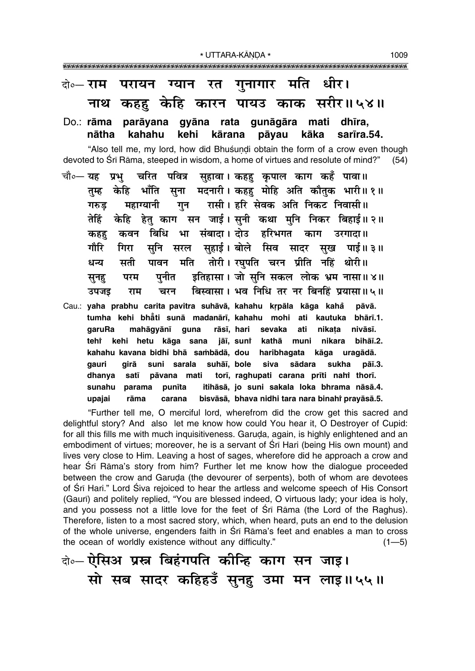### परायन ग्यान रत गुनागार मति धीर।  $\vec{a}$ ०— **राम** नाथ कहह केहि कारन पायउ काक सरीर॥५४॥

#### parāyana gyāna rata gunāgāra mati  $Do:$  rāma dhīra. kārana nātha kahahu kehi pāyau kāka sarīra.54.

"Also tell me, my lord, how did Bhuśundi obtain the form of a crow even though devoted to Śrī Rāma, steeped in wisdom, a home of virtues and resolute of mind?"  $(54)$ 

- चौ०— यह चरित पवित्र सहावा। कहह कपाल काग कहँ पावा॥ प्रभ सुना मदनारी। कहह मोहि अति कौतुक भारी॥१॥ केहि भाँति तम्ह रासी। हरि सेवक अति निकट निवासी॥ महाग्यानी गन गरुड केहि हेत काग सन जाई। सनी कथा मनि निकर बिहाई॥२॥ तेहिं कवन बिधि भा संबादा। दोउ हरिभगत काग उरगादा॥ कहह गौरि सनि सरल सहाई।बोले सिव सादर सख पाई॥३॥ गिरा मति तोरी। रघपति चरन प्रीति नहिं थोरी॥ सती पावन धन्य इतिहासा। जो सुनि सकल लोक भ्रम नासा॥४॥ पनीत परम सूनहु बिस्वासा। भव निधि तर नर बिनहिं प्रयासा॥५॥ उपजड चरन राम
- Cau.: yaha prabhu carita pavitra suhāvā, kahahu krpāla kāga kahå pāvā. tumha kehi bhåti sunā madanārī, kahahu mohi ati kautuka bhārī.1. qaruRa mahāqyānī quna rāsī, hari ati sevaka nikata nivāsī. teht kehi hetu kāga sana jāī, sunr kathā muni nikara bihāī.2. kahahu kavana bidhi bhā sambādā, dou haribhagata kāga uragādā. gauri girā suni sarala suhāī, bole siva sādara sukha pāī.3. dhanya satī pāvana mati torī, raghupati carana prīti nahi thorī. sunahu parama itihāsā, jo suni sakala loka bhrama nāsā.4. punīta upajai rāma carana bisvāsā, bhava nidhi tara nara binahi prayāsā.5.

"Further tell me, O merciful lord, wherefrom did the crow get this sacred and delightful story? And also let me know how could You hear it, O Destroyer of Cupid: for all this fills me with much inquisitiveness. Garuda, again, is highly enlightened and an embodiment of virtues; moreover, he is a servant of Srī Hari (being His own mount) and lives very close to Him. Leaving a host of sages, wherefore did he approach a crow and hear Sri Rama's story from him? Further let me know how the dialogue proceeded between the crow and Garuda (the devourer of serpents), both of whom are devotees of Srī Hari." Lord Siva rejoiced to hear the artless and welcome speech of His Consort (Gauri) and politely replied, "You are blessed indeed, O virtuous lady; your idea is holy, and you possess not a little love for the feet of Sri Rama (the Lord of the Raghus). Therefore, listen to a most sacred story, which, when heard, puts an end to the delusion of the whole universe, engenders faith in Sri Rama's feet and enables a man to cross the ocean of worldly existence without any difficulty."  $(1 - 5)$ 

# बे-ऐसिअ प्रस्न बिहंगपति कीन्हि काग सन जाइ। सो सब सादर कहिहउँ सुनह उमा मन लाइ॥५५॥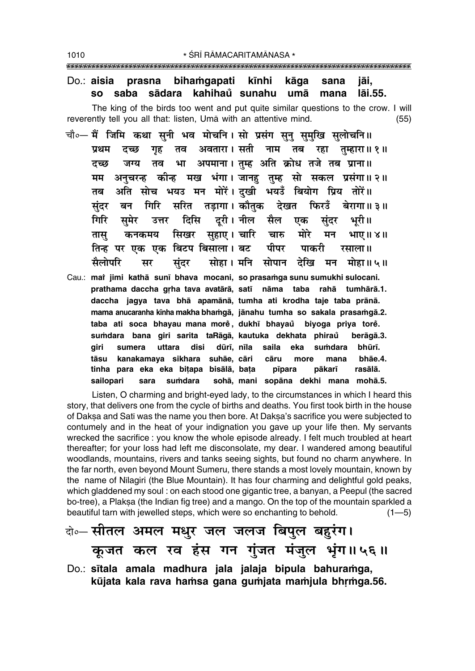#### Do.: aisia prasna bihamgapati kīnhi kāga sana jāi, sādara kahihaů sunahu umā saba lāi.55. **SO** mana

The king of the birds too went and put quite similar questions to the crow. I will reverently tell you all that: listen, Umā with an attentive mind.  $(55)$ 

- चौ० मैं जिमि कथा सनी भव मोचनि। सो प्रसंग सुनु सुमुखि सुलोचनि॥ अवतारा। सती नाम तब रहा प्रथम दच्छ गह तव तम्हारा ॥ १ ॥ अपमाना। तुम्ह अति क्रोध तजे तब प्राना॥ तव जग्य भा दच्छ अनचरन्ह कीन्ह मख भंगा। जानह तम्ह सो सकल प्रसंगा॥२॥ मम अति सोच भयउ मन मोरें। दुखी भयउँ बियोग प्रिय तोरें॥ तब सरित तडागा।कौतक देखत फिरडँ गिरि बेरागा॥ ३॥ संदर बन गिरि समेर दिसि दरी । नील मैल उत्तर एक संदर भरी॥ कनकमय सिखर सहाए। चारि मोरे चारु मन तास भाए ॥ ४ ॥ पीपर तिन्ह पर एक एक बिटप बिसाला। बट पाकरी रसाला ॥ सैलोपरि सोहा। मनि सोपान देखि सुंदर मन मोहा॥५॥ मर
- Cau.: mai jimi kathā sunī bhava mocani, so prasamga sunu sumukhi sulocani. prathama daccha grha tava avatārā, satī nāma taba rahā tumhārā.1. daccha jagya tava bhā apamānā, tumha ati krodha taje taba prānā. mama anucaranha kinha makha bhamgā, jānahu tumha so sakala prasamgā.2. taba ati soca bhayau mana more, dukhī bhayau biyoga priya tore. sumdara bana giri sarita taRāgā, kautuka dekhata phiraŭ berāgā.3. uttara disi dūrī, nīla bhūrī. giri sumera saila eka sumdara kanakamaya sikhara suhāe, cāri tāsu cāru more mana bhae.4. tinha para eka eka bitapa bisālā, bata rasālā. pīpara pākarī sumdara sohā, mani sopāna dekhi mana mohā.5. sailopari sara

Listen, O charming and bright-eyed lady, to the circumstances in which I heard this story, that delivers one from the cycle of births and deaths. You first took birth in the house of Daksa and Satī was the name you then bore. At Daksa's sacrifice you were subjected to contumely and in the heat of your indignation you gave up your life then. My servants wrecked the sacrifice: you know the whole episode already. I felt much troubled at heart thereafter; for your loss had left me disconsolate, my dear. I wandered among beautiful woodlands, mountains, rivers and tanks seeing sights, but found no charm anywhere. In the far north, even beyond Mount Sumeru, there stands a most lovely mountain, known by the name of Nilagiri (the Blue Mountain). It has four charming and delightful gold peaks, which gladdened my soul: on each stood one gigantic tree, a banyan, a Peepul (the sacred bo-tree), a Plaksa (the Indian fig tree) and a mango. On the top of the mountain sparkled a beautiful tarn with jewelled steps, which were so enchanting to behold.  $(1 - 5)$ 

बे॰-सीतल अमल मधुर जल जलज बिपुल बहुरंग। कुजत कल रव हंस गन गुंजत मंजुल भूंग॥५६॥

Do.: sītala amala madhura jala jalaja bipula bahuramga, kūjata kala rava hamsa gana gumjata mamjula bhrmga.56.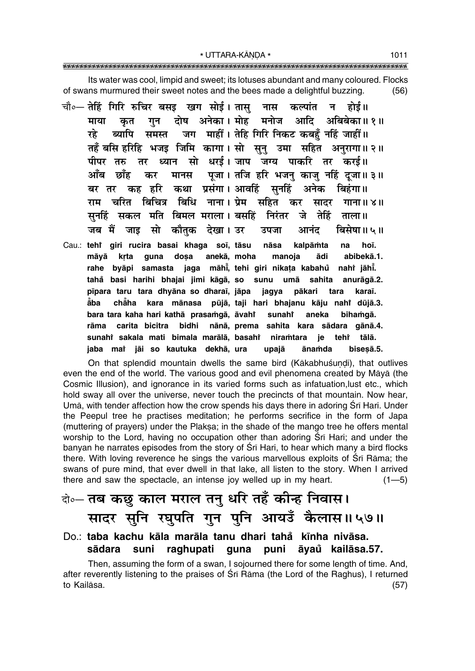Its water was cool, limpid and sweet; its lotuses abundant and many coloured. Flocks of swans murmured their sweet notes and the bees made a delightful buzzing.  $(56)$ 

- चौ∘— तेहिं गिरि रुचिर बसइ खग सोई। तास नास कल्पांत न होई॥ गुन दोष अनेका।मोह मनोज आदि अबिबेका॥१॥ कत माया जग माहीं। तेहि गिरि निकट कबहँ नहिं जाहीं॥ रहे ब्यापि समस्त तहँ बसि हरिहि भजइ जिमि कागा। सो सुनु उमा सहित अनुरागा॥ २॥ पीपर तरु तर ध्यान सो धरई।जाप जग्य पाकरि तर करई॥ पूजा । तजि हरि भजनु काजु नहिं दुजा ॥ ३ ॥ आँब छाँह मानस कर बर तर कह हरि कथा प्रसंगा। आवहिं सुनहिं अनेक बिहंगा॥ राम चरित बिचित्र बिधि नाना।ग्रेम सहित कर सादर गाना ॥ ४ ॥ सनहिं सकल मति बिमल मराला। बसहिं निरंतर जे तेहिं ताला ॥ जब मैं जाइ सो कौतक देखा। उर आनंद बिसेषा॥५॥ उपजा
- Cau.: teht giri rucira basai khaga soi, tāsu nāsa kalpāmta na hoī. krta guna dosa anekā, moha māvā manoja ādi abibekā.1. rahe byāpi samasta jaga māhī, tehi giri nikata kabahů nahi jāhī. tahå basi harihi bhajai jimi kāgā, so sunu umā sahita anurāgā.2. pīpara taru tara dhyāna so dharaī, jāpa jagya pākari tara karaī. ăba chāha kara mānasa pūjā, taji hari bhajanu kāju nahi dūjā.3. bara tara kaha hari kathā prasamgā, āvahi sunahi aneka bihamqā. rāma carita bicitra bidhi nānā, prema sahita kara sādara gānā.4. sunahi sakala mati bimala marālā, basahi niramtara ie tehr tālā. jaba mai jāi so kautuka dekhā, ura upajā ānamda bisesā.5.

On that splendid mountain dwells the same bird (Kākabhuśundi), that outlives even the end of the world. The various good and evil phenomena created by Māyā (the Cosmic Illusion), and ignorance in its varied forms such as infatuation, lust etc., which hold sway all over the universe, never touch the precincts of that mountain. Now hear, Umā, with tender affection how the crow spends his days there in adoring Srī Hari. Under the Peepul tree he practises meditation; he performs secrifice in the form of Japa (muttering of prayers) under the Plaksa; in the shade of the mango tree he offers mental worship to the Lord, having no occupation other than adoring Srī Hari; and under the banyan he narrates episodes from the story of Sri Hari, to hear which many a bird flocks there. With loving reverence he sings the various marvellous exploits of Srī Rāma; the swans of pure mind, that ever dwell in that lake, all listen to the story. When I arrived there and saw the spectacle, an intense joy welled up in my heart.  $(1 - 5)$ 

## के— तब कछ काल मराल तनु धरि तहँ कीन्ह निवास। सादर सुनि रघुपति गुन पुनि आयउँ कैलास॥५७॥ Do.: taba kachu kāla marāla tanu dhari tahă kīnha nivāsa.

#### suni puni āvaů kailāsa.57. sādara raghupati quna

Then, assuming the form of a swan, I sojourned there for some length of time. And. after reverently listening to the praises of Sri Rama (the Lord of the Raghus). I returned to Kailāsa.  $(57)$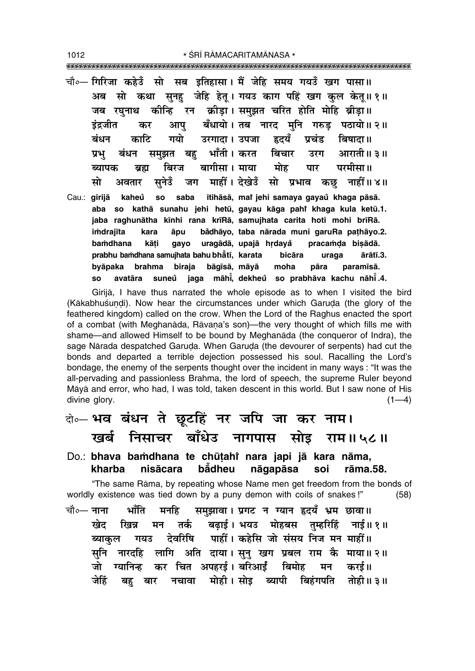- चौ∘— गिरिजा कहेउँ सो सब इतिहासा। मैं जेहि समय गयउँ खग पासा॥ अब सो कथा सुनह जेहि हेतु । गयउ काग पहिं खग कुल केतु ॥ १ ॥ जब रघनाथ कीन्हि रन क्रीडा। समझत चरित होति मोहि ब्रीडा॥ बँधायो। तब नारद मनि गरुड पठायो॥२॥ डंद्रजीत आप कर काटि बंधन गयो उरगादा । उपजा हृदयँ प्रचंड बिषाटा ॥ भाँती । करत बिचार आराती॥ ३॥ बंधन समझत बह उरग प्रभ बागीसा । माया बिरज ब्यापक ब्रह्म मोह पार परमीसा ॥ मो सनेउँ जग माहीं। देखेउँ सो प्रभाव कछ नाहीं॥४॥ अवतार
- Cau.: girijā kaheů **SO** saba itihāsā, mai jehi samaya gayaŭ khaga pāsā. aba so kathā sunahu jehi hetū, gayau kāga pahi khaga kula ketū.1. jaba raghunātha kīnhi rana krīRā, samujhata carita hoti mohi brīRā. bådhāyo, taba nārada muni garuRa pathāyo.2. imdrajīta kara āpu uragādā, upajā hrdayå bamdhana kāti qayo pracamda bisādā. prabhu bamdhana samujhata bahu bhåtī, karata bicāra uraga ārātī.3. bāgīsā, māyā byāpaka brahma biraja moha paramīsā. pāra **SO** avatāra suneů jaga māhi, dekheŭ so prabhāva kachu nāhi.4.

Girijā, I have thus narrated the whole episode as to when I visited the bird (Kākabhuśundi). Now hear the circumstances under which Garuda (the glory of the feathered kingdom) called on the crow. When the Lord of the Raghus enacted the sport of a combat (with Meghanada, Ravana's son)—the very thought of which fills me with shame—and allowed Himself to be bound by Meghanada (the conqueror of Indra), the sage Nārada despatched Garuda. When Garuda (the devourer of serpents) had cut the bonds and departed a terrible dejection possessed his soul. Racalling the Lord's bondage, the enemy of the serpents thought over the incident in many ways: "It was the all-pervading and passionless Brahma, the lord of speech, the supreme Ruler beyond Māyā and error, who had, I was told, taken descent in this world. But I saw none of His divine glory.  $(1-4)$ 

वे. भव बंधन ते छूटहिं नर जपि जा कर नाम। खर्ब निसाचर बाँधेउ नागपास सोइ राम॥५८॥

#### Do.: bhava bamdhana te chūtahi nara japi jā kara nāma, kharba nisācara bådheu nāgapāsa rāma.58. soi

"The same Rāma, by repeating whose Name men get freedom from the bonds of worldly existence was tied down by a puny demon with coils of snakes!"  $(58)$ 

समुझावा। प्रगट न ग्यान हृदयँ भ्रम छावा॥ चौ∘— नाना भाँति मनहि खेद बढाई। भयउ मोहबस तम्हरिहिं खिन्न तर्क नार्ड ॥ १ ॥ मन पार्हीं। कहेसि जो संसय निज मन माहीं॥ देवरिषि ब्याकल गयउ सुनि नारदहि लागि अति दाया।सूनु खग प्रबल राम कै माया॥२॥ कर चित अपहरई। बरिआईं ग्यानिन्ह बिमोह जो मन करई।। जेहिं नचावा मोही।सोड ब्यापी बिहंगपति तोही॥३॥ बह बार

1012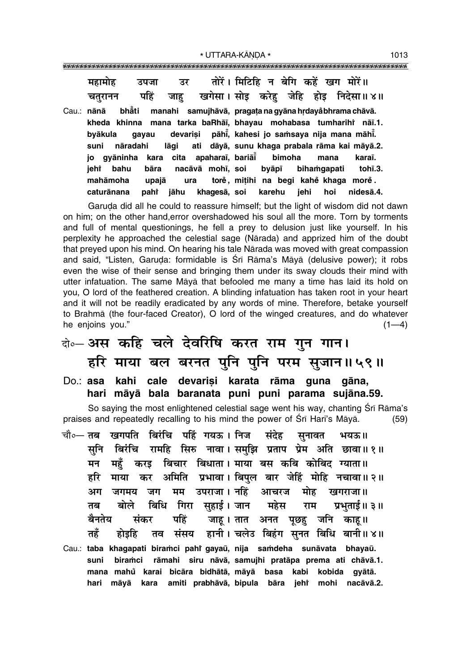| महामोह<br>चतुरानन |              | उपजा उर तोरें। मिटिहि न बेगि कहें खग मोरें॥<br>पहिं जाहु खगेसा।सोइ करेहु जेहि होइ निदेसा॥४॥ |           |
|-------------------|--------------|---------------------------------------------------------------------------------------------|-----------|
| Cau.: nānā        |              | bhẳti manahi samujhāvā, pragaṭa na gyāna hṛdayǎ bhrama chāvā.                               |           |
|                   |              | kheda khinna mana tarka baRhāi, bhayau mohabasa tumharihi nāi.1.                            |           |
| byākula           | gayau        | devarisi pāhī, kahesi jo samsaya nija mana māhī.                                            |           |
| suni nāradahi     |              | lāgi ati dāyā, sunu khaga prabala rāma kai māyā.2.                                          |           |
|                   |              | jo gyāninha kara cita apaharaī, bariāi  bimoha<br>mana                                      | karaī.    |
| bahu<br>jehî      | bāra         | nacāvā mohī, soi byāpī<br>bihamgapati                                                       | tohī.3.   |
| mahāmoha          | upajā        | ura torě, mitihi na begi kahě khaga morě.                                                   |           |
| caturānana        | pahi<br>jāhu | jehi<br>khagesā, soi karehu<br>hoi                                                          | nidesā.4. |

Garuda did all he could to reassure himself; but the light of wisdom did not dawn on him; on the other hand, error overshadowed his soul all the more. Torn by torments and full of mental questionings, he fell a prey to delusion just like yourself. In his perplexity he approached the celestial sage (Narada) and apprized him of the doubt that preyed upon his mind. On hearing his tale Nārada was moved with great compassion and said, "Listen, Garuda: formidable is Śrī Rāma's Māyā (delusive power); it robs even the wise of their sense and bringing them under its sway clouds their mind with utter infatuation. The same Maya that befooled me many a time has laid its hold on you, O lord of the feathered creation. A blinding infatuation has taken root in your heart and it will not be readily eradicated by any words of mine. Therefore, betake yourself to Brahmā (the four-faced Creator), O lord of the winged creatures, and do whatever he enjoins you."  $(1-4)$ 

## बे-अस कहि चले देवरिषि करत राम गुन गान। हरि माया बल बरनत पुनि पुनि परम सुजान॥५९॥

Do.: asa kahi cale devarisi karata rāma guna gāna, hari māyā bala baranata puni puni parama sujāna.59.

So saying the most enlightened celestial sage went his way, chanting Srī Rāma's praises and repeatedly recalling to his mind the power of Srī Hari's Māyā.  $(59)$ 

चौ∘— तब खगपति बिरंचि पहिं गयऊ। निज संदेह सनावत भयऊ॥ बिरंचि रामहि सिरु नावा। समुझि प्रताप प्रेम अति छावा॥१॥ सनि करड़ बिचार बिधाता। माया बस कबि कोबिद ग्याता॥ महँ मन अमिति प्रभावा। बिपल बार जेहिं मोहि नचावा॥२॥ हरि माया कर मम उपराजा। नहिं आचरज मोह खगराजा ॥ अग जगमय जग बिधि गिरा सहाई। जान बोले महेस प्रभताई॥ ३॥ ਰਕ राम बैनतेय पहिं संकर जाहू । तात अनत पूछहु जनि काहू ॥ तहँ तव संसय हानी। चलेउ बिहंग सुनत बिधि बानी॥४॥ होडहि Cau.: taba khagapati biramci pahi gayaū, nija samdeha sunāvata bhayaū. biramci rāmahi siru nāvā, samujhi pratāpa prema ati chāvā.1. suni mana mahů karai bicāra bidhātā, māyā basa kabi kobida gyātā. hari māyā kara amiti prabhāvā, bipula bāra jehi mohi nacāvā.2.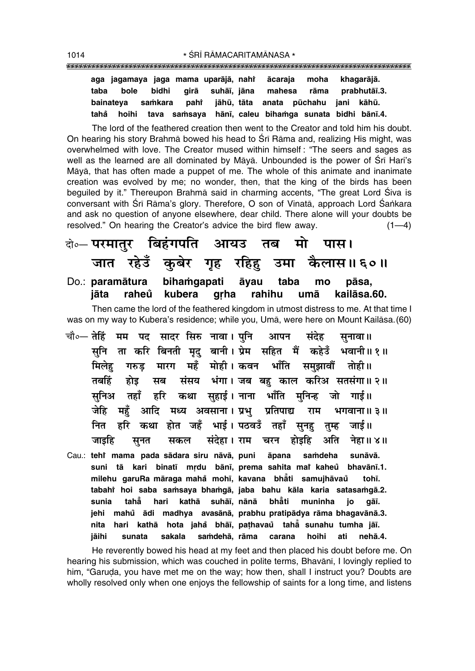#### aga jagamaya jaga mama uparājā, naht ācaraja moha khagarājā. bidhi suhāī, jāna mahesa prabhutāī.3. taba bole qirā rāma iāhū, tāta anata pūchahu iani kāhū. bainateva samkara paht tahå tava samsaya hānī, caleu bihamga sunata bidhi bānī.4. hoihi

The lord of the feathered creation then went to the Creator and told him his doubt. On hearing his story Brahma bowed his head to Sri Rama and, realizing His might, was overwhelmed with love. The Creator mused within himself: "The seers and sages as well as the learned are all dominated by Mava. Unbounded is the power of Sri Hari's Māyā, that has often made a puppet of me. The whole of this animate and inanimate creation was evolved by me; no wonder, then, that the king of the birds has been bequiled by it." Thereupon Brahma said in charming accents, "The great Lord Śiva is conversant with Srī Rāma's glory. Therefore, O son of Vinatā, approach Lord Sankara and ask no question of anyone elsewhere, dear child. There alone will your doubts be resolved." On hearing the Creator's advice the bird flew away.  $(1-4)$ 

बिहंगपति मो दो**०— परमातर** आयउ तब पास। रहेउँ कुबेर गृह रहिंह कैलास॥६०॥ जात उमा Do.: paramātura bihamqapati āvau taba pāsa. mo raheů jāta kubera grha rahihu umā kailāsa.60.

Then came the lord of the feathered kingdom in utmost distress to me. At that time I was on my way to Kubera's residence; while you, Umā, were here on Mount Kailāsa. (60)

- चौ∘— तेहिं मम पद सादर सिरु नावा। पनि आपन संदेह सनावा ॥ सुनि ता करि बिनती मृद् बानी।ऐप्रेम सहित मैं कहेउँ भवानी॥ १॥ मिलेह मारग महँ मोही।वकन भाँति समझावौं तोही ॥ गरुड संसय भंगा। जब बह काल करिअ सतसंगा॥२॥ तबर्हि होड सब सनिअ तहाँ हरि कथा सहाई। नाना भाँति मुनिन्ह जो गार्ड ॥ जेहि महँ आदि मध्य अवसाना। प्रभु प्रतिपाद्य राम भगवाना ॥ ३॥ होत जहँ भाई। पठवउँ तहाँ नित हरि कथा जार्ड ॥ तम्ह सनह जाडहि संदेहा। राम होडहि अति सकल चरन नेद्रा॥ ४॥ सनत
- Cau.: tehi mama pada sādara siru nāvā, puni āpana samdeha sunāvā. suni tā kari binatī mrdu bānī, prema sahita mar kaheu bhavānī.1. milehu garuRa māraga mahå mohī, kavana bhāti samujhāvaŭ tohī. tabahi hoi saba samsaya bhamgā, jaba bahu kāla karia satasamgā.2. tahằ suhāī, nānā bhẳti sunia hari kathā muninha io gāī. jehi mahů ādi madhya avasānā, prabhu pratipādya rāma bhagavānā.3. nita hari kathā hota jahå bhāī, paṭhavaů tahẳ sunahu tumha jāī. samdehā, rāma jāihi sunata sakala carana hoihi ati nehā.4.

He reverently bowed his head at my feet and then placed his doubt before me. On hearing his submission, which was couched in polite terms, Bhavānī, I lovingly replied to him, "Garuda, you have met me on the way; how then, shall I instruct you? Doubts are wholly resolved only when one enjoys the fellowship of saints for a long time, and listens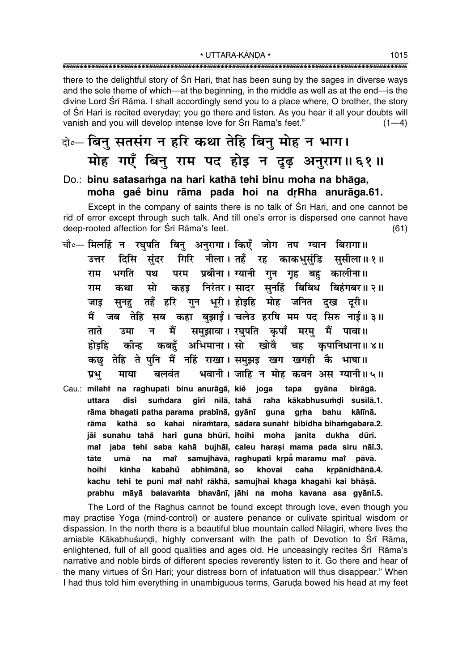\* UTTARA-KĀNDA \* 

there to the delightful story of Sri Hari, that has been sung by the sages in diverse ways and the sole theme of which—at the beginning, in the middle as well as at the end—is the divine Lord Śrī Rāma. I shall accordingly send you to a place where, O brother, the story of Srī Hari is recited everyday; you go there and listen. As you hear it all your doubts will vanish and you will develop intense love for Srī Rāma's feet."  $(1-4)$ 

## वे⊶ बिनु सतसंग न हरि कथा तेहि बिनु मोह न भाग। मोह गएँ बिन् राम पद होड़ न दुढ़ अनुराग॥६१॥

### Do.: binu satasamga na hari kathā tehi binu moha na bhāga, moha gaĕ binu rāma pada hoi na drRha anurāga.61.

Except in the company of saints there is no talk of Srī Hari, and one cannot be rid of error except through such talk. And till one's error is dispersed one cannot have deep-rooted affection for Sri Rāma's feet.  $(61)$ 

- चौ∘— मिलहिं न रघपति बिन् अनुरागा। किएँ जोग तप ग्यान बिरागा॥ दिसि सुंदर गिरि नीला।तहँ रह काकभुसुंडि सुसीला॥१॥ उत्तर परम प्रबीना। ग्यानी गुन गृह बह कालीना॥ भगति पथ राम कहड़ निरंतर। सादर सुनहिं बिबिध बिहंगबर॥२॥ कथा सो राम तहँ हरि गुन भूरी। होइहि मोह जनित दुख दूरी॥ सनह जाड जब तेहि सब कहा बुझाई। चलेउ हरषि मम पद सिरु नाई॥३॥ मैं समुझावा। रघुपति कुपाँ मरम् मैं पावा॥ ताते उमा न $\overline{a}$ मैं कबहँ अभिमाना। सो खोवै चह होड़हि कीन्ह कपानिधाना॥ ४॥ तेहि ते पुनि मैं नहिं राखा। समुझइ खग खगही कै भाषा॥ कछ भवानी। जाहि न मोह कवन अस ग्यानी॥५॥ प्रभ माया बलवंत Cau.: milahî na raghupati binu anurāgā, kie joga tapa qyāna birāgā. uttara disi sumdara giri nīlā, tahå raha kākabhusumdi susīlā.1.
- rāma bhagati patha parama prabīnā, gyānī guna grha bahu kālīnā. kathā so kahai niramtara, sādara sunahi bibidha bihamgabara.2. rāma jāi sunahu tahå hari guna bhūrī, hoihi moha janita dukha dūrī. mai jaba tehi saba kahā bujhāi, caleu harasi mama pada siru nāī.3. samujhāvā, raghupati krpā maramu mai pāvā. tāte umā na mař kabahů hoihi kīnha abhimānā, so khovai caha krpānidhānā.4. kachu tehi te puni mai nahi rākhā, samujhai khaga khagahī kai bhāṣā. prabhu māyā balavamta bhavānī, jāhi na moha kavana asa gyānī.5.

The Lord of the Raghus cannot be found except through love, even though you may practise Yoga (mind-control) or austere penance or culivate spiritual wisdom or dispassion. In the north there is a beautiful blue mountain called Nīlagiri, where lives the amiable Kākabhuśundi, highly conversant with the path of Devotion to Śrī Rāma, enlightened, full of all good qualities and ages old. He unceasingly recites Srī Rāma's narrative and noble birds of different species reverently listen to it. Go there and hear of the many virtues of Srī Hari; your distress born of infatuation will thus disappear." When I had thus told him everything in unambiguous terms. Garuda bowed his head at my feet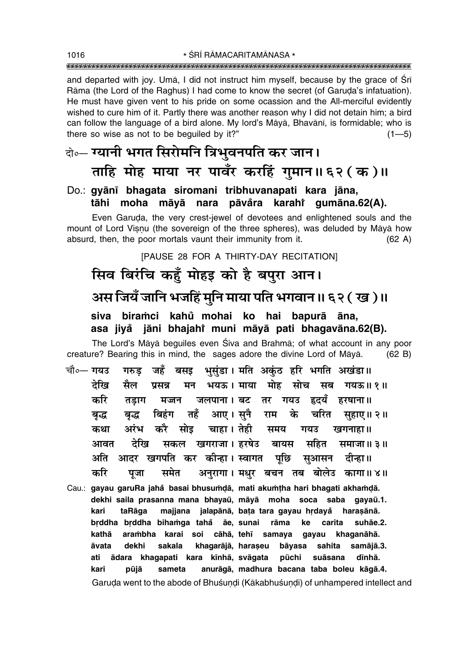and departed with joy. Uma, I did not instruct him myself, because by the grace of Sri Rāma (the Lord of the Raghus) I had come to know the secret (of Garuda's infatuation). He must have given vent to his pride on some ocassion and the All-merciful evidently wished to cure him of it. Partly there was another reason why I did not detain him; a bird can follow the language of a bird alone. My lord's Māyā, Bhavānī, is formidable; who is there so wise as not to be bequiled by it?"  $(1 - 5)$ 

# केन्- ग्यानी भगत सिरोमनि त्रिभुवनपति कर जान। ताहि मोह माया नर पावँर करहिं गुमान॥६२ (क)॥

### Do.: gyānī bhagata siromani tribhuvanapati kara jāna, tāhi moha māyā nara pāvåra karahi gumāna.62(A).

Even Garuda, the very crest-jewel of devotees and enlightened souls and the mount of Lord Visnu (the sovereign of the three spheres), was deluded by Māyā how absurd, then, the poor mortals vaunt their immunity from it.  $(62 A)$ 

[PAUSE 28 FOR A THIRTY-DAY RECITATION]

# सिव बिरंचि कहँ मोहड़ को है बपुरा आन। अस जियँ जानि भजहिं मनि माया पति भगवान ॥ ६२ ( ख )॥

### siva biramci kahů mohai ko hai bapurā āna, asa jiyå jāni bhajahi muni māyā pati bhagavāna.62(B).

The Lord's Māyā beguiles even Śiva and Brahmā; of what account in any poor creature? Bearing this in mind, the sages adore the divine Lord of Māyā.  $(62 B)$ 

- जहँ बसइ भुसुंडा। मति अकुंठ हरि भगति अखंडा॥ चौ०— गयउ गरुड मन भयऊ।माया मोह सोच सब गयऊ॥१॥ देखि सैल प्रसन्न करि तडाग जलपाना। बट तर गयउ हृदयँ हरषाना॥ मज्जन बिहंग तहँ आए।सुनै राम के चरित बद्ध बद्ध सुहाए।। २॥ अरंभ करै सोड़ चाहा।तेही समय कथा गयउ खगनाहा।। देखि सकल खगराजा। हरषेउ बायस सहित आवत समाजा॥ ३॥ आदर खगपति कर कोन्हा। स्वागत पूछि अति सुआसन दीन्हा ॥ करि पुजा समेत अनुरागा। मधुर बचन तब बोलेउ कागा॥४॥
- Cau.: gayau garuRa jahå basai bhusumdā, mati akumtha hari bhagati akhamdā. dekhi saila prasanna mana bhayaū, māyā moha soca saba gayaū.1. kari taRāga majjana jalapānā, bata tara gayau hrdaya harasānā. brddha brddha bihamga tahå āe, sunai rāma ke carita suhāe.2. kathā arambha karai soi cāhā, tehī samaya gayau khaganāhā. āvata dekhi sakala khagarājā, haraseu bāvasa sahita samājā.3. ādara khagapati kara kīnhā, svāgata ati pūchi suāsana dīnhā. anurāgā, madhura bacana taba boleu kāgā.4. pūjā sameta kari Garuda went to the abode of Bhusundi (Kākabhusundi) of unhampered intellect and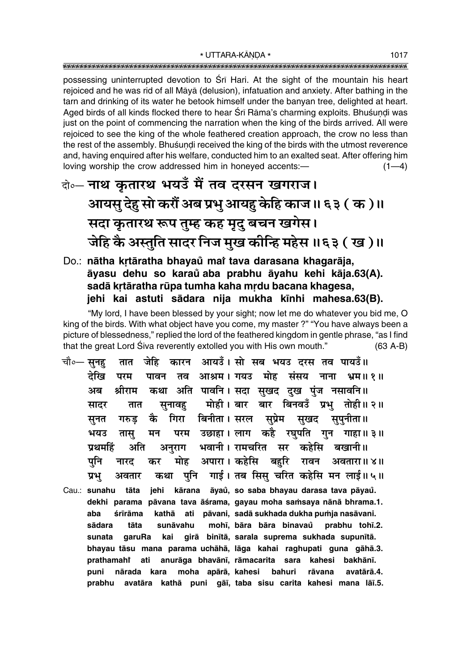possessing uninterrupted devotion to Srī Hari. At the sight of the mountain his heart rejoiced and he was rid of all Maya (delusion), infatuation and anxiety. After bathing in the tarn and drinking of its water he betook himself under the banyan tree, delighted at heart. Aged birds of all kinds flocked there to hear Srī Rāma's charming exploits. Bhuśundi was just on the point of commencing the narration when the king of the birds arrived. All were rejoiced to see the king of the whole feathered creation approach, the crow no less than the rest of the assembly. Bhusundi received the king of the birds with the utmost reverence and, having enquired after his welfare, conducted him to an exalted seat. After offering him loving worship the crow addressed him in honeyed accents:- $(1-4)$ 

# वे॰– नाथ कृतारथ भयउँ मैं तव दरसन खगराज। आयसु देहु सो करौं अब प्रभु आयहु केहि काज॥ ६३ ( क )॥ सदा कृतारथ रूप तुम्ह कह मृदु बचन खगेस। जेहि कै अस्तुति सादर निज मुख कीन्हि महेस ॥६३ ( ख )॥

Do.: nātha krtāratha bhayaŭ mai tava darasana khagarāja, āyasu dehu so karaŭ aba prabhu āyahu kehi kāja.63(A). sadā krtāratha rūpa tumha kaha mrdu bacana khagesa, jehi kai astuti sādara nija mukha kīnhi mahesa.63(B).

"My lord, I have been blessed by your sight; now let me do whatever you bid me, O king of the birds. With what object have you come, my master ?" "You have always been a picture of blessedness," replied the lord of the feathered kingdom in gentle phrase, "as I find that the great Lord Siva reverently extolled you with His own mouth."  $(63 A-B)$ 

कारन आयडँ। सो सब भयउ दरस तव पायडँ॥ चौ०— सूनहु जेहि तात पावन तव आश्रम। गयउ मोह संसय नाना भ्रम॥१॥ देखि परम कथा अति पावनि। सदा सखद दुख पुंज नसावनि॥ श्रीराम अब मोही। बार बार बिनवउँ प्रभु तोही॥ २॥ सुनावहु तात सादर गिरा बिनीता।सरल सुप्रेम सुखद सुपुनीता॥ कै गरुड सूनत परम उछाहा। लाग कहै रघुपति गुन गाहा॥३॥ मन भयउ तास अनुराग भवानी । रामचरित सर कहेसि बखानी ॥ प्रथमहिं अति अपारा। कहेसि बहरि रावन अवतारा॥४॥ पनि कर मोह नारद पनि गाई। तब सिसु चरित कहेसि मन लाई॥५॥ प्रभ कथा अवतार Cau.: sunahu tāta jehi kārana āyaů, so saba bhayau darasa tava pāyaů. dekhi parama pāvana tava āśrama, gayau moha samsaya nānā bhrama.1. kathā ati pāvani, sadā sukhada dukha pumja nasāvani. aba śrīrāma sunāvahu mohī, bāra bāra binavaŭ sādara tāta prabhu tohī.2. kai girā binītā, sarala suprema sukhada supunītā. sunata garuRa bhayau tāsu mana parama uchāhā, lāga kahai raghupati guna gāhā.3. prathamahi anurāga bhavānī, rāmacarita sara kahesi bakhānī. ati puni nārada kara moha apārā, kahesi bahuri rāvana avatārā.4. avatāra kathā puni gāi, taba sisu carita kahesi mana lāi.5. prabhu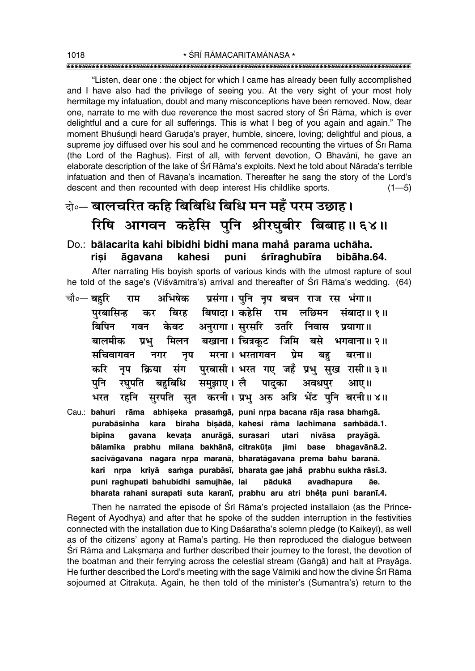"Listen, dear one : the object for which I came has already been fully accomplished and I have also had the privilege of seeing you. At the very sight of your most holy hermitage my infatuation, doubt and many misconceptions have been removed. Now, dear one, narrate to me with due reverence the most sacred story of Sri Rāma, which is ever delightful and a cure for all sufferings. This is what I beg of you again and again." The moment Bhusundi heard Garuda's prayer, humble, sincere, loving; delightful and pious, a supreme joy diffused over his soul and he commenced recounting the virtues of Sri Rama (the Lord of the Raghus). First of all, with fervent devotion, O Bhavānī, he gave an elaborate description of the lake of Sri Rama's exploits. Next he told about Narada's terrible infatuation and then of Rāvana's incarnation. Thereafter he sang the story of the Lord's descent and then recounted with deep interest His childlike sports.  $(1 - 5)$ 

# वे॰- बालचरित कहि बिबिधि बिधि मन महँ परम उछाह। रिषि आगवन कहेसि पुनि श्रीरघुबीर बिबाह।।६४॥

#### Do.: bālacarita kahi bibidhi bidhi mana mahă parama uchāha. risi kahesi puni śrīraghubīra bibāha.64. āgavana

After narrating His boyish sports of various kinds with the utmost rapture of soul he told of the sage's (Viśvāmitra's) arrival and thereafter of Śrī Rāma's wedding. (64)

- प्रसंगा। पुनि नृप बचन राज रस भंगा॥ अभिषेक चौ∘— बहरि राम बिरह बिषादा।कहेसि राम लछिमन परबासिन्ह संबादा॥ १॥ कर केवट अनुरागा। सुरसरि उतरि निवास प्रयागा॥ बिपिन गवन मिलन बखाना। चित्रकट जिमि बसे भगवाना॥ २॥ बालमीक प्रभ नृप मरना। भरतागवन प्रेम सचिवागवन नगर बह बरना ॥ करि नप क्रिया संग परबासी। भरत गए जहँ प्रभ सख रासी॥३॥ बहबिधि समझाए।लै पादका पनि अवधपर रघपति आए।। रहनि सुरपति सुत करनी। प्रभु अरु अत्रि भेंट पुनि बरनी॥४॥ भरत Cau.: bahuri rāma abhiseka prasamgā, puni nrpa bacana rāja rasa bhamgā.
- purabāsinha kara biraha bisādā, kahesi rāma lachimana sambādā.1. aavana kevata anurāgā, surasari bipina utari nivāsa pravāgā. bālamīka prabhu milana bakhānā, citrakūta jimi base bhagavānā.2. sacivāgavana nagara nrpa maranā, bharatāgavana prema bahu baranā. kari nrpa kriyā samga purabāsī, bharata gae jahå prabhu sukha rāsī.3. puni raghupati bahubidhi samujhāe, lai pādukā avadhapura āе bharata rahani surapati suta karanī, prabhu aru atri bhěța puni baranī.4.

Then he narrated the episode of Srī Rāma's projected installaion (as the Prince-Regent of Ayodhya) and after that he spoke of the sudden interruption in the festivities connected with the installation due to King Daśaratha's solemn pledge (to Kaikeyī), as well as of the citizens' agony at Rāma's parting. He then reproduced the dialogue between Śrī Rāma and Laksmana and further described their journey to the forest, the devotion of the boatman and their ferrying across the celestial stream (Ganga) and halt at Prayaga. He further described the Lord's meeting with the sage Valmiki and how the divine Sri Rama sojourned at Citrakūta. Again, he then told of the minister's (Sumantra's) return to the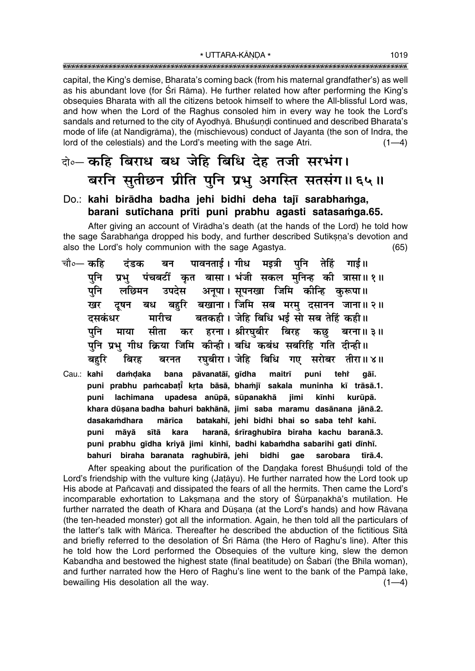capital, the King's demise, Bharata's coming back (from his maternal grandfather's) as well as his abundant love (for Śrī Rāma). He further related how after performing the King's obsequies Bharata with all the citizens betook himself to where the All-blissful Lord was, and how when the Lord of the Raghus consoled him in every way he took the Lord's sandals and returned to the city of Ayodhya. Bhusundi continued and described Bharata's mode of life (at Nandigrāma), the (mischievous) conduct of Jayanta (the son of Indra, the lord of the celestials) and the Lord's meeting with the sage Atri.  $(1-4)$ 

## वेन्ट कहि बिराध बध जेहि बिधि देह तजी सरभंग। बरनि सुतीछन प्रीति पुनि प्रभु अगस्ति सतसंग॥६५॥

### Do.: kahi birādha badha jehi bidhi deha tajī sarabhamga, barani sutichana priti puni prabhu agasti satasamga.65.

After giving an account of Viradha's death (at the hands of the Lord) he told how the sage Sarabhanga dropped his body, and further described Sutiksna's devotion and also the Lord's holy communion with the sage Agastya.  $(65)$ 

- पावनताई। गीध मइत्री पनि तेहिं गाई॥ चौ०— कहि दंडक बन पंचबर्टी कृत बासा। भंजी सकल मुनिन्ह की त्रासा॥१॥ पनि प्रभ अनुपा। सुपनखा जिमि कीन्हि कुरूपा॥ पुनि उपदेस लछिमन बध बहरि बखाना। जिमि सब मरमु दसानन जाना॥ २॥ खर दूषन बतकही। जेहि बिधि भई सो सब तेहिं कही।। मारीच दसकंधर सीता कर हरना। श्रीरघबीर बिरह कछ बरना॥३॥ पनि माया पनि प्रभ गीध क्रिया जिमि कीन्ही। बधि कबंध सबरिहि गति दीन्ही।। रघुबीरा। जेहि बिधि गए सरोबर तीरा॥४॥ बहरि बिरह बरनत
- Cau.: kahi bana pāvanatāī, gīdha maitrī damdaka puni tehr gāī. puni prabhu pamcabati krta bāsā, bhamjī sakala muninha kī trāsā.1. puni lachimana upadesa anūpā, sūpanakhā jimi kīnhi kurūpā. khara dūsana badha bahuri bakhānā, jimi saba maramu dasānana jānā.2. batakahī, jehi bidhi bhai so saba tehi kahī. dasakamdhara mārīca kara haranā, śrīraghubīra biraha kachu baranā.3. puni māvā sītā puni prabhu gīdha kriyā jimi kīnhī, badhi kabamdha sabarihi gati dīnhī. bahuri biraha baranata raghubīrā, jehi bidhi sarobara tīrā.4. gae

After speaking about the purification of the Dandaka forest Bhusundi told of the Lord's friendship with the vulture king (Jatayu). He further narrated how the Lord took up His abode at Pañcavati and dissipated the fears of all the hermits. Then came the Lord's incomparable exhortation to Laksmana and the story of Surpanakha's mutilation. He further narrated the death of Khara and Dūsana (at the Lord's hands) and how Rāvana (the ten-headed monster) got all the information. Again, he then told all the particulars of the latter's talk with Mārīca. Thereafter he described the abduction of the fictitious Sītā and briefly referred to the desolation of Sri Rama (the Hero of Raghu's line). After this he told how the Lord performed the Obsequies of the vulture king, slew the demon Kabandha and bestowed the highest state (final beatitude) on Sabari (the Bhila woman), and further narrated how the Hero of Raghu's line went to the bank of the Pampa lake, bewailing His desolation all the way.  $(1-4)$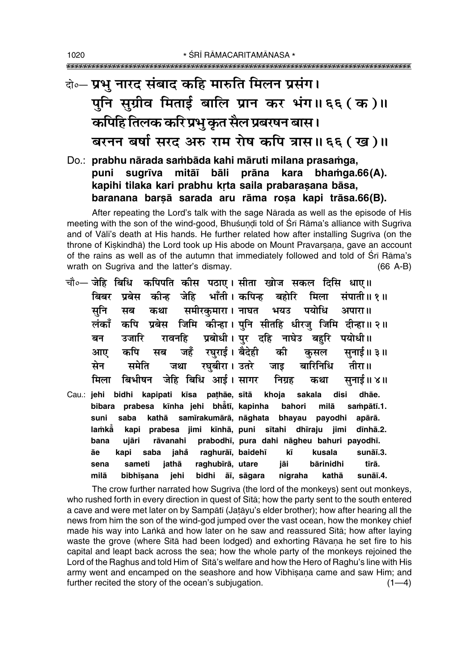# दो**० प्रभ नारद संबाद कहि मारुति मिलन प्रसंग।** पुनि सुग्रीव मिताई बालि प्रान कर भंग॥६६ (क)॥ **कपिहि तिलक करि** प्रभु कृत सैल प्रबरषन बास । बरनन बर्षा सरद अरु राम रोष कपि त्रास॥६६ (ख)॥

Do.: **prabhu nārada sambāda kahi māruti milana prasamga,** puni sugrīva mitāī bāli prāna kara bhamga.66(A). kapihi tilaka kari prabhu krta saila prabarasana bāsa, baranana barsā sarada aru rāma rosa kapi trāsa.66(B).

After repeating the Lord's talk with the sage Nārada as well as the episode of His meeting with the son of the wind-good, Bhusundi told of Srī Rāma's alliance with Sugrīva and of Vāli's death at His hands. He further related how after installing Sugrīva (on the throne of Kiskindhā) the Lord took up His abode on Mount Pravarsana, gave an account of the rains as well as of the autumn that immediately followed and told of Śrī Rāma's wrath on Sugrīva and the latter's dismay. (66 A-B)

- चौ०— **जेहि बिधि कपिपति कीस पठाए। सीता खोज सकल दिसि धाए॥** बिबर प्रबेस कीन्ह जेहि भाँती। कपिन्ह बहोरि मिला संपाती॥ १॥ सनि सब कथा समीरकमारा। नाघत भयउ पयोधि अपारा॥ **लंकाँ कपि प्रबेस जिमि कीन्हा। पनि सीतहि धीरज जिमि दीन्हा॥२॥** बन उजारि रावनहि प्रबोधी।**पुर दहि नाघेउ बहरि पयोधी**॥ आए कपि सब जहँ रघुराई। बैदेही की कुसल सुनाई॥ ३॥ सेन समेति जथा रघबीरा।उतरे जाइ बारिनिधि तीरा॥ <u>मिला बिभीषन जेहि बिधि आईं। सागर निग्रह कथा सनाई॥४॥</u>
- Cau.: **jehi bidhi kapipati k∂sa pa¢håe, s∂tå khoja sakala disi dhåe. bibara prabesa k∂nha jehi bhå° t∂, kapinha bahori milå sa≈påt∂.1. suni saba kathå sam∂rakumårå, någhata bhayau payodhi apårå. la≈kå° kapi prabesa jimi k∂nhå, puni s∂tahi dh∂raju jimi d∂nhå.2. bana ujåri råvanahi prabodh∂, pura dahi någheu bahuri payodh∂. åe kapi saba jaha° raghurå∂, baideh∂ k∂ kusala sunå∂.3. sena sameti jathå raghub∂rå, utare jåi bårinidhi t∂rå. milå bibh∂¶ana jehi bidhi å∂, sågara nigraha kathå sunå∂.4.**

The crow further narrated how Sugrīva (the lord of the monkeys) sent out monkeys, who rushed forth in every direction in quest of Sītā; how the party sent to the south entered a cave and were met later on by Sampåt∂ (Ja¢åyuís elder brother); how after hearing all the news from him the son of the wind-god jumped over the vast ocean, how the monkey chief made his way into Lankā and how later on he saw and reassured Sītā; how after laying waste the grove (where Sītā had been lodged) and exhorting Rāvana he set fire to his capital and leapt back across the sea; how the whole party of the monkeys rejoined the Lord of the Raghus and told Him of Sītā's welfare and how the Hero of Raghu's line with His army went and encamped on the seashore and how Vibhīsana came and saw Him; and further recited the story of the ocean's subjugation.  $(1-4)$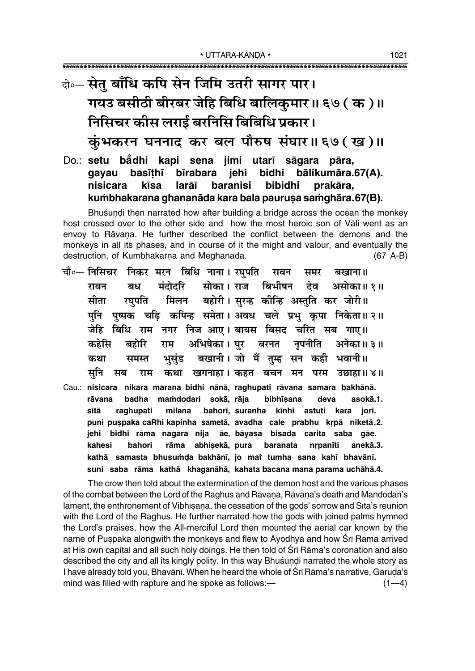## वे∘– सेतु बाँधि कपि सेन जिमि उतरी सागर पार। गयउ बसीठी बीरबर जेहि बिधि बालिकुमार॥ ६७ (क)॥ निसिचर कीस लराई बरनिसि बिबिधि प्रकार। कुंभकरन घननाद कर बल पौरुष संघार॥६७ (ख)॥

Do.: setu bådhi kapi sena jimi utarī sāgara pāra, basīthī bīrabara jehi bidhi bālikumāra.67(A). qayau kīsa bibidhi nisicara larāī baranisi prakāra. kumbhakarana ghananāda kara bala paurusa samghāra.67(B).

Bhuśundi then narrated how after building a bridge across the ocean the monkey host crossed over to the other side and how the most heroic son of Vali went as an envoy to Rāvana. He further described the conflict between the demons and the monkeys in all its phases, and in course of it the might and valour, and eventually the destruction, of Kumbhakarna and Meghanāda.  $(67 A-B)$ 

- चौ०— निसिचर निकर मरन बिधि नाना। रघपति रावन समर बखाना ॥ सोका। राज बिभीषन देव मंदोदरि असोका॥ १॥ बध रावन मिलन बहोरी। सरन्ह कीन्हि अस्तति कर जोरी॥ सीता रघपति पनि पष्पक चढि कपिन्ह समेता। अवध चले प्रभ कपा निकेता॥२॥ बिधि राम नगर निज आए। बायस बिसद चरित सब गाए॥ जेहि बहोरि अभिषेका। पर कहेसि बरनत नुपनीति अनेका॥ ३॥ राम बखानी। जो मैं तम्ह सन कही भवानी॥ कथा भसंड समस्त सनि सब खगनाहा । कहत बचन मन परम उछाहा ॥ ४॥ राम कथा
- Cau.: nisicara nikara marana bidhi nānā, raghupati rāvana samara bakhānā. rāvana badha mamdodari sokā, rāja bibhīsana deva asokā.1. raghupati sītā milana bahorī, suranha kīnhi astuti kara jorī. puni puspaka caRhi kapinha sametā, avadha cale prabhu krpā niketā.2. jehi bidhi rāma nagara nija āe, bāyasa bisada carita saba gāe. kahesi **bahori** rāma abhisekā, pura baranata nrpanīti anekā.3. kathā samasta bhusumda bakhānī, jo mai tumha sana kahī bhavānī. suni saba rāma kathā khaganāhā, kahata bacana mana parama uchāhā.4.

The crow then told about the extermination of the demon host and the various phases of the combat between the Lord of the Raghus and Rāvaṇa, Rāvaṇa's death and Mandodarī's lament, the enthronement of Vibhisana, the cessation of the gods' sorrow and Sita's reunion with the Lord of the Raghus. He further narrated how the gods with joined palms hymned the Lord's praises, how the All-merciful Lord then mounted the aerial car known by the name of Puspaka alongwith the monkeys and flew to Ayodhya and how Sri Rama arrived at His own capital and all such holy doings. He then told of Srī Rāma's coronation and also described the city and all its kingly polity. In this way Bhusundi narrated the whole story as I have already told you, Bhavānī. When he heard the whole of Śrī Rāma's narrative, Garuda's mind was filled with rapture and he spoke as follows:- $(1-4)$